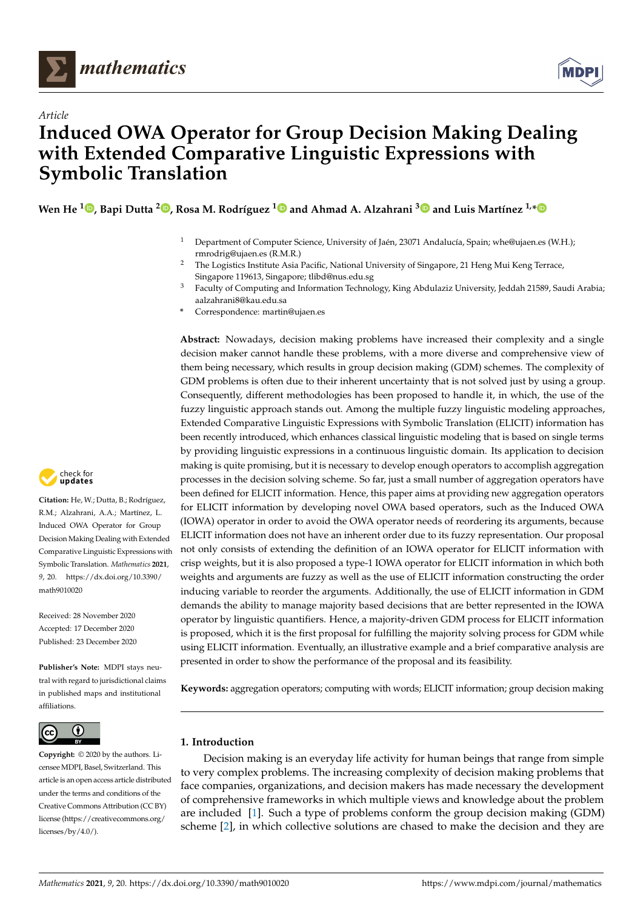

*Article*



# **Induced OWA Operator for Group Decision Making Dealing with Extended Comparative Linguistic Expressions with Symbolic Translation**

**Wen He [1](https://orcid.org/0000-0001-8210-6535) , Bapi Dutta <sup>2</sup> [,](https://orcid.org/0000-0002-2796-8914) Rosa M. Rodríguez [1](https://orcid.org/0000-0002-1736-8915) and Ahmad A. Alzahrani [3](https://orcid.org/0000-0002-8081-6530) and Luis Martínez 1,[\\*](https://orcid.org/0000-0002-8081-6530)**

- <sup>1</sup> Department of Computer Science, University of Jaén, 23071 Andalucía, Spain; whe@ujaen.es (W.H.); rmrodrig@ujaen.es (R.M.R.)
- <sup>2</sup> The Logistics Institute Asia Pacific, National University of Singapore, 21 Heng Mui Keng Terrace, Singapore 119613, Singapore; tlibd@nus.edu.sg
- <sup>3</sup> Faculty of Computing and Information Technology, King Abdulaziz University, Jeddah 21589, Saudi Arabia; aalzahrani8@kau.edu.sa
- **\*** Correspondence: martin@ujaen.es

**Abstract:** Nowadays, decision making problems have increased their complexity and a single decision maker cannot handle these problems, with a more diverse and comprehensive view of them being necessary, which results in group decision making (GDM) schemes. The complexity of GDM problems is often due to their inherent uncertainty that is not solved just by using a group. Consequently, different methodologies has been proposed to handle it, in which, the use of the fuzzy linguistic approach stands out. Among the multiple fuzzy linguistic modeling approaches, Extended Comparative Linguistic Expressions with Symbolic Translation (ELICIT) information has been recently introduced, which enhances classical linguistic modeling that is based on single terms by providing linguistic expressions in a continuous linguistic domain. Its application to decision making is quite promising, but it is necessary to develop enough operators to accomplish aggregation processes in the decision solving scheme. So far, just a small number of aggregation operators have been defined for ELICIT information. Hence, this paper aims at providing new aggregation operators for ELICIT information by developing novel OWA based operators, such as the Induced OWA (IOWA) operator in order to avoid the OWA operator needs of reordering its arguments, because ELICIT information does not have an inherent order due to its fuzzy representation. Our proposal not only consists of extending the definition of an IOWA operator for ELICIT information with crisp weights, but it is also proposed a type-1 IOWA operator for ELICIT information in which both weights and arguments are fuzzy as well as the use of ELICIT information constructing the order inducing variable to reorder the arguments. Additionally, the use of ELICIT information in GDM demands the ability to manage majority based decisions that are better represented in the IOWA operator by linguistic quantifiers. Hence, a majority-driven GDM process for ELICIT information is proposed, which it is the first proposal for fulfilling the majority solving process for GDM while using ELICIT information. Eventually, an illustrative example and a brief comparative analysis are presented in order to show the performance of the proposal and its feasibility.

**Keywords:** aggregation operators; computing with words; ELICIT information; group decision making

# **1. Introduction**

Decision making is an everyday life activity for human beings that range from simple to very complex problems. The increasing complexity of decision making problems that face companies, organizations, and decision makers has made necessary the development of comprehensive frameworks in which multiple views and knowledge about the problem are included [\[1\]](#page-33-0). Such a type of problems conform the group decision making (GDM) scheme [\[2\]](#page-33-1), in which collective solutions are chased to make the decision and they are



**Citation:** He, W.; Dutta, B.; Rodríguez, R.M.; Alzahrani, A.A.; Martínez, L. Induced OWA Operator for Group Decision Making Dealing with Extended Comparative Linguistic Expressions with Symbolic Translation. *Mathematics* **2021**, *9*, 20. [https://dx.doi.org/10.3390/](https://dx.doi.org/10.3390/math9010020) [math9010020](https://dx.doi.org/10.3390/math9010020)

Received: 28 November 2020 Accepted: 17 December 2020 Published: 23 December 2020

**Publisher's Note:** MDPI stays neutral with regard to jurisdictional claims in published maps and institutional affiliations.



**Copyright:** © 2020 by the authors. Licensee MDPI, Basel, Switzerland. This article is an open access article distributed under the terms and conditions of the Creative Commons Attribution (CC BY) license [\(https://creativecommons.org/](https://creativecommons.org/licenses/by/4.0/) [licenses/by/4.0/\)](https://creativecommons.org/licenses/by/4.0/).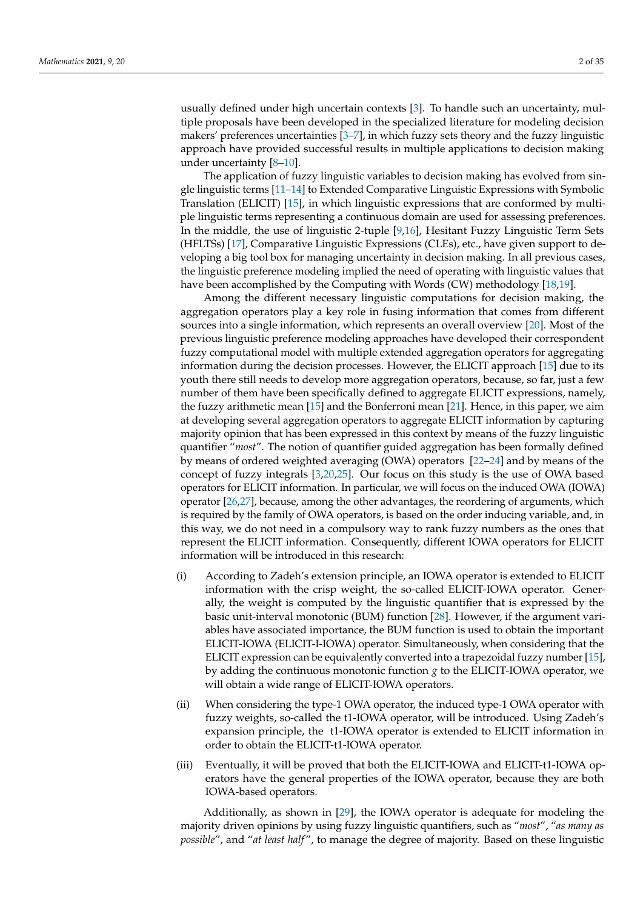usually defined under high uncertain contexts [\[3\]](#page-33-2). To handle such an uncertainty, multiple proposals have been developed in the specialized literature for modeling decision makers' preferences uncertainties [\[3–](#page-33-2)[7\]](#page-33-3), in which fuzzy sets theory and the fuzzy linguistic approach have provided successful results in multiple applications to decision making under uncertainty [\[8–](#page-33-4)[10\]](#page-33-5).

The application of fuzzy linguistic variables to decision making has evolved from single linguistic terms [\[11–](#page-33-6)[14\]](#page-33-7) to Extended Comparative Linguistic Expressions with Symbolic Translation (ELICIT) [\[15\]](#page-33-8), in which linguistic expressions that are conformed by multiple linguistic terms representing a continuous domain are used for assessing preferences. In the middle, the use of linguistic 2-tuple [\[9](#page-33-9)[,16\]](#page-33-10), Hesitant Fuzzy Linguistic Term Sets (HFLTSs) [\[17\]](#page-33-11), Comparative Linguistic Expressions (CLEs), etc., have given support to developing a big tool box for managing uncertainty in decision making. In all previous cases, the linguistic preference modeling implied the need of operating with linguistic values that have been accomplished by the Computing with Words (CW) methodology [\[18](#page-33-12)[,19\]](#page-33-13).

Among the different necessary linguistic computations for decision making, the aggregation operators play a key role in fusing information that comes from different sources into a single information, which represents an overall overview [\[20\]](#page-33-14). Most of the previous linguistic preference modeling approaches have developed their correspondent fuzzy computational model with multiple extended aggregation operators for aggregating information during the decision processes. However, the ELICIT approach [\[15\]](#page-33-8) due to its youth there still needs to develop more aggregation operators, because, so far, just a few number of them have been specifically defined to aggregate ELICIT expressions, namely, the fuzzy arithmetic mean [\[15\]](#page-33-8) and the Bonferroni mean [\[21\]](#page-33-15). Hence, in this paper, we aim at developing several aggregation operators to aggregate ELICIT information by capturing majority opinion that has been expressed in this context by means of the fuzzy linguistic quantifier "*most*". The notion of quantifier guided aggregation has been formally defined by means of ordered weighted averaging (OWA) operators [\[22](#page-33-16)[–24\]](#page-33-17) and by means of the concept of fuzzy integrals [\[3,](#page-33-2)[20,](#page-33-14)[25\]](#page-33-18). Our focus on this study is the use of OWA based operators for ELICIT information. In particular, we will focus on the induced OWA (IOWA) operator [\[26](#page-33-19)[,27\]](#page-33-20), because, among the other advantages, the reordering of arguments, which is required by the family of OWA operators, is based on the order inducing variable, and, in this way, we do not need in a compulsory way to rank fuzzy numbers as the ones that represent the ELICIT information. Consequently, different IOWA operators for ELICIT information will be introduced in this research:

- (i) According to Zadeh's extension principle, an IOWA operator is extended to ELICIT information with the crisp weight, the so-called ELICIT-IOWA operator. Generally, the weight is computed by the linguistic quantifier that is expressed by the basic unit-interval monotonic (BUM) function [\[28\]](#page-33-21). However, if the argument variables have associated importance, the BUM function is used to obtain the important ELICIT-IOWA (ELICIT-I-IOWA) operator. Simultaneously, when considering that the ELICIT expression can be equivalently converted into a trapezoidal fuzzy number [\[15\]](#page-33-8), by adding the continuous monotonic function *g* to the ELICIT-IOWA operator, we will obtain a wide range of ELICIT-IOWA operators.
- (ii) When considering the type-1 OWA operator, the induced type-1 OWA operator with fuzzy weights, so-called the t1-IOWA operator, will be introduced. Using Zadeh's expansion principle, the t1-IOWA operator is extended to ELICIT information in order to obtain the ELICIT-t1-IOWA operator.
- (iii) Eventually, it will be proved that both the ELICIT-IOWA and ELICIT-t1-IOWA operators have the general properties of the IOWA operator, because they are both IOWA-based operators.

Additionally, as shown in [\[29\]](#page-33-22), the IOWA operator is adequate for modeling the majority driven opinions by using fuzzy linguistic quantifiers, such as "*most*", "*as many as possible*", and "*at least half* ", to manage the degree of majority. Based on these linguistic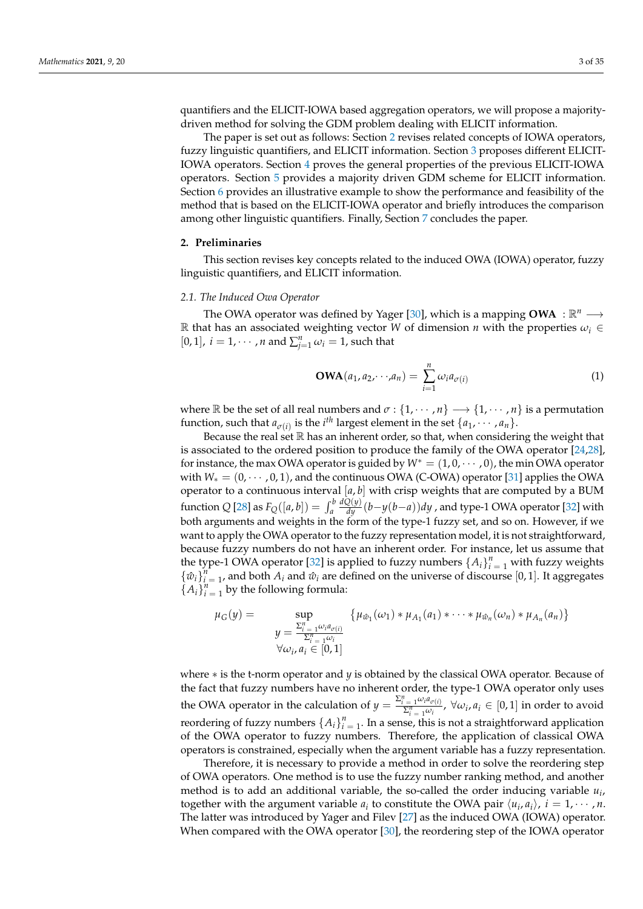quantifiers and the ELICIT-IOWA based aggregation operators, we will propose a majoritydriven method for solving the GDM problem dealing with ELICIT information.

The paper is set out as follows: Section [2](#page-2-0) revises related concepts of IOWA operators, fuzzy linguistic quantifiers, and ELICIT information. Section [3](#page-6-0) proposes different ELICIT-IOWA operators. Section [4](#page-16-0) proves the general properties of the previous ELICIT-IOWA operators. Section [5](#page-21-0) provides a majority driven GDM scheme for ELICIT information. Section [6](#page-23-0) provides an illustrative example to show the performance and feasibility of the method that is based on the ELICIT-IOWA operator and briefly introduces the comparison among other linguistic quantifiers. Finally, Section [7](#page-31-0) concludes the paper.

# <span id="page-2-0"></span>**2. Preliminaries**

This section revises key concepts related to the induced OWA (IOWA) operator, fuzzy linguistic quantifiers, and ELICIT information.

### *2.1. The Induced Owa Operator*

The OWA operator was defined by Yager [\[30\]](#page-33-23), which is a mapping **OWA** :  $\mathbb{R}^n \longrightarrow$ R that has an associated weighting vector *W* of dimension *n* with the properties  $\omega_i \in$ [0, 1],  $i = 1, \dots, n$  and  $\sum_{j=1}^{n} \omega_i = 1$ , such that

$$
\mathbf{OWA}(a_1, a_2, \cdots, a_n) = \sum_{i=1}^n \omega_i a_{\sigma(i)} \tag{1}
$$

where  $\mathbb R$  be the set of all real numbers and  $\sigma$  :  $\{1, \dots, n\} \longrightarrow \{1, \dots, n\}$  is a permutation function, such that  $a_{\sigma(i)}$  is the *i*<sup>th</sup> largest element in the set  $\{a_1, \cdots, a_n\}$ .

Because the real set  $\mathbb R$  has an inherent order, so that, when considering the weight that is associated to the ordered position to produce the family of the OWA operator [\[24,](#page-33-17)[28\]](#page-33-21), for instance, the max OWA operator is guided by *W*<sup>∗</sup> = (1, 0, · · · , 0), the min OWA operator with *W*<sub>∗</sub> = (0, · · · , 0, 1), and the continuous OWA (C-OWA) operator [\[31\]](#page-33-24) applies the OWA operator to a continuous interval [*a*, *b*] with crisp weights that are computed by a BUM function *Q* [\[28\]](#page-33-21) as  $F_Q([a, b]) = \int_a^b$ *dQ*(*y*) *dy* (*b*−*y*(*b*−*a*))*dy* , and type-1 OWA operator [\[32\]](#page-33-25) with both arguments and weights in the form of the type-1 fuzzy set, and so on. However, if we want to apply the OWA operator to the fuzzy representation model, it is not straightforward, because fuzzy numbers do not have an inherent order. For instance, let us assume that the type-1 OWA operator [\[32\]](#page-33-25) is applied to fuzzy numbers  $\{A_i\}_{i=1}^n$  with fuzzy weights  ${\{\hat{w}_i\}}_{i=1}^n$ , and both  $A_i$  and  $\hat{w}_i$  are defined on the universe of discourse [0, 1]. It aggregates  ${A_i}_{i=1}^n$  by the following formula:

$$
\mu_G(y) = \sup_{\substack{\sum_{i=1}^n \omega_i a_{\sigma(i)} \\ \sum_{i=1}^n \omega_i \\ \forall \omega_i, a_i \in [0,1]}} \left\{ \mu_{\hat{w}_1}(\omega_1) * \mu_{A_1}(a_1) * \cdots * \mu_{\hat{w}_n}(\omega_n) * \mu_{A_n}(a_n) \right\}
$$

where ∗ is the t-norm operator and *y* is obtained by the classical OWA operator. Because of the fact that fuzzy numbers have no inherent order, the type-1 OWA operator only uses the OWA operator in the calculation of  $y = \frac{\sum_{i=1}^{n} \omega_i a_{\sigma(i)}}{\sum_{i=1}^{n} \omega_i}$ ,  $\forall \omega_i, a_i \in [0, 1]$  in order to avoid reordering of fuzzy numbers  $\{A_i\}_{i=1}^n$ . In a sense, this is not a straightforward application of the OWA operator to fuzzy numbers. Therefore, the application of classical OWA operators is constrained, especially when the argument variable has a fuzzy representation.

Therefore, it is necessary to provide a method in order to solve the reordering step of OWA operators. One method is to use the fuzzy number ranking method, and another method is to add an additional variable, the so-called the order inducing variable *u<sup>i</sup>* , together with the argument variable  $a_i$  to constitute the OWA pair  $\langle u_i, a_i \rangle$ ,  $i = 1, \dots, n$ . The latter was introduced by Yager and Filev [\[27\]](#page-33-20) as the induced OWA (IOWA) operator. When compared with the OWA operator [\[30\]](#page-33-23), the reordering step of the IOWA operator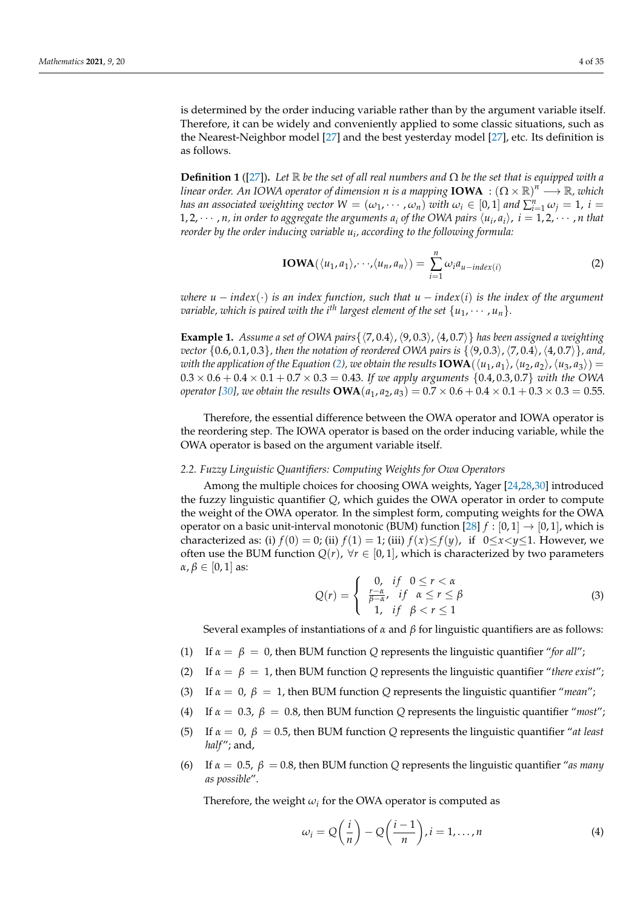is determined by the order inducing variable rather than by the argument variable itself. Therefore, it can be widely and conveniently applied to some classic situations, such as the Nearest-Neighbor model [\[27\]](#page-33-20) and the best yesterday model [\[27\]](#page-33-20), etc. Its definition is as follows.

<span id="page-3-1"></span>**Definition 1** ([\[27\]](#page-33-20)). Let  $\mathbb R$  *be the set of all real numbers and*  $\Omega$  *be the set that is equipped with a*  $l$ *inear order. An IOWA operator of dimension*  $n$  *is a mapping*  $\mathbf{IOWA}\;: \left(\Omega\times\mathbb{R}\right)^n\longrightarrow\mathbb{R}$ *<i>, which has an associated weighting vector*  $W = (\omega_1, \dots, \omega_n)$  *with*  $\omega_i \in [0,1]$  *and*  $\sum_{i=1}^n \omega_j = 1$ , *i* = 1, 2,  $\cdots$  , *n*, *in order to aggregate the arguments*  $a_i$  *of the OWA pairs*  $\langle u_i, a_i \rangle$ *,*  $i = 1, 2, \cdots$  *, n that reorder by the order inducing variable u<sup>i</sup> , according to the following formula:*

<span id="page-3-0"></span>
$$
IOWA(\langle u_1, a_1 \rangle, \cdots, \langle u_n, a_n \rangle) = \sum_{i=1}^n \omega_i a_{u-index(i)}
$$
 (2)

*where*  $u - \text{index}(\cdot)$  *is an index function, such that*  $u - \text{index}(i)$  *is the index of the argument variable, which is paired with the i*<sup>th</sup> largest element of the set  $\{u_1, \dots, u_n\}$ .

<span id="page-3-2"></span>**Example 1.** Assume a set of OWA pairs { $\langle 7, 0.4 \rangle$ ,  $\langle 9, 0.3 \rangle$ ,  $\langle 4, 0.7 \rangle$ } *has been assigned a weighting vector*  $\{0.6, 0.1, 0.3\}$ *, then the notation of reordered OWA pairs is*  $\{\langle 9, 0.3 \rangle, \langle 7, 0.4 \rangle, \langle 4, 0.7 \rangle\}$ *, and, with the application of the Equation [\(2\)](#page-3-0), we obtain the results* **IOWA**( $\langle u_1, a_1 \rangle$ ,  $\langle u_2, a_2 \rangle$ ,  $\langle u_3, a_3 \rangle$ ) =  $0.3 \times 0.6 + 0.4 \times 0.1 + 0.7 \times 0.3 = 0.43$ . If we apply arguments {0.4, 0.3, 0.7} with the OWA *operator* [\[30\]](#page-33-23), we obtain the results **OWA**( $a_1$ ,  $a_2$ ,  $a_3$ ) = 0.7  $\times$  0.6 + 0.4  $\times$  0.1 + 0.3  $\times$  0.3 = 0.55*.* 

Therefore, the essential difference between the OWA operator and IOWA operator is the reordering step. The IOWA operator is based on the order inducing variable, while the OWA operator is based on the argument variable itself.

### <span id="page-3-3"></span>*2.2. Fuzzy Linguistic Quantifiers: Computing Weights for Owa Operators*

Among the multiple choices for choosing OWA weights, Yager [\[24,](#page-33-17)[28](#page-33-21)[,30\]](#page-33-23) introduced the fuzzy linguistic quantifier *Q*, which guides the OWA operator in order to compute the weight of the OWA operator. In the simplest form, computing weights for the OWA operator on a basic unit-interval monotonic (BUM) function [\[28\]](#page-33-21)  $f : [0, 1] \rightarrow [0, 1]$ , which is characterized as: (i)  $f(0) = 0$ ; (ii)  $f(1) = 1$ ; (iii)  $f(x) \le f(y)$ , if  $0 \le x \le y \le 1$ . However, we often use the BUM function  $Q(r)$ ,  $\forall r \in [0,1]$ , which is characterized by two parameters  $\alpha, \beta \in [0, 1]$  as:

$$
Q(r) = \begin{cases} 0, & \text{if } 0 \le r < \alpha \\ \frac{r - \alpha}{\beta - \alpha}, & \text{if } \alpha \le r \le \beta \\ 1, & \text{if } \beta < r \le 1 \end{cases}
$$
 (3)

Several examples of instantiations of *α* and *β* for linguistic quantifiers are as follows:

- (1) If  $\alpha = \beta = 0$ , then BUM function *Q* represents the linguistic quantifier "for all";
- (2) If  $\alpha = \beta = 1$ , then BUM function *Q* represents the linguistic quantifier "*there exist*";
- (3) If *α* = 0, *β* = 1, then BUM function *Q* represents the linguistic quantifier "*mean*";
- (4) If  $\alpha = 0.3$ ,  $\beta = 0.8$ , then BUM function *Q* represents the linguistic quantifier "*most*";
- (5) If  $\alpha = 0$ ,  $\beta = 0.5$ , then BUM function *Q* represents the linguistic quantifier "*at least half* "; and,
- (6) If  $\alpha = 0.5$ ,  $\beta = 0.8$ , then BUM function *Q* represents the linguistic quantifier "*as many as possible*".

Therefore, the weight  $\omega_i$  for the OWA operator is computed as

$$
\omega_i = Q\left(\frac{i}{n}\right) - Q\left(\frac{i-1}{n}\right), i = 1, \dots, n
$$
\n(4)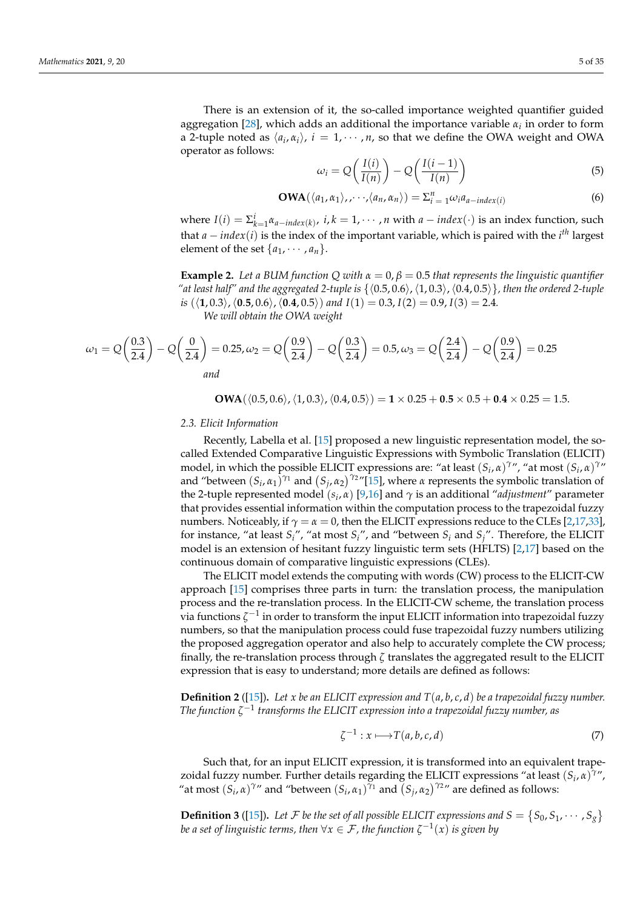There is an extension of it, the so-called importance weighted quantifier guided aggregation [\[28\]](#page-33-21), which adds an additional the importance variable *α<sup>i</sup>* in order to form a 2-tuple noted as  $\langle a_i, \alpha_i \rangle$ ,  $i = 1, \dots, n$ , so that we define the OWA weight and OWA operator as follows:

$$
\omega_i = Q\left(\frac{I(i)}{I(n)}\right) - Q\left(\frac{I(i-1)}{I(n)}\right) \tag{5}
$$

$$
\mathbf{OWA}(\langle a_1, \alpha_1 \rangle, \cdots, \langle a_n, \alpha_n \rangle) = \sum_{i=1}^n \omega_i a_{a-index(i)}
$$
(6)

where  $I(i) = \sum_{k=1}^{i} \alpha_{a-index(k)}$ ,  $i, k = 1, \dots, n$  with  $a-index(\cdot)$  is an index function, such that *a* − *index*(*i*) is the index of the important variable, which is paired with the *i th* largest element of the set  $\{a_1, \cdots, a_n\}$ .

**Example 2.** Let a BUM function Q with  $\alpha = 0$ ,  $\beta = 0.5$  that represents the linguistic quantifier "at least half" and the aggregated 2-tuple is  $\{(0.5, 0.6), (1, 0.3), (0.4, 0.5)\}$ , then the ordered 2-tuple *is*  $(\langle 1, 0.3 \rangle, \langle 0.5, 0.6 \rangle, \langle 0.4, 0.5 \rangle)$  *and*  $I(1) = 0.3$ ,  $I(2) = 0.9$ ,  $I(3) = 2.4$ *. We will obtain the OWA weight*

$$
\omega_1 = Q\left(\frac{0.3}{2.4}\right) - Q\left(\frac{0}{2.4}\right) = 0.25, \omega_2 = Q\left(\frac{0.9}{2.4}\right) - Q\left(\frac{0.3}{2.4}\right) = 0.5, \omega_3 = Q\left(\frac{2.4}{2.4}\right) - Q\left(\frac{0.9}{2.4}\right) = 0.25
$$
  
and

**OWA**( $\langle 0.5, 0.6 \rangle$ ,  $\langle 1, 0.3 \rangle$ ,  $\langle 0.4, 0.5 \rangle$ ) = **1** × 0.25 + **0.5** × 0.5 + **0.4** × 0.25 = 1.5.

### *2.3. Elicit Information*

Recently, Labella et al. [\[15\]](#page-33-8) proposed a new linguistic representation model, the socalled Extended Comparative Linguistic Expressions with Symbolic Translation (ELICIT) model, in which the possible ELICIT expressions are: "at least  $(S_i, \alpha)^{\gamma}$ ", "at most  $(S_i, \alpha)^{\gamma}$ " and "between  $(S_i, \alpha_1)^{\gamma_1}$  and  $(S_j, \alpha_2)^{\gamma_2}$ "[\[15\]](#page-33-8), where *α* represents the symbolic translation of the 2-tuple represented model (*s<sup>i</sup>* , *α*) [\[9,](#page-33-9)[16\]](#page-33-10) and *γ* is an additional "*adjustment*" parameter that provides essential information within the computation process to the trapezoidal fuzzy numbers. Noticeably, if  $\gamma = \alpha = 0$ , then the ELICIT expressions reduce to the CLEs [\[2](#page-33-1)[,17](#page-33-11)[,33\]](#page-33-26), for instance, "at least *Si*", "at most *Si*", and "between *S<sup>i</sup>* and *Sj*". Therefore, the ELICIT model is an extension of hesitant fuzzy linguistic term sets (HFLTS) [\[2](#page-33-1)[,17\]](#page-33-11) based on the continuous domain of comparative linguistic expressions (CLEs).

The ELICIT model extends the computing with words (CW) process to the ELICIT-CW approach [\[15\]](#page-33-8) comprises three parts in turn: the translation process, the manipulation process and the re-translation process. In the ELICIT-CW scheme, the translation process via functions *ζ* −1 in order to transform the input ELICIT information into trapezoidal fuzzy numbers, so that the manipulation process could fuse trapezoidal fuzzy numbers utilizing the proposed aggregation operator and also help to accurately complete the CW process; finally, the re-translation process through *ζ* translates the aggregated result to the ELICIT expression that is easy to understand; more details are defined as follows:

**Definition 2** ([\[15\]](#page-33-8))**.** *Let x be an ELICIT expression and T*(*a*, *b*, *c*, *d*) *be a trapezoidal fuzzy number. The function ζ* −1 *transforms the ELICIT expression into a trapezoidal fuzzy number, as*

$$
\zeta^{-1}: x \longmapsto T(a, b, c, d) \tag{7}
$$

Such that, for an input ELICIT expression, it is transformed into an equivalent trapezoidal fuzzy number. Further details regarding the ELICIT expressions "at least (*S<sup>i</sup>* , *α*) *γ* ", "at most  $(S_i, \alpha)^{\gamma}$ " and "between  $(S_i, \alpha_1)^{\gamma_1}$  and  $(S_j, \alpha_2)^{\gamma_2}$ " are defined as follows:

**Definition 3** ([\[15\]](#page-33-8)). Let F be the set of all possible ELICIT expressions and  $S = \{S_0, S_1, \cdots, S_g\}$ *be a set of linguistic terms, then*  $\forall x \in \mathcal{F}$ , the function  $\zeta^{-1}(x)$  is given by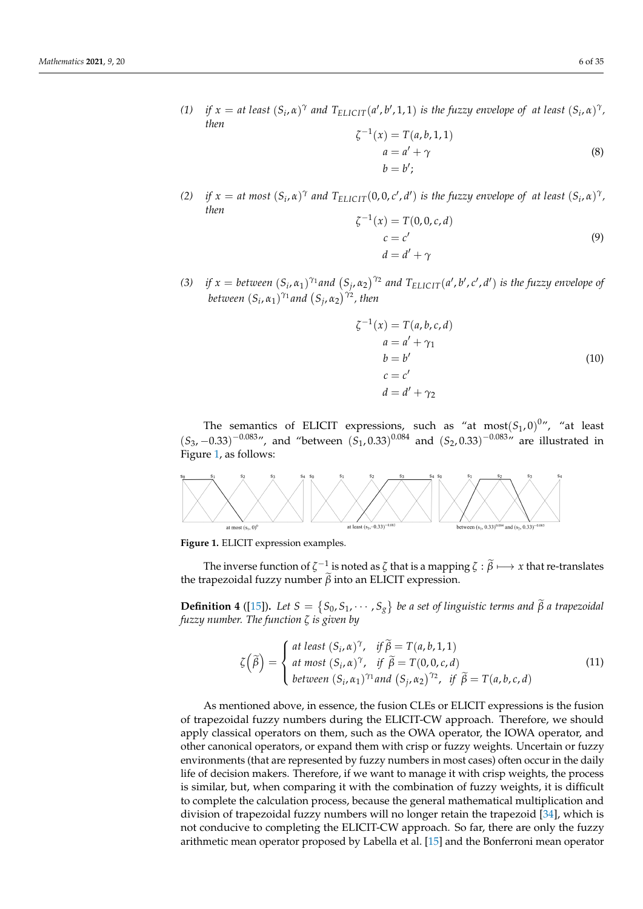(1) if  $x = at least (S_i, \alpha)^{\gamma}$  and  $T_{ELICIT}(a', b', 1, 1)$  is the fuzzy envelope of at least  $(S_i, \alpha)^{\gamma}$ , *then*

$$
\zeta^{-1}(x) = T(a, b, 1, 1)
$$
  
\n
$$
a = a' + \gamma
$$
  
\n
$$
b = b';
$$
\n(8)

(2) if  $x = at$  most  $(S_i, \alpha)^\gamma$  and  $T_{ELICIT}(0, 0, c', d')$  is the fuzzy envelope of at least  $(S_i, \alpha)^\gamma$ , *then*

$$
\zeta^{-1}(x) = T(0, 0, c, d)
$$
  
\n
$$
c = c'
$$
  
\n
$$
d = d' + \gamma
$$
\n(9)

(3) if  $x =$  between  $(S_i, \alpha_1)^{\gamma_1}$  and  $(S_j, \alpha_2)^{\gamma_2}$  and  $T_{ELICIT}(a', b', c', d')$  is the fuzzy envelope of *between*  $(S_i, \alpha_1)^{\gamma_1}$  *and*  $(S_j, \alpha_2)^{\gamma_2}$ *, then* 

$$
\zeta^{-1}(x) = T(a, b, c, d)
$$
  
\n
$$
a = a' + \gamma_1
$$
  
\n
$$
b = b'
$$
  
\n
$$
c = c'
$$
  
\n
$$
d = d' + \gamma_2
$$
\n(10)

The semantics of ELICIT expressions, such as "at  $most(S_1, 0)^{0}$ ", "at least  $(S_3, -0.33)^{-0.083}$ ", and "between  $(S_1, 0.33)^{0.084}$  and  $(S_2, 0.33)^{-0.083}$ " are illustrated in Figure [1,](#page-5-0) as follows:

<span id="page-5-0"></span>

**Figure 1.** ELICIT expression examples.

The inverse function of  $\zeta^{-1}$  is noted as  $\zeta$  that is a mapping  $\zeta : \widetilde{\beta} \longmapsto x$  that re-translates the trapezoidal fuzzy number  $\tilde{\beta}$  into an ELICIT expression.

**Definition 4** ([\[15\]](#page-33-8)). Let  $S = \{S_0, S_1, \dots, S_g\}$  be a set of linguistic terms and  $\tilde{\beta}$  a trapezoidal *fuzzy number. The function ζ is given by*

$$
\zeta(\widetilde{\beta}) = \begin{cases}\nat least (S_i, \alpha)^{\gamma}, & \text{if } \widetilde{\beta} = T(a, b, 1, 1) \\
at most (S_i, \alpha)^{\gamma}, & \text{if } \widetilde{\beta} = T(0, 0, c, d) \\
between (S_i, \alpha_1)^{\gamma_1} and (S_j, \alpha_2)^{\gamma_2}, & \text{if } \widetilde{\beta} = T(a, b, c, d)\n\end{cases}
$$
\n(11)

As mentioned above, in essence, the fusion CLEs or ELICIT expressions is the fusion of trapezoidal fuzzy numbers during the ELICIT-CW approach. Therefore, we should apply classical operators on them, such as the OWA operator, the IOWA operator, and other canonical operators, or expand them with crisp or fuzzy weights. Uncertain or fuzzy environments (that are represented by fuzzy numbers in most cases) often occur in the daily life of decision makers. Therefore, if we want to manage it with crisp weights, the process is similar, but, when comparing it with the combination of fuzzy weights, it is difficult to complete the calculation process, because the general mathematical multiplication and division of trapezoidal fuzzy numbers will no longer retain the trapezoid [\[34\]](#page-33-27), which is not conducive to completing the ELICIT-CW approach. So far, there are only the fuzzy arithmetic mean operator proposed by Labella et al. [\[15\]](#page-33-8) and the Bonferroni mean operator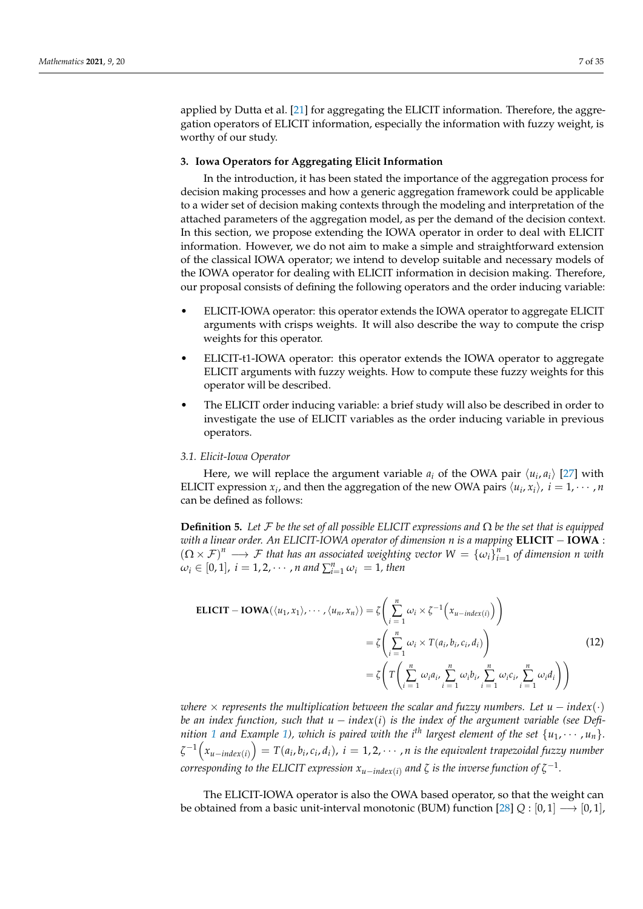applied by Dutta et al. [\[21\]](#page-33-15) for aggregating the ELICIT information. Therefore, the aggregation operators of ELICIT information, especially the information with fuzzy weight, is worthy of our study.

# <span id="page-6-0"></span>**3. Iowa Operators for Aggregating Elicit Information**

In the introduction, it has been stated the importance of the aggregation process for decision making processes and how a generic aggregation framework could be applicable to a wider set of decision making contexts through the modeling and interpretation of the attached parameters of the aggregation model, as per the demand of the decision context. In this section, we propose extending the IOWA operator in order to deal with ELICIT information. However, we do not aim to make a simple and straightforward extension of the classical IOWA operator; we intend to develop suitable and necessary models of the IOWA operator for dealing with ELICIT information in decision making. Therefore, our proposal consists of defining the following operators and the order inducing variable:

- ELICIT-IOWA operator: this operator extends the IOWA operator to aggregate ELICIT arguments with crisps weights. It will also describe the way to compute the crisp weights for this operator.
- ELICIT-t1-IOWA operator: this operator extends the IOWA operator to aggregate ELICIT arguments with fuzzy weights. How to compute these fuzzy weights for this operator will be described.
- The ELICIT order inducing variable: a brief study will also be described in order to investigate the use of ELICIT variables as the order inducing variable in previous operators.

### *3.1. Elicit-Iowa Operator*

Here, we will replace the argument variable  $a_i$  of the OWA pair  $\langle u_i, a_i \rangle$  [\[27\]](#page-33-20) with ELICIT expression  $x_i$ , and then the aggregation of the new OWA pairs  $\langle u_i, x_i \rangle$ ,  $i = 1, \cdots, n$ can be defined as follows:

**Definition 5.** Let  $\mathcal F$  be the set of all possible ELICIT expressions and  $\Omega$  be the set that is equipped *with a linear order. An ELICIT-IOWA operator of dimension n is a mapping* **ELICIT** − **IOWA** :  $(Q \times F)^n \longrightarrow F$  *that has an associated weighting vector*  $W = {\{\omega_i\}}_{i=1}^n$  *of dimension n with*  $\omega_i \in [0,1]$ ,  $i = 1, 2, \cdots$  , *n* and  $\sum_{i=1}^n \omega_i = 1$ , then

$$
\begin{aligned} \text{ELICIT} - \text{IOWA}(\langle u_1, x_1 \rangle, \cdots, \langle u_n, x_n \rangle) &= \zeta \left( \sum_{i=1}^n \omega_i \times \zeta^{-1} \left( x_{u \text{-}index}(i) \right) \right) \\ &= \zeta \left( \sum_{i=1}^n \omega_i \times T(a_i, b_i, c_i, d_i) \right) \\ &= \zeta \left( T \left( \sum_{i=1}^n \omega_i a_i, \sum_{i=1}^n \omega_i b_i, \sum_{i=1}^n \omega_i c_i, \sum_{i=1}^n \omega_i d_i \right) \right) \end{aligned} \tag{12}
$$

*where*  $\times$  *represents the multiplication between the scalar and fuzzy numbers. Let*  $u - index(\cdot)$ *be an index function, such that u* − *index*(*i*) *is the index of the argument variable (see Definition* [1](#page-3-1) and Example [1\)](#page-3-2), which is paired with the i<sup>th</sup> largest element of the set  $\{u_1, \cdots, u_n\}$ .  $\zeta^{-1}\Big(x_{u-index(i)}\Big) = T(a_i,b_i,c_i,d_i),\, i=1,2,\cdots$  ,  $n$  is the equivalent trapezoidal fuzzy number  $\alpha$  *corresponding to the ELICIT expression*  $x_{u-index(i)}$  *and*  $\zeta$  *is the inverse function of*  $\zeta^{-1}.$ 

The ELICIT-IOWA operator is also the OWA based operator, so that the weight can be obtained from a basic unit-interval monotonic (BUM) function [\[28\]](#page-33-21)  $Q : [0, 1] \rightarrow [0, 1]$ ,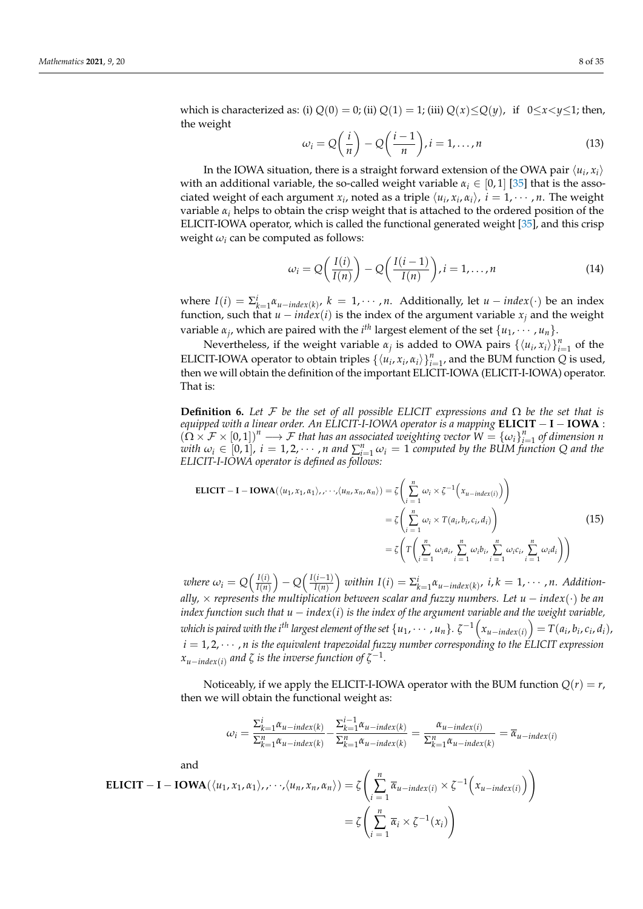which is characterized as: (i)  $Q(0) = 0$ ; (ii)  $Q(1) = 1$ ; (iii)  $Q(x) \le Q(y)$ , if  $0 \le x \le y \le 1$ ; then, the weight

$$
\omega_i = Q\left(\frac{i}{n}\right) - Q\left(\frac{i-1}{n}\right), i = 1, \dots, n
$$
\n(13)

In the IOWA situation, there is a straight forward extension of the OWA pair  $\langle u_i, x_i \rangle$ with an additional variable, the so-called weight variable  $\alpha_i \in [0,1]$  [\[35\]](#page-33-28) that is the associated weight of each argument  $x_i$ , noted as a triple  $\langle u_i, x_i, \alpha_i \rangle$ ,  $i = 1, \dots, n$ . The weight variable  $\alpha_i$  helps to obtain the crisp weight that is attached to the ordered position of the ELICIT-IOWA operator, which is called the functional generated weight [\[35\]](#page-33-28), and this crisp weight  $\omega_i$  can be computed as follows:

$$
\omega_i = Q\left(\frac{I(i)}{I(n)}\right) - Q\left(\frac{I(i-1)}{I(n)}\right), i = 1, \dots, n
$$
\n(14)

where  $I(i) = \sum_{k=1}^{i} \alpha_{u-index(k)}, k = 1, \cdots, n$ . Additionally, let  $u - index(\cdot)$  be an index function, such that  $u - index(i)$  is the index of the argument variable  $x_j$  and the weight variable  $\alpha_j$ , which are paired with the *i*<sup>th</sup> largest element of the set  $\{u_1, \dots, u_n\}$ .

Nevertheless, if the weight variable  $\alpha_j$  is added to OWA pairs  $\{\langle u_i, x_i \rangle\}_{i=1}^n$  of the ELICIT-IOWA operator to obtain triples  $\{\langle u_i, x_i, \alpha_i \rangle\}_{i=1}^n$ , and the BUM function *Q* is used, then we will obtain the definition of the important ELICIT-IOWA (ELICIT-I-IOWA) operator. That is:

**Definition 6.** Let F be the set of all possible ELICIT expressions and  $\Omega$  be the set that is *equipped with a linear order. An ELICIT-I-IOWA operator is a mapping* **ELICIT** − **I** − **IOWA** :  $(\Omega \times F \times [0, 1])^n \longrightarrow F$  *that has an associated weighting vector*  $W = {\omega_i}_{i=1}^n$  *of dimension n*  $w$ *i*  $\omega_i \in [0,1]$ ,  $i = 1, 2, \cdots$ , *n* and  $\sum_{i=1}^n \omega_i = 1$  computed by the BUM function Q and the *ELICIT-I-IOWA operator is defined as follows:*

$$
\begin{aligned} \text{ELICIT} - \mathbf{I} - \mathbf{IOWA}(\langle u_1, x_1, \alpha_1 \rangle, \cdots, \langle u_n, x_n, \alpha_n \rangle) &= \zeta \left( \sum_{i=1}^n \omega_i \times \zeta^{-1} \left( x_{u \text{-}index}(i) \right) \right) \\ &= \zeta \left( \sum_{i=1}^n \omega_i \times T(a_i, b_i, c_i, d_i) \right) \\ &= \zeta \left( T \left( \sum_{i=1}^n \omega_i a_i, \sum_{i=1}^n \omega_i b_i, \sum_{i=1}^n \omega_i c_i, \sum_{i=1}^n \omega_i d_i \right) \right) \end{aligned} \tag{15}
$$

*where*  $\omega_i = Q\Big(\frac{I(i)}{I(n)}\Big)$  $\frac{I(i)}{I(n)}$  – *Q*  $\left(\frac{I(i-1)}{I(n)}\right)$  $\left(\frac{i-1}{I(n)}\right)$  within  $I(i) = \sum_{k=1}^{i} \alpha_{u-intex(k)}$ , *i*,  $k = 1, \cdots$ , *n. Additionally,* × *represents the multiplication between scalar and fuzzy numbers. Let u* − *index*(·) *be an index function such that*  $u - index(i)$  *is the index of the argument variable and the weight variable*, which is paired with the i<sup>th</sup> largest element of the set  $\{u_1,\cdots,u_n\}$ .  $\zeta^{-1}\Big(x_{u-index(i)}\Big)=T(a_i,b_i,c_i,d_i)$ ,  $i = 1, 2, \cdots$ , *n is the equivalent trapezoidal fuzzy number corresponding to the ELICIT expression*  $x_{u-index(i)}$  and  $\zeta$  is the inverse function of  $\zeta^{-1}.$ 

Noticeably, if we apply the ELICIT-I-IOWA operator with the BUM function  $Q(r) = r$ , then we will obtain the functional weight as:

$$
\omega_i = \frac{\sum_{k=1}^i \alpha_{u-index(k)}}{\sum_{k=1}^n \alpha_{u-index(k)}} - \frac{\sum_{k=1}^{i-1} \alpha_{u-index(k)}}{\sum_{k=1}^n \alpha_{u-index(k)}} = \frac{\alpha_{u-index(i)}}{\sum_{k=1}^n \alpha_{u-index(k)}} = \overline{\alpha}_{u-index(i)}
$$

and

$$
\text{ELICIT} - \textbf{I} - \textbf{IOWA}(\langle u_1, x_1, \alpha_1 \rangle, \dots, \langle u_n, x_n, \alpha_n \rangle) = \zeta \left( \sum_{i=1}^n \overline{\alpha}_{u - index(i)} \times \zeta^{-1} \left( x_{u - index(i)} \right) \right)
$$

$$
= \zeta \left( \sum_{i=1}^n \overline{\alpha}_i \times \zeta^{-1} (x_i) \right)
$$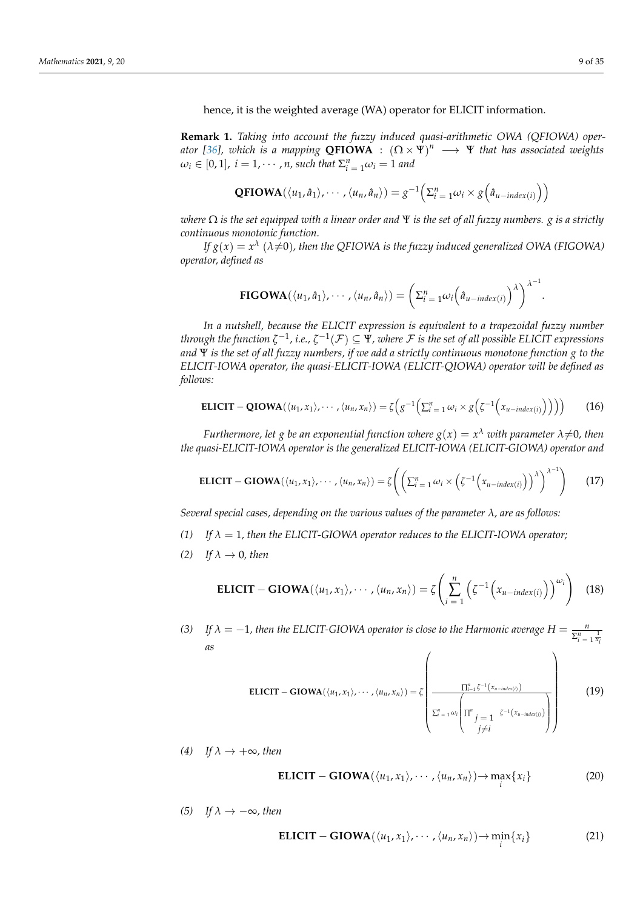hence, it is the weighted average (WA) operator for ELICIT information.

**Remark 1.** *Taking into account the fuzzy induced quasi-arithmetic OWA (QFIOWA) oper-ator [\[36\]](#page-34-0), which is a mapping QFIOWA* :  $(\Omega \times \Psi)^n \longrightarrow \Psi$  that has associated weights  $\omega_i \in [0,1]$ ,  $i = 1, \cdots, n$ , such that  $\Sigma_{i=1}^n \omega_i = 1$  and

$$
\mathbf{QFIOWA}(\langle u_1, \hat{a}_1 \rangle, \cdots, \langle u_n, \hat{a}_n \rangle) = g^{-1}\left(\sum_{i=1}^n \omega_i \times g\left(\hat{a}_{u-index(i)}\right)\right)
$$

*where* Ω *is the set equipped with a linear order and* Ψ *is the set of all fuzzy numbers. g is a strictly continuous monotonic function.*

If  $g(x) = x^\lambda$  ( $\lambda{\neq}0$ ), then the QFIOWA is the fuzzy induced generalized OWA (FIGOWA) *operator, defined as*

**FIGOWA**
$$
(\langle u_1, \hat{a}_1 \rangle, \cdots, \langle u_n, \hat{a}_n \rangle) = \left(\sum_{i=1}^n \omega_i \left(\hat{a}_{u-index(i)}\right)^{\lambda}\right)^{\lambda-1}.
$$

*In a nutshell, because the ELICIT expression is equivalent to a trapezoidal fuzzy number through the function*  $\zeta^{-1}$ *, i.e.,*  $\zeta^{-1}(\mathcal{F})\subseteq\Psi$ *, where*  $\mathcal F$  *is the set of all possible ELICIT expressions and* Ψ *is the set of all fuzzy numbers, if we add a strictly continuous monotone function g to the ELICIT-IOWA operator, the quasi-ELICIT-IOWA (ELICIT-QIOWA) operator will be defined as follows:*

$$
\mathbf{ELICIT} - \mathbf{QIOWA}(\langle u_1, x_1 \rangle, \cdots, \langle u_n, x_n \rangle) = \zeta \Big( g^{-1} \Big( \Sigma_{i=1}^n \omega_i \times g \Big( \zeta^{-1} \Big( x_{u-index(i)} \Big) \Big) \Big) \Big) \tag{16}
$$

*Furthermore, let*  $g$  *be an exponential function where*  $g(x) = x^\lambda$  *with parameter*  $\lambda{\neq}0$ *, then the quasi-ELICIT-IOWA operator is the generalized ELICIT-IOWA (ELICIT-GIOWA) operator and*

$$
\text{ELICIT} - \text{GIOWA}(\langle u_1, x_1 \rangle, \cdots, \langle u_n, x_n \rangle) = \zeta \left( \left( \sum_{i=1}^n \omega_i \times \left( \zeta^{-1} \left( x_{u-index(i)} \right) \right)^{\lambda} \right)^{\lambda^{-1}} \right) \tag{17}
$$

*Several special cases, depending on the various values of the parameter λ, are as follows:*

- *(1) If λ* = 1*, then the ELICIT-GIOWA operator reduces to the ELICIT-IOWA operator;*
- *(2) If*  $\lambda \rightarrow 0$ *, then*

$$
\text{ELICIT} - \text{GIOWA}(\langle u_1, x_1 \rangle, \cdots, \langle u_n, x_n \rangle) = \zeta \left( \sum_{i=1}^n \left( \zeta^{-1} \left( x_{u-index(i)} \right) \right)^{\omega_i} \right) \tag{18}
$$

*(3)* If  $\lambda = -1$ , then the ELICIT-GIOWA operator is close to the Harmonic average  $H =$  $\sum_{i=1}^{n} \frac{1}{x_i}$ *as*  $\overline{1}$  $\setminus$ 

$$
\text{ELICIT} - \text{GIOWA}(\langle u_1, x_1 \rangle, \cdots, \langle u_n, x_n \rangle) = \zeta \left( \frac{\prod_{i=1}^n \zeta^{-1}(x_{u \text{-}index(i)})}{\zeta_i^u \left( \prod_{\substack{j=1 \ j \neq i}}^n \zeta^{-1}(x_{u \text{-}index(j)}) \right)} \right)
$$
(19)

*(4) If*  $\lambda$  →  $+\infty$ *, then* 

$$
ELICIT - GIOWA(\langle u_1, x_1 \rangle, \cdots, \langle u_n, x_n \rangle) \rightarrow \max_i \{x_i\}
$$
 (20)

*(5) If*  $\lambda$  → −∞*, then* 

$$
ELICIT - GIOWA(\langle u_1, x_1 \rangle, \cdots, \langle u_n, x_n \rangle) \rightarrow \min_i \{x_i\}
$$
 (21)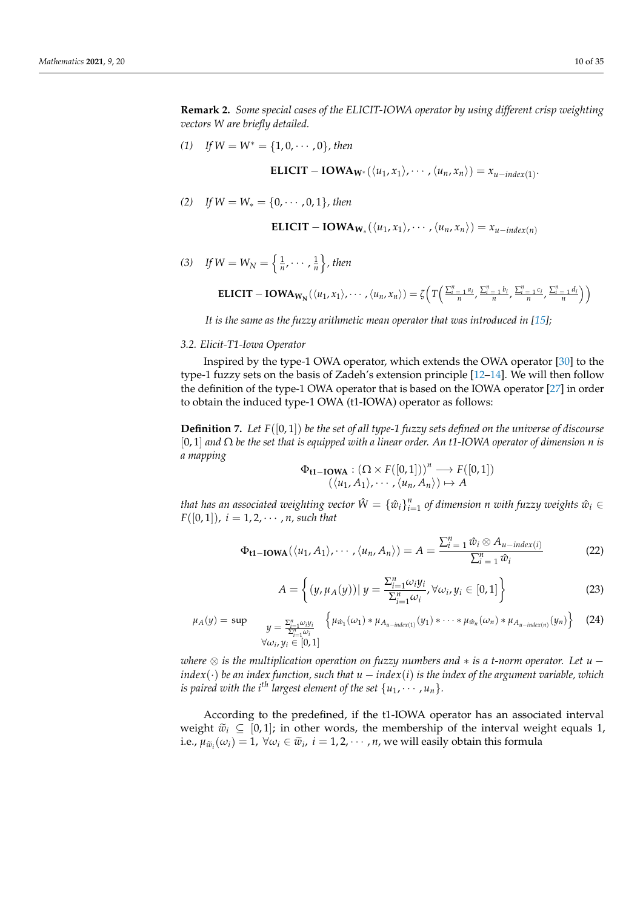**Remark 2.** *Some special cases of the ELICIT-IOWA operator by using different crisp weighting vectors W are briefly detailed.*

*(1) If*  $W = W^* = \{1, 0, \cdots, 0\}$ *, then* 

**ELICIT – IOWA<sub>W\*</sub>**
$$
(\langle u_1, x_1 \rangle, \cdots, \langle u_n, x_n \rangle) = x_{u-index(1)}
$$
.

*(2) If W* = *W*<sup>∗</sup> = {0, · · · , 0, 1}*, then*

**ELICIT – IOWA<sub>W\*</sub>**
$$
(\langle u_1, x_1 \rangle, \cdots, \langle u_n, x_n \rangle) = x_{u-index(n)}
$$

(3) If  $W = W_N = \left\{ \frac{1}{n}, \cdots, \frac{1}{n} \right\}$ , then

**ELICIT – IOWA<sub>W<sub>N</sub></sub>**
$$
(\langle u_1, x_1 \rangle, \cdots, \langle u_n, x_n \rangle) = \zeta \Big( T \Big( \frac{\sum_{i=1}^n a_i}{n}, \frac{\sum_{i=1}^n b_i}{n}, \frac{\sum_{i=1}^n c_i}{n}, \frac{\sum_{i=1}^n d_i}{n} \Big) \Big)
$$

*It is the same as the fuzzy arithmetic mean operator that was introduced in [\[15\]](#page-33-8)*;

### *3.2. Elicit-T1-Iowa Operator*

Inspired by the type-1 OWA operator, which extends the OWA operator [\[30\]](#page-33-23) to the type-1 fuzzy sets on the basis of Zadeh's extension principle [\[12–](#page-33-29)[14\]](#page-33-7). We will then follow the definition of the type-1 OWA operator that is based on the IOWA operator [\[27\]](#page-33-20) in order to obtain the induced type-1 OWA (t1-IOWA) operator as follows:

**Definition 7.** Let  $F([0, 1])$  be the set of all type-1 fuzzy sets defined on the universe of discourse [0, 1] *and* Ω *be the set that is equipped with a linear order. An t1-IOWA operator of dimension n is a mapping*

$$
\Phi_{\mathbf{t1}-\mathbf{IOWA}} : (\Omega \times F([0,1]))^n \longrightarrow F([0,1])
$$
  

$$
(\langle u_1, A_1 \rangle, \cdots, \langle u_n, A_n \rangle) \mapsto A
$$

*that has an associated weighting vector*  $\hat{W} = \left\{\hat{w}_i\right\}_{i=1}^n$  *of dimension*  $n$  *with fuzzy weights*  $\hat{w}_i \in$  $F([0, 1]), i = 1, 2, \cdots, n$ , such that

$$
\Phi_{t1-1OWA}(\langle u_1, A_1 \rangle, \cdots, \langle u_n, A_n \rangle) = A = \frac{\sum_{i=1}^{n} \hat{w}_i \otimes A_{u-index(i)}}{\sum_{i=1}^{n} \hat{w}_i}
$$
(22)

$$
A = \left\{ (y, \mu_A(y)) | y = \frac{\sum_{i=1}^n \omega_i y_i}{\sum_{i=1}^n \omega_i}, \forall \omega_i, y_i \in [0, 1] \right\}
$$
(23)

$$
\mu_A(y) = \sup \qquad y = \frac{\sum_{i=1}^n \omega_i y_i}{\sum_{i=1}^n \omega_i} \left\{ \mu_{\hat{w}_1}(\omega_1) * \mu_{A_{u-index(1)}}(y_1) * \cdots * \mu_{\hat{w}_n}(\omega_n) * \mu_{A_{u-index(n)}}(y_n) \right\} \tag{24}
$$

*where* ⊗ *is the multiplication operation on fuzzy numbers and* ∗ *is a t-norm operator. Let u* −  $index(\cdot)$  *be an index function, such that*  $u - index(i)$  *is the index of the argument variable, which is paired with the i<sup>th</sup> largest element of the set*  $\{u_1, \dots, u_n\}$ .

According to the predefined, if the t1-IOWA operator has an associated interval weight  $\tilde{w}_i \subseteq [0,1]$ ; in other words, the membership of the interval weight equals 1, i.e.,  $\mu_{\widetilde{w}_i}(\omega_i) = 1$ ,  $\forall \omega_i \in \widetilde{w}_i$ ,  $i = 1, 2, \cdots$  , *n*, we will easily obtain this formula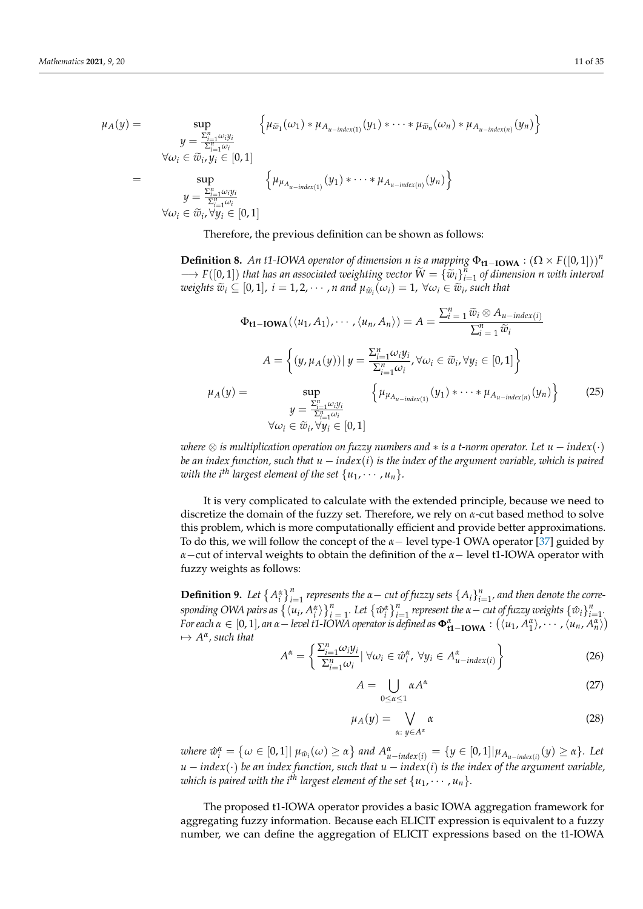$$
\mu_A(y) = \sup_{\substack{y = \frac{\sum_{i=1}^n \omega_i y_i}{\sum_{i=1}^n \omega_i} \\ \forall \omega_i \in \widetilde{w}_i, y_i \in [0, 1]}} \left\{ \mu_{\widetilde{w}_1}(\omega_1) * \mu_{A_{u-index(1)}}(y_1) * \cdots * \mu_{\widetilde{w}_n}(\omega_n) * \mu_{A_{u-index(n)}}(y_n) \right\}
$$
\n
$$
= \sup_{\substack{y = \frac{\sum_{i=1}^n \omega_i y_i}{\sum_{i=1}^n \omega_i}} \left\{ \mu_{\mu_{A_{u-index(1)}}}(y_1) * \cdots * \mu_{A_{u-index(n)}}(y_n) \right\}} \left\{ \mu_{\widetilde{w}_1}(\omega_1) * \cdots * \mu_{A_{u-index(n)}}(y_n) \right\}
$$
\n
$$
\forall \omega_i \in \widetilde{w}_i, \forall y_i \in [0, 1]
$$

Therefore, the previous definition can be shown as follows:

**Definition 8.** An t1-IOWA operator of dimension *n* is a mapping  $\Phi_{t1-IOWA}$  :  $(\Omega \times F([0,1]))^n$  $\rightarrow$  *F*([0,1]) *that has an associated weighting vector*  $\widetilde{W} = {\{\widetilde{w}_i\}}_{i=1}^n$  *of dimension n with interval*<br>*spaights*  $\widetilde{w} \subseteq [0, 1]$ ,  $i = 1, 2, \ldots, n$  and  $y$ ,  $(y) = 1$ ,  $\forall y \in \widetilde{w}$  angle that  $weights \ \widetilde{w}_i \subseteq [0,1], \ i = 1,2,\cdots,n$  and  $\mu_{\widetilde{w}_i}(\omega_i) = 1, \ \forall \omega_i \in \widetilde{w}_i$ , such that

$$
\Phi_{t1-1OWA}(\langle u_1, A_1 \rangle, \cdots, \langle u_n, A_n \rangle) = A = \frac{\sum_{i=1}^{n} \widetilde{w}_i \otimes A_{u-index(i)}}{\sum_{i=1}^{n} \widetilde{w}_i}
$$

$$
A = \left\{ (y, \mu_A(y)) \mid y = \frac{\sum_{i=1}^{n} \omega_i y_i}{\sum_{i=1}^{n} \omega_i}, \forall \omega_i \in \widetilde{w}_i, \forall y_i \in [0, 1] \right\}
$$

$$
\mu_A(y) = \sup_{\substack{y = \frac{\sum_{i=1}^{n} \omega_i y_i}{\sum_{i=1}^{n} \omega_i} \\ \forall \omega_i \in \widetilde{w}_i, \forall y_i \in [0, 1]}} \left\{ \mu_{\mu_{A_{u-index(1)}}}(y_1) * \cdots * \mu_{A_{u-index(n)}}(y_n) \right\} \tag{25}
$$

*where*  $\otimes$  *is multiplication operation on fuzzy numbers and*  $*$  *is a t-norm operator. Let*  $u$  − *index* $(\cdot)$ *be an index function, such that u* − *index*(*i*) *is the index of the argument variable, which is paired with the i*<sup>th</sup> largest element of the set  $\{u_1, \dots, u_n\}$ .

It is very complicated to calculate with the extended principle, because we need to discretize the domain of the fuzzy set. Therefore, we rely on *α*-cut based method to solve this problem, which is more computationally efficient and provide better approximations. To do this, we will follow the concept of the *α*− level type-1 OWA operator [\[37\]](#page-34-1) guided by *α*−cut of interval weights to obtain the definition of the *α*− level t1-IOWA operator with fuzzy weights as follows:

**Definition 9.** Let  $\{A_i^{\alpha}\}_{i=1}^n$  represents the  $\alpha$  - cut of fuzzy sets  $\{A_i\}_{i=1}^n$ , and then denote the corresponding OWA pairs as  $\{u_i, A_i^{\alpha}\}\}_{i=1}^n$ . Let  $\{\hat{w}_i^{\alpha}\}_{i=1}^n$  represent the  $\alpha$  - cut of fuzzy weights  $\{\hat{w}_i\}_{i=1}^n$ . For each  $\alpha \in [0,1]$ , an  $\alpha$  – level t1-IOWA operator is defined as  $\Phi_{t1-1OWA}^{\alpha}: (\langle u_1, A_1^{\alpha}\rangle, \cdots, \langle u_n, A_n^{\alpha}\rangle)$  $\mapsto$   $A^{\alpha}$ , such that

$$
A^{\alpha} = \left\{ \frac{\sum_{i=1}^{n} \omega_{i} y_{i}}{\sum_{i=1}^{n} \omega_{i}} | \forall \omega_{i} \in \hat{\omega}_{i}^{\alpha}, \forall y_{i} \in A_{u-index(i)}^{\alpha} \right\}
$$
(26)

$$
A = \bigcup_{0 \le \alpha \le 1} \alpha A^{\alpha} \tag{27}
$$

$$
\mu_A(y) = \bigvee_{\alpha: y \in A^{\alpha}} \alpha \tag{28}
$$

where  $\hat{w}_i^{\alpha} = \{ \omega \in [0,1] | \mu_{\hat{w}_i}(\omega) \ge \alpha \}$  and  $A_{u-index(i)}^{\alpha} = \{ y \in [0,1] | \mu_{A_{u-index(i)}}(y) \ge \alpha \}.$  Let *u* − *index*(·) *be an index function, such that u* − *index*(*i*) *is the index of the argument variable, which is paired with the i*<sup>th</sup> largest element of the set  $\{u_1, \dots, u_n\}$ .

The proposed t1-IOWA operator provides a basic IOWA aggregation framework for aggregating fuzzy information. Because each ELICIT expression is equivalent to a fuzzy number, we can define the aggregation of ELICIT expressions based on the t1-IOWA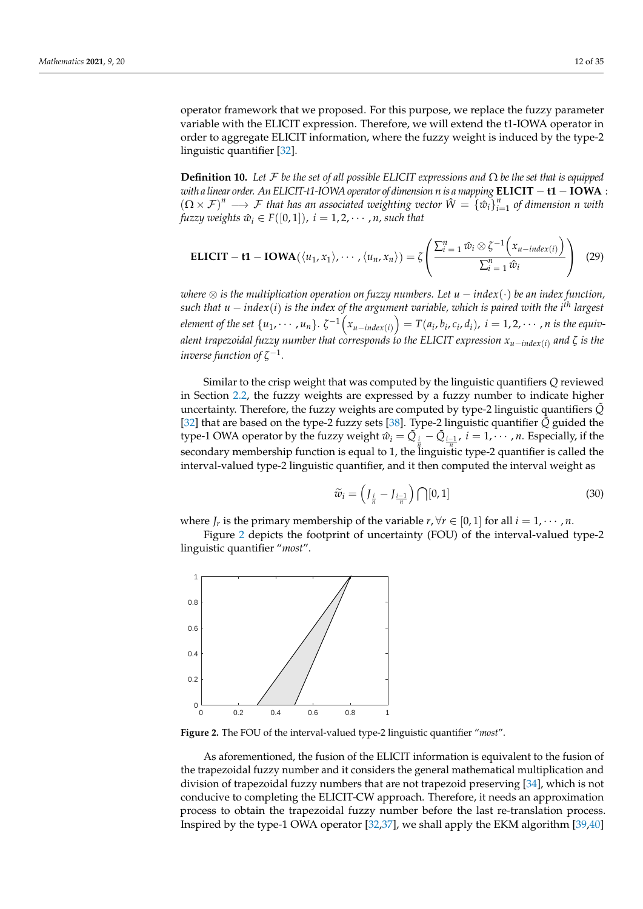operator framework that we proposed. For this purpose, we replace the fuzzy parameter variable with the ELICIT expression. Therefore, we will extend the t1-IOWA operator in order to aggregate ELICIT information, where the fuzzy weight is induced by the type-2 linguistic quantifier [\[32\]](#page-33-25).

**Definition 10.** *Let* F *be the set of all possible ELICIT expressions and* Ω *be the set that is equipped with a linear order. An ELICIT-t1-IOWA operator of dimension n is a mapping* **ELICIT** − **t1** − **IOWA** :  $(D \times F)^n \longrightarrow F$  *that has an associated weighting vector*  $\hat{W} = {\hat{w}_i}_{i=1}^n$  *of dimension n with fuzzy weights*  $\hat{w}_i \in F([0,1])$ ,  $i = 1, 2, \dots, n$ , such that

$$
\text{ELICIT} - t1 - IOWA(\langle u_1, x_1 \rangle, \cdots, \langle u_n, x_n \rangle) = \zeta \left( \frac{\sum_{i=1}^n \hat{w}_i \otimes \zeta^{-1} (x_{u-index(i)})}{\sum_{i=1}^n \hat{w}_i} \right) (29)
$$

*where* ⊗ *is the multiplication operation on fuzzy numbers. Let u* − *index*(·) *be an index function, such that u* − *index*(*i*) *is the index of the argument variable, which is paired with the i th largest* element of the set  $\{u_1,\cdots,u_n\}$ .  $\zeta^{-1}\Big(x_{u-index(i)}\Big)=T(a_i,b_i,c_i,d_i),\ i=1,2,\cdots,n$  is the equiv*alent trapezoidal fuzzy number that corresponds to the ELICIT expression xu*−*index*(*i*) *and ζ is the* inverse function of  $\zeta^{-1}$ .

Similar to the crisp weight that was computed by the linguistic quantifiers *Q* reviewed in Section [2.2,](#page-3-3) the fuzzy weights are expressed by a fuzzy number to indicate higher uncertainty. Therefore, the fuzzy weights are computed by type-2 linguistic quantifiers *Q*˜ [\[32\]](#page-33-25) that are based on the type-2 fuzzy sets [\[38\]](#page-34-2). Type-2 linguistic quantifier *Q*˜ guided the type-1 OWA operator by the fuzzy weight  $\hat{w}_i = \tilde{Q}_{\frac{i}{m}} - \tilde{Q}_{\frac{i-1}{m}}$ ,  $i = 1, \cdots, n$ . Especially, if the secondary membership function is equal to 1, the linguistic type-2 quantifier is called the interval-valued type-2 linguistic quantifier, and it then computed the interval weight as

$$
\widetilde{w}_i = \left(J_{\frac{i}{n}} - J_{\frac{i-1}{n}}\right) \bigcap [0, 1] \tag{30}
$$

where *J<sub>r</sub>* is the primary membership of the variable  $r, \forall r \in [0, 1]$  for all  $i = 1, \dots, n$ .

Figure [2](#page-11-0) depicts the footprint of uncertainty (FOU) of the interval-valued type-2 linguistic quantifier "*most*".

<span id="page-11-0"></span>

**Figure 2.** The FOU of the interval-valued type-2 linguistic quantifier "*most*".

As aforementioned, the fusion of the ELICIT information is equivalent to the fusion of the trapezoidal fuzzy number and it considers the general mathematical multiplication and division of trapezoidal fuzzy numbers that are not trapezoid preserving [\[34\]](#page-33-27), which is not conducive to completing the ELICIT-CW approach. Therefore, it needs an approximation process to obtain the trapezoidal fuzzy number before the last re-translation process. Inspired by the type-1 OWA operator [\[32,](#page-33-25)[37\]](#page-34-1), we shall apply the EKM algorithm [\[39](#page-34-3)[,40\]](#page-34-4)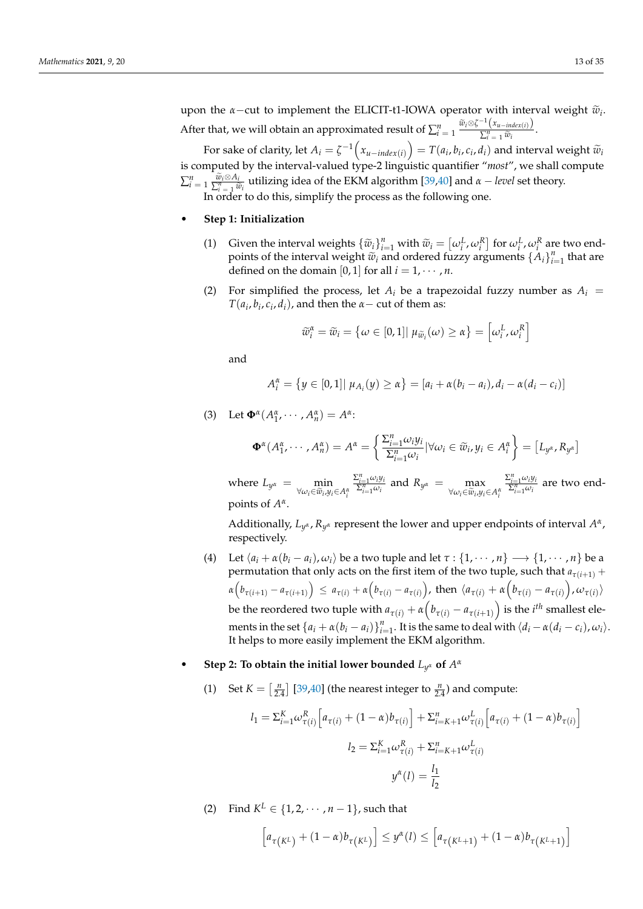upon the *α*−cut to implement the ELICIT-t1-IOWA operator with interval weight  $\tilde{w}_i$ . After that, we will obtain an approximated result of  $\sum_{i=1}^{n} \frac{\widetilde{w}_i \otimes \zeta^{-1}(x_{u-index(i)})}{\sum_{i=1}^{n} \widetilde{w}_i}$  $\frac{\sum_{i=1}^{n} \widetilde{w}_i}{\sum_{i=1}^{n} \widetilde{w}_i}$ .

For sake of clarity, let  $A_i = \zeta^{-1}\left(x_{u - \text{index}(i)}\right) = T(a_i, b_i, c_i, d_i)$  and interval weight  $\widetilde{w}_i$ is computed by the interval-valued type-2 linguistic quantifier "*most*", we shall compute  $\sum_{i=1}^{n} \frac{\tilde{w}_i \otimes A_i}{\sum_{i=1}^{n} \tilde{w}_i}$  utilizing idea of the EKM algorithm [\[39,](#page-34-3)[40\]](#page-34-4) and *α* − *level* set theory. In order to do this, simplify the process as the following one.

• **Step 1: Initialization**

- (1) Given the interval weights  $\{\tilde{w}_i\}_{i=1}^n$  with  $\tilde{w}_i = [\omega_i^L, \omega_i^R]$  for  $\omega_i^L, \omega_i^R$  are two end-<br>points of the interval weight  $\tilde{w}_i$  and ordered fuzzy arguments  $\{A\}^n$ , that are points of the interval weight  $\tilde{w}_i$  and ordered fuzzy arguments  $\{A_i\}_{i=1}^n$  that are defined on the domain [0, 1] for all  $i = 1, \dots, n$ .
- (2) For simplified the process, let  $A_i$  be a trapezoidal fuzzy number as  $A_i$  =  $T(a_i, b_i, c_i, d_i)$ , and then the *α*− cut of them as:

$$
\widetilde{w}_i^{\alpha} = \widetilde{w}_i = \{ \omega \in [0,1] | \mu_{\widetilde{w}_i}(\omega) \ge \alpha \} = \left[ \omega_i^L, \omega_i^R \right]
$$

and

$$
A_i^{\alpha} = \{ y \in [0,1] | \mu_{A_i}(y) \ge \alpha \} = [a_i + \alpha(b_i - a_i), d_i - \alpha(d_i - c_i)]
$$

(3) Let  $\Phi^{\alpha}(A_1^{\alpha}, \cdots, A_n^{\alpha}) = A^{\alpha}$ :

$$
\mathbf{\Phi}^{\alpha}(A_{1}^{\alpha},\cdots,A_{n}^{\alpha})=A^{\alpha}=\left\{\frac{\sum_{i=1}^{n}\omega_{i}y_{i}}{\sum_{i=1}^{n}\omega_{i}}|\forall\omega_{i}\in\widetilde{w}_{i},y_{i}\in A_{i}^{\alpha}\right\}=[L_{y^{\alpha}},R_{y^{\alpha}}]
$$

where  $L_{y^{\alpha}} = \min_{x \in \mathbb{R}^n}$  $\forall$ *ω*<sub>*i*</sub>∈ $\widetilde{w}$ <sub>*i*</sub>, $y$ <sub>*i*</sub>∈ $A_i^{\alpha}$  $\frac{\sum_{i=1}^{n} \omega_i y_i}{\sum_{i=1}^{n} \omega_i}$  and  $R_{y^{\alpha}} = \max_{\forall \omega_i \in \widetilde{w}_i, y_i}$  $\forall$ *ω*<sub>*i*</sub>∈ $\widetilde{w}$ <sub>*i*</sub>, $y$ <sub>*i*</sub>∈ $A_i^{\alpha}$  $\frac{\sum_{i=1}^{n} \omega_i y_i}{\sum_{i=1}^{n} \omega_i}$  are two endpoints of *A α* .

Additionally, *L*<sub>*y<sup>α</sup>*, *R*<sub>*y<sup>α*</sup></sub> represent the lower and upper endpoints of interval *A<sup>α</sup>*,</sub></sub> respectively.

(4) Let  $\langle a_i + \alpha(b_i - a_i), \omega_i \rangle$  be a two tuple and let  $\tau : \{1, \dots, n\} \rightarrow \{1, \dots, n\}$  be a permutation that only acts on the first item of the two tuple, such that  $a_{\tau(i+1)}$  +  $\alpha\Big(b_{\tau(i+1)}-a_{\tau(i+1)}\Big)\,\leq\, a_{\tau(i)}+\alpha\Big(b_{\tau(i)}-a_{\tau(i)}\Big)$ , then  $\langle a_{\tau(i)}+\alpha\Big(b_{\tau(i)}-a_{\tau(i)}\Big),\omega_{\tau(i)}\rangle$ be the reordered two tuple with  $a_{\tau(i)} + \alpha \Big(b_{\tau(i)} - a_{\tau(i+1)}\Big)$  is the  $i^{th}$  smallest elements in the set  $\{a_i + \alpha(b_i - a_i)\}_{i=1}^n$ . It is the same to deal with  $\langle d_i - \alpha(d_i - c_i), \omega_i \rangle$ . It helps to more easily implement the EKM algorithm.

# • Step 2: To obtain the initial lower bounded  $L_{y^{\alpha}}$  of  $A^{\alpha}$

(1) Set  $K = \begin{bmatrix} \frac{n}{2.4} \end{bmatrix}$  [\[39](#page-34-3)[,40\]](#page-34-4) (the nearest integer to  $\frac{n}{2.4}$ ) and compute:

$$
l_1 = \sum_{i=1}^{K} \omega_{\tau(i)}^R \left[ a_{\tau(i)} + (1 - \alpha) b_{\tau(i)} \right] + \sum_{i=K+1}^{n} \omega_{\tau(i)}^L \left[ a_{\tau(i)} + (1 - \alpha) b_{\tau(i)} \right]
$$

$$
l_2 = \sum_{i=1}^{K} \omega_{\tau(i)}^R + \sum_{i=K+1}^{n} \omega_{\tau(i)}^L
$$

$$
y^{\alpha}(l) = \frac{l_1}{l_2}
$$

(2) Find  $K^L \in \{1, 2, \dots, n-1\}$ , such that

$$
\left[a_{\tau\left(K^{L}\right)}+(1-\alpha)b_{\tau\left(K^{L}\right)}\right]\leq y^{\alpha}(l)\leq\left[a_{\tau\left(K^{L}+1\right)}+(1-\alpha)b_{\tau\left(K^{L}+1\right)}\right]
$$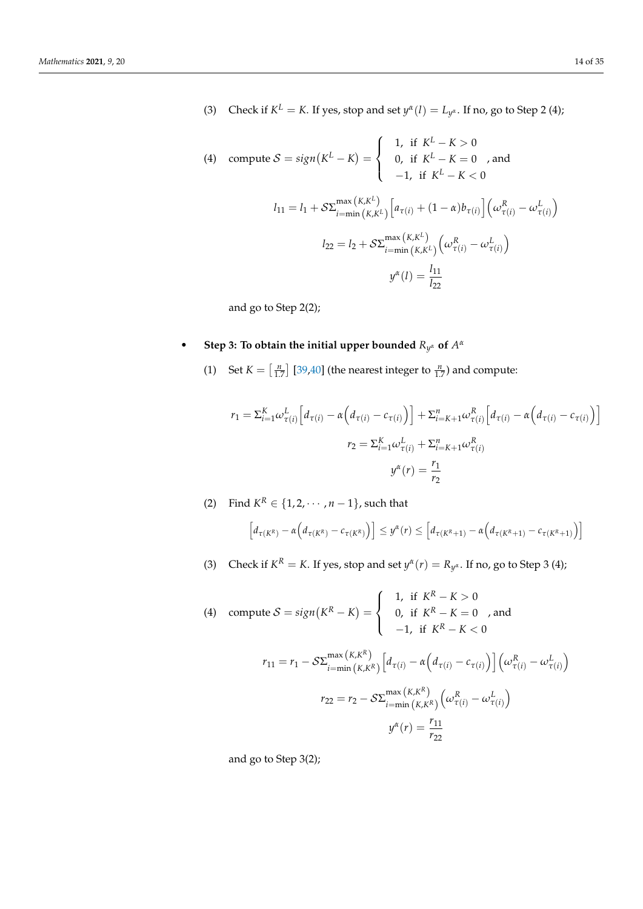(3) Check if  $K^L = K$ . If yes, stop and set  $y^{\alpha}(l) = L_{y^{\alpha}}$ . If no, go to Step 2 (4);

(4) compute 
$$
S = sign(K^L - K) = \begin{cases} 1, & \text{if } K^L - K > 0 \\ 0, & \text{if } K^L - K = 0 \\ -1, & \text{if } K^L - K < 0 \end{cases}
$$
, and  
\n
$$
l_{11} = l_1 + S \Sigma_{i = min(K, K^L)}^{max(K, K^L)} \left[ a_{\tau(i)} + (1 - \alpha) b_{\tau(i)} \right] \left( \omega_{\tau(i)}^R - \omega_{\tau(i)}^L \right)
$$
\n
$$
l_{22} = l_2 + S \Sigma_{i = min(K, K^L)}^{max(K, K^L)} \left( \omega_{\tau(i)}^R - \omega_{\tau(i)}^L \right)
$$
\n
$$
y^{\alpha}(l) = \frac{l_{11}}{l_{22}}
$$

and go to Step 2(2);

# • Step 3: To obtain the initial upper bounded  $R_{y^{\alpha}}$  of  $A^{\alpha}$

(1) Set  $K = \left[\frac{n}{1.7}\right]$  [\[39](#page-34-3)[,40\]](#page-34-4) (the nearest integer to  $\frac{n}{1.7}$ ) and compute:

$$
r_1 = \sum_{i=1}^{K} \omega_{\tau(i)}^L \left[ d_{\tau(i)} - \alpha \left( d_{\tau(i)} - c_{\tau(i)} \right) \right] + \sum_{i=K+1}^{n} \omega_{\tau(i)}^R \left[ d_{\tau(i)} - \alpha \left( d_{\tau(i)} - c_{\tau(i)} \right) \right]
$$

$$
r_2 = \sum_{i=1}^{K} \omega_{\tau(i)}^L + \sum_{i=K+1}^{n} \omega_{\tau(i)}^R
$$

$$
y^{\alpha}(r) = \frac{r_1}{r_2}
$$

(2) Find  $K^R \in \{1, 2, \dots, n-1\}$ , such that

$$
\[d_{\tau(K^R)} - \alpha \Big(d_{\tau(K^R)} - c_{\tau(K^R)}\Big)\] \leq y^{\alpha}(r) \leq \Big[d_{\tau(K^R+1)} - \alpha \Big(d_{\tau(K^R+1)} - c_{\tau(K^R+1)}\Big)\Big]
$$

(3) Check if  $K^R = K$ . If yes, stop and set  $y^{\alpha}(r) = R_{y^{\alpha}}$ . If no, go to Step 3 (4);

(4) compute 
$$
S = sign(K^R - K) = \begin{cases} 1, & \text{if } K^R - K > 0 \\ 0, & \text{if } K^R - K = 0 \\ -1, & \text{if } K^R - K < 0 \end{cases}
$$
, and  
\n
$$
r_{11} = r_1 - S \Sigma_{i = min(K, K^R)}^{max(K, K)} \left[ d_{\tau(i)} - \alpha \left( d_{\tau(i)} - c_{\tau(i)} \right) \right] \left( \omega_{\tau(i)}^R - \omega_{\tau(i)}^L \right)
$$
\n
$$
r_{22} = r_2 - S \Sigma_{i = min(K, K^R)}^{max(K, K)} \left( \omega_{\tau(i)}^R - \omega_{\tau(i)}^L \right)
$$
\n
$$
y^{\alpha}(r) = \frac{r_{11}}{r_{22}}
$$

and go to Step 3(2);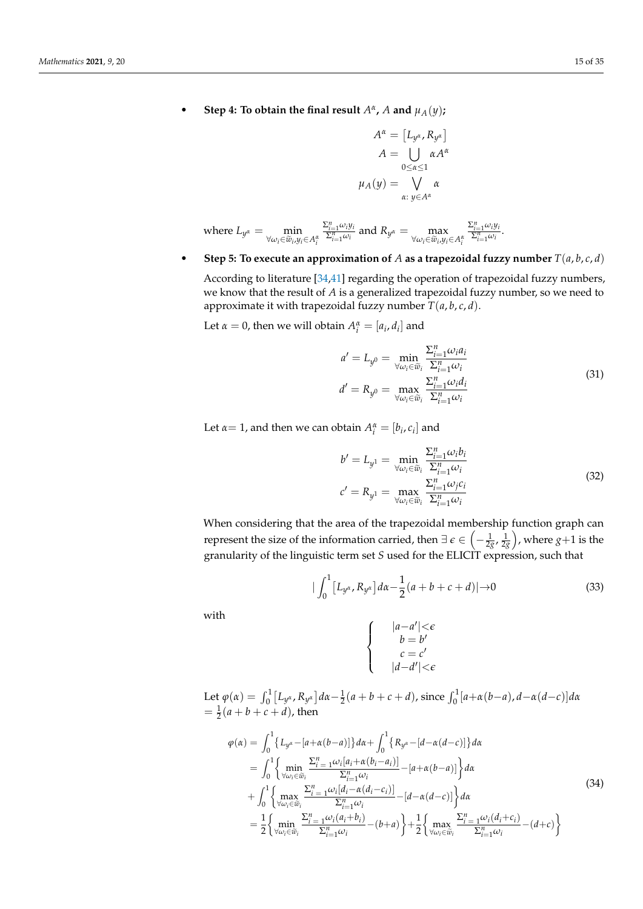• Step 4: To obtain the final result  $A^{\alpha}$ , A and  $\mu_A(y)$ ;

$$
A^{\alpha} = [L_{y^{\alpha}}, R_{y^{\alpha}}]
$$

$$
A = \bigcup_{0 \leq \alpha \leq 1} \alpha A^{\alpha}
$$

$$
\mu_A(y) = \bigvee_{\alpha: y \in A^{\alpha}} \alpha
$$

where 
$$
L_{y^{\alpha}} = \min_{\forall \omega_i \in \tilde{w}_i, y_i \in A_i^{\alpha}} \frac{\sum_{i=1}^n \omega_i y_i}{\sum_{i=1}^n \omega_i}
$$
 and  $R_{y^{\alpha}} = \max_{\forall \omega_i \in \tilde{w}_i, y_i \in A_i^{\alpha}} \frac{\sum_{i=1}^n \omega_i y_i}{\sum_{i=1}^n \omega_i}$ .

• Step 5: To execute an approximation of  $A$  as a trapezoidal fuzzy number  $T(a, b, c, d)$ 

According to literature [\[34](#page-33-27)[,41\]](#page-34-5) regarding the operation of trapezoidal fuzzy numbers, we know that the result of *A* is a generalized trapezoidal fuzzy number, so we need to approximate it with trapezoidal fuzzy number  $T(a, b, c, d)$ .

Let  $\alpha = 0$ , then we will obtain  $A_i^{\alpha} = [a_i, d_i]$  and

$$
a' = L_{y^0} = \min_{\forall \omega_i \in \widetilde{w}_i} \frac{\sum_{i=1}^n \omega_i a_i}{\sum_{i=1}^n \omega_i}
$$
  
\n
$$
d' = R_{y^0} = \max_{\forall \omega_i \in \widetilde{w}_i} \frac{\sum_{i=1}^n \omega_i d_i}{\sum_{i=1}^n \omega_i}
$$
\n(31)

Let  $\alpha = 1$ , and then we can obtain  $A_i^{\alpha} = [b_i, c_i]$  and

$$
b' = L_{y1} = \min_{\forall \omega_i \in \widetilde{w}_i} \frac{\sum_{i=1}^n \omega_i b_i}{\sum_{i=1}^n \omega_i}
$$
  

$$
c' = R_{y1} = \max_{\forall \omega_i \in \widetilde{w}_i} \frac{\sum_{i=1}^n \omega_j c_i}{\sum_{i=1}^n \omega_i}
$$
(32)

When considering that the area of the trapezoidal membership function graph can represent the size of the information carried, then  $\exists \ \epsilon \in \left(-\frac{1}{2g}, \frac{1}{2g}\right)$ , where  $g+1$  is the granularity of the linguistic term set *S* used for the ELICIT expression, such that

$$
|\int_0^1 [L_{y^{\alpha}}, R_{y^{\alpha}}] d\alpha - \frac{1}{2}(a+b+c+d)| \to 0
$$
 (33)

with

$$
|a-a'| < \epsilon
$$
  
\n
$$
b = b'
$$
  
\n
$$
c = c'
$$
  
\n
$$
|d-d'| < \epsilon
$$

Let  $\varphi(\alpha) = \int_0^1 [L_{y^{\alpha}} , R_{y^{\alpha}}] d\alpha - \frac{1}{2}(a+b+c+d)$ , since  $\int_0^1 [a+\alpha(b-a), d-\alpha(d-c)]d\alpha$  $= \frac{1}{2}(a + b + c + d)$ , then

 $\sqrt{ }$  $\int$ 

 $\overline{\mathcal{L}}$ 

$$
\varphi(\alpha) = \int_{0}^{1} \{L_{y^{\alpha}} - [a + \alpha(b - a)]\} d\alpha + \int_{0}^{1} \{R_{y^{\alpha}} - [d - \alpha(d - c)]\} d\alpha \n= \int_{0}^{1} \left\{ \min_{\forall \omega_{i} \in \widetilde{\omega}_{i}} \frac{\sum_{i=1}^{n} \omega_{i} [a_{i} + \alpha(b_{i} - a_{i})]}{\sum_{i=1}^{n} \omega_{i}} - [a + \alpha(b - a)] \right\} d\alpha \n+ \int_{0}^{1} \left\{ \max_{\forall \omega_{i} \in \widetilde{\omega}_{i}} \frac{\sum_{i=1}^{n} \omega_{i} [d_{i} - \alpha(d_{i} - c_{i})]}{\sum_{i=1}^{n} \omega_{i}} - [d - \alpha(d - c)] \right\} d\alpha \n= \frac{1}{2} \left\{ \min_{\forall \omega_{i} \in \widetilde{\omega}_{i}} \frac{\sum_{i=1}^{n} \omega_{i} (a_{i} + b_{i})}{\sum_{i=1}^{n} \omega_{i}} - (b + a) \right\} + \frac{1}{2} \left\{ \max_{\forall \omega_{i} \in \widetilde{\omega}_{i}} \frac{\sum_{i=1}^{n} \omega_{i} (d_{i} + c_{i})}{\sum_{i=1}^{n} \omega_{i}} - (d + c) \right\}
$$
\n(34)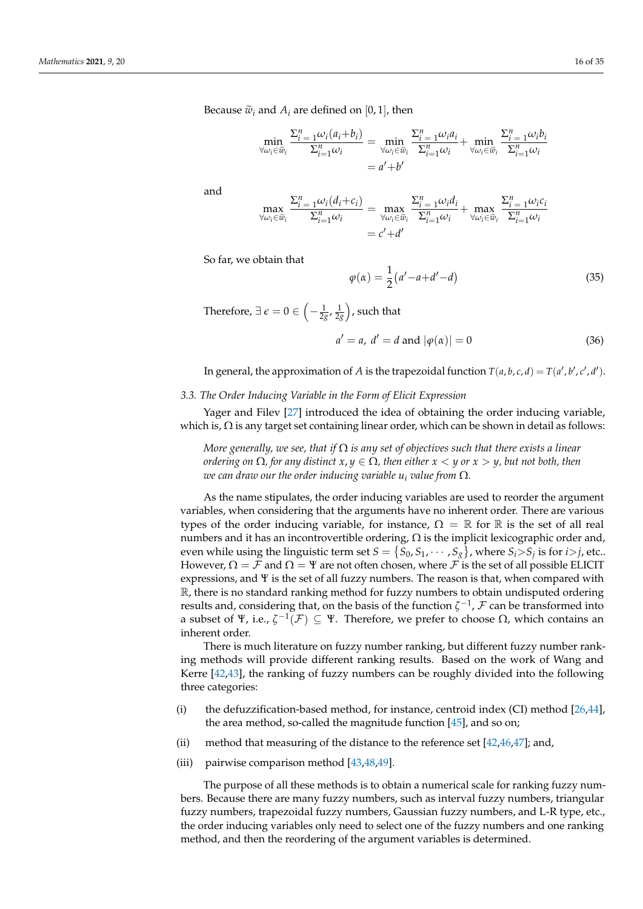Because  $\tilde{w}_i$  and  $A_i$  are defined on [0, 1], then

$$
\min_{\forall \omega_i \in \widetilde{w}_i} \frac{\sum_{i=1}^n \omega_i (a_i + b_i)}{\sum_{i=1}^n \omega_i} = \min_{\forall \omega_i \in \widetilde{w}_i} \frac{\sum_{i=1}^n \omega_i a_i}{\sum_{i=1}^n \omega_i} + \min_{\forall \omega_i \in \widetilde{w}_i} \frac{\sum_{i=1}^n \omega_i b_i}{\sum_{i=1}^n \omega_i}
$$
\n
$$
= a' + b'
$$

and

$$
\max_{\forall \omega_i \in \widetilde{w}_i} \frac{\Sigma_{i=1}^n \omega_i(d_i + c_i)}{\Sigma_{i=1}^n \omega_i} = \max_{\forall \omega_i \in \widetilde{w}_i} \frac{\Sigma_{i=1}^n \omega_i d_i}{\Sigma_{i=1}^n \omega_i} + \max_{\forall \omega_i \in \widetilde{w}_i} \frac{\Sigma_{i=1}^n \omega_i c_i}{\Sigma_{i=1}^n \omega_i}
$$

$$
= c' + d'
$$

So far, we obtain that

$$
\varphi(\alpha) = \frac{1}{2} (a' - a + d' - d) \tag{35}
$$

Therefore,  $\exists \ \epsilon = 0 \in \left( -\frac{1}{2g}, \frac{1}{2g} \right)$ , such that

$$
a' = a, d' = d
$$
 and  $|\varphi(\alpha)| = 0$  (36)

In general, the approximation of *A* is the trapezoidal function  $T(a, b, c, d) = T(a', b', c', d').$ 

### <span id="page-15-0"></span>*3.3. The Order Inducing Variable in the Form of Elicit Expression*

Yager and Filev [\[27\]](#page-33-20) introduced the idea of obtaining the order inducing variable, which is,  $\Omega$  is any target set containing linear order, which can be shown in detail as follows:

*More generally, we see, that if* Ω *is any set of objectives such that there exists a linear ordering on*  $\Omega$ *, for any distinct*  $x, y \in \Omega$ *, then either*  $x < y$  *or*  $x > y$ *, but not both, then we can draw our the order inducing variable*  $u_i$  *value from*  $\Omega$ *.* 

As the name stipulates, the order inducing variables are used to reorder the argument variables, when considering that the arguments have no inherent order. There are various types of the order inducing variable, for instance,  $\Omega = \mathbb{R}$  for  $\mathbb{R}$  is the set of all real numbers and it has an incontrovertible ordering,  $Ω$  is the implicit lexicographic order and, even while using the linguistic term set  $S = \{S_0, S_1, \cdots, S_g\}$ , where  $S_i$ > $S_j$  is for *i*>*j*, etc.. However,  $\Omega = \mathcal{F}$  and  $\Omega = \Psi$  are not often chosen, where  $\mathcal{F}$  is the set of all possible ELICIT expressions, and Ψ is the set of all fuzzy numbers. The reason is that, when compared with R, there is no standard ranking method for fuzzy numbers to obtain undisputed ordering results and, considering that, on the basis of the function  $\zeta^{-1}$ ,  $\mathcal F$  can be transformed into a subset of Ψ, i.e.,  $\zeta^{-1}(\mathcal{F}) \subseteq \Psi$ . Therefore, we prefer to choose  $\Omega$ , which contains an inherent order.

There is much literature on fuzzy number ranking, but different fuzzy number ranking methods will provide different ranking results. Based on the work of Wang and Kerre [\[42,](#page-34-6)[43\]](#page-34-7), the ranking of fuzzy numbers can be roughly divided into the following three categories:

- (i) the defuzzification-based method, for instance, centroid index (CI) method [\[26,](#page-33-19)[44\]](#page-34-8), the area method, so-called the magnitude function  $[45]$ , and so on;
- (ii) method that measuring of the distance to the reference set  $[42,46,47]$  $[42,46,47]$  $[42,46,47]$ ; and,
- (iii) pairwise comparison method [\[43](#page-34-7)[,48](#page-34-12)[,49\]](#page-34-13).

The purpose of all these methods is to obtain a numerical scale for ranking fuzzy numbers. Because there are many fuzzy numbers, such as interval fuzzy numbers, triangular fuzzy numbers, trapezoidal fuzzy numbers, Gaussian fuzzy numbers, and L-R type, etc., the order inducing variables only need to select one of the fuzzy numbers and one ranking method, and then the reordering of the argument variables is determined.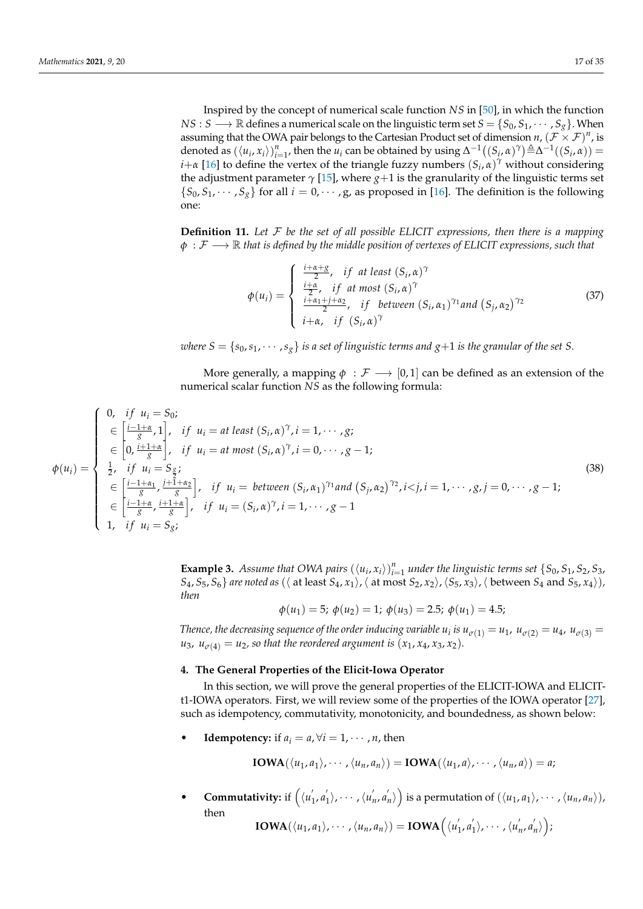Inspired by the concept of numerical scale function *NS* in [\[50\]](#page-34-14), in which the function *NS* : *S*  $\longrightarrow \mathbb{R}$  defines a numerical scale on the linguistic term set  $S = \{S_0, S_1, \cdots, S_g\}$ . When assuming that the OWA pair belongs to the Cartesian Product set of dimension  $n$ ,  $(\mathcal{F} \times \mathcal{F})^n$ , is denoted as  $(\langle u_i, x_i \rangle)_{i=1}^n$ , then the  $u_i$  can be obtained by using  $\Delta^{-1}((S_i, \alpha)^\gamma) \triangleq \Delta^{-1}((S_i, \alpha)) =$ *i*+*α* [\[16\]](#page-33-10) to define the vertex of the triangle fuzzy numbers  $(S_i, \alpha)^\gamma$  without considering the adjustment parameter  $\gamma$  [\[15\]](#page-33-8), where  $g+1$  is the granularity of the linguistic terms set  ${S_0, S_1, \dots, S_g}$  for all  $i = 0, \dots, g$ , as proposed in [\[16\]](#page-33-10). The definition is the following one:

**Definition 11.** *Let* F *be the set of all possible ELICIT expressions, then there is a mapping*  $φ$ :  $\mathcal{F}$  → R *that is defined by the middle position of vertexes of ELICIT expressions, such that* 

$$
\phi(u_i) = \begin{cases}\n\frac{i + \alpha + g}{2}, & if \text{ at least } (S_i, \alpha)^\gamma \\
\frac{i + \alpha}{2}, & if \text{ at most } (S_i, \alpha)^\gamma \\
\frac{i + \alpha_1 + j + \alpha_2}{2}, & if \text{ between } (S_i, \alpha_1)^\gamma \text{ and } (S_j, \alpha_2)^\gamma\n\end{cases} \tag{37}
$$

*where*  $S = \{s_0, s_1, \dots, s_g\}$  *is a set of linguistic terms and*  $g+1$  *is the granular of the set S*.

More generally, a mapping  $\phi : \mathcal{F} \longrightarrow [0, 1]$  can be defined as an extension of the numerical scalar function *NS* as the following formula:

$$
\phi(u_i) = \begin{cases}\n0, & \text{if } u_i = S_0; \\
\in \left[\frac{i-1+\alpha}{g}, 1\right], & \text{if } u_i = at \text{ least } (S_i, \alpha)^\gamma, i = 1, \dots, g; \\
\in \left[0, \frac{i+1+\alpha}{g}\right], & \text{if } u_i = at \text{ most } (S_i, \alpha)^\gamma, i = 0, \dots, g-1; \\
\frac{1}{2}, & \text{if } u_i = S_{\frac{g}{2}}; \\
\in \left[\frac{i-1+\alpha_1}{g}, \frac{i+1+\alpha_2}{g}\right], & \text{if } u_i = \text{ between } (S_i, \alpha_1)^\gamma \text{ and } (S_j, \alpha_2)^\gamma, i < j, i = 1, \dots, g, j = 0, \dots, g-1; \\
\in \left[\frac{i-1+\alpha}{g}, \frac{i+1+\alpha}{g}\right], & \text{if } u_i = (S_i, \alpha)^\gamma, i = 1, \dots, g-1\n\end{cases} \tag{38}
$$

**Example 3.** Assume that OWA pairs  $(\langle u_i, x_i \rangle)_{i=1}^n$  under the linguistic terms set  $\{S_0, S_1, S_2, S_3,$  $S_4$ ,  $S_5$ ,  $S_6$ } *are noted as* ( $\langle$  at least  $S_4$ ,  $x_1 \rangle$ ,  $\langle$  at most  $S_2$ ,  $x_2 \rangle$ ,  $\langle S_5$ ,  $x_3 \rangle$ ,  $\langle$  between  $S_4$  and  $S_5$ ,  $x_4 \rangle$ ), *then*

$$
\phi(u_1) = 5; \ \phi(u_2) = 1; \ \phi(u_3) = 2.5; \ \phi(u_1) = 4.5;
$$

*Thence, the decreasing sequence of the order inducing variable*  $u_i$  *is*  $u_{\sigma(1)} = u_1$ *,*  $u_{\sigma(2)} = u_4$ *,*  $u_{\sigma(3)} = u_5$  $u_3$ ,  $u_{\sigma(4)} = u_2$ , so that the reordered argument is  $(x_1, x_4, x_3, x_2)$ .

# <span id="page-16-0"></span>**4. The General Properties of the Elicit-Iowa Operator**

In this section, we will prove the general properties of the ELICIT-IOWA and ELICITt1-IOWA operators. First, we will review some of the properties of the IOWA operator [\[27\]](#page-33-20), such as idempotency, commutativity, monotonicity, and boundedness, as shown below:

**Idempotency:** if  $a_i = a, \forall i = 1, \dots, n$ , then

$$
IOWA(\langle u_1, a_1 \rangle, \cdots, \langle u_n, a_n \rangle) = IOWA(\langle u_1, a \rangle, \cdots, \langle u_n, a \rangle) = a;
$$

• **Commutativity:** if  $\left(\langle u \rangle \right)$  $\int_1^{\prime} a_1^{\prime}$  $\langle 1 \rangle$ ,  $\cdots$  ,  $\langle u_1 \rangle$  $n$ ,  $a'_i$  $\binom{n}{n}$  is a permutation of  $(\langle u_1, a_1\rangle, \cdots, \langle u_n, a_n\rangle),$ then  $\textbf{IOWA}(\langle u_1, a_1 \rangle, \cdots, \langle u_n, a_n \rangle) = \textbf{IOWA}\Big(\langle u \rangle \Big)$  $\frac{1}{1}$ ,  $a_1'$  $\langle 1 \rangle$ ,  $\cdots$  ,  $\langle u_1 \rangle$  $n$ ,  $a'_i$  $'_{n}\rangle$  );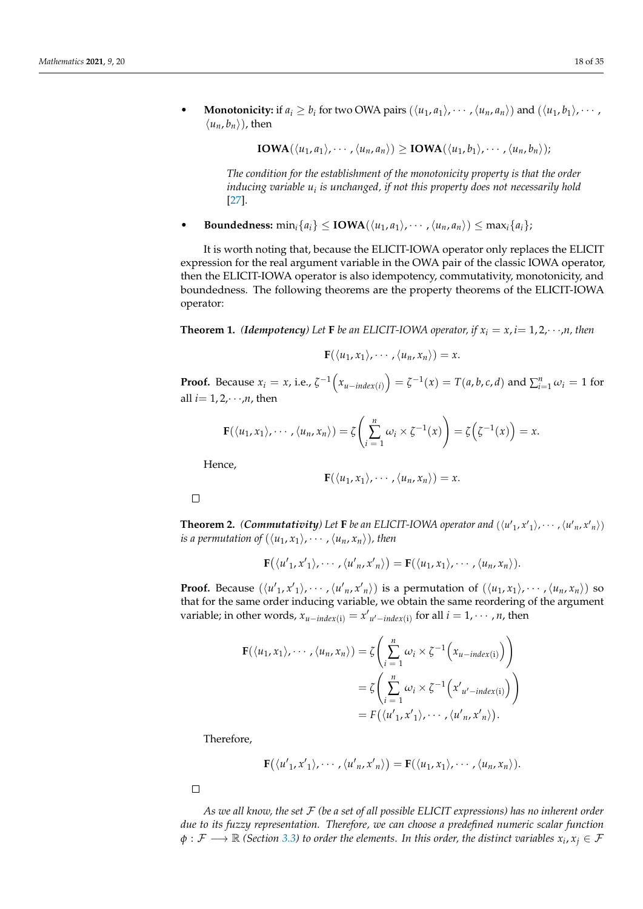• **Monotonicity:** if  $a_i \ge b_i$  for two OWA pairs  $(\langle u_1, a_1 \rangle, \dots, \langle u_n, a_n \rangle)$  and  $(\langle u_1, b_1 \rangle, \dots,$  $\langle u_n, b_n \rangle$ , then

$$
IOWA(\langle u_1, a_1 \rangle, \cdots, \langle u_n, a_n \rangle) \geq IOWA(\langle u_1, b_1 \rangle, \cdots, \langle u_n, b_n \rangle);
$$

*The condition for the establishment of the monotonicity property is that the order inducing variable u<sup>i</sup> is unchanged, if not this property does not necessarily hold* [\[27\]](#page-33-20).

**Boundedness:** min<sub>*i*</sub>{ $a_i$ }  $\le$  **IOWA**( $\langle u_1, a_1 \rangle$ ,  $\cdots$ ,  $\langle u_n, a_n \rangle$ )  $\le$  max<sub>*i*</sub>{ $a_i$ };

It is worth noting that, because the ELICIT-IOWA operator only replaces the ELICIT expression for the real argument variable in the OWA pair of the classic IOWA operator, then the ELICIT-IOWA operator is also idempotency, commutativity, monotonicity, and boundedness. The following theorems are the property theorems of the ELICIT-IOWA operator:

**Theorem 1.** *(Idempotency)* Let **F** *be an ELICIT-IOWA operator, if*  $x_i = x$ ,  $i = 1, 2, \dots, n$ , then

$$
\mathbf{F}(\langle u_1,x_1\rangle,\cdots,\langle u_n,x_n\rangle)=x.
$$

**Proof.** Because  $x_i = x$ , i.e.,  $\zeta^{-1}\left(x_{u-index(i)}\right) = \zeta^{-1}(x) = T(a, b, c, d)$  and  $\sum_{i=1}^{n} \omega_i = 1$  for all  $i=1,2,\dots,n$ , then

$$
\mathbf{F}(\langle u_1,x_1\rangle,\cdots,\langle u_n,x_n\rangle)=\zeta\left(\sum_{i=1}^n\omega_i\times\zeta^{-1}(x)\right)=\zeta\left(\zeta^{-1}(x)\right)=x.
$$

Hence,

$$
\mathbf{F}(\langle u_1,x_1\rangle,\cdots,\langle u_n,x_n\rangle)=x.
$$

 $\Box$ 

**Theorem 2.** *(Commutativity)* Let **F** be an ELICIT-IOWA operator and  $(\langle u'_1, x'_1 \rangle, \dots, \langle u'_n, x'_n \rangle)$ *is a permutation of*  $(\langle u_1, x_1 \rangle, \cdots, \langle u_n, x_n \rangle)$ *, then* 

$$
\mathbf{F}(\langle u'_1,x'_1\rangle,\cdots,\langle u'_n,x'_n\rangle)=\mathbf{F}(\langle u_1,x_1\rangle,\cdots,\langle u_n,x_n\rangle).
$$

**Proof.** Because  $(\langle u'_1, x'_1 \rangle, \cdots, \langle u'_n, x'_n \rangle)$  is a permutation of  $(\langle u_1, x_1 \rangle, \cdots, \langle u_n, x_n \rangle)$  so that for the same order inducing variable, we obtain the same reordering of the argument variable; in other words,  $x_{u-index(i)} = x'_{u'-index(i)}$  for all  $i = 1, \dots, n$ , then

$$
\mathbf{F}(\langle u_1, x_1 \rangle, \cdots, \langle u_n, x_n \rangle) = \zeta \left( \sum_{i=1}^n \omega_i \times \zeta^{-1} \left( x_{u-index(i)} \right) \right)
$$
  
=  $\zeta \left( \sum_{i=1}^n \omega_i \times \zeta^{-1} \left( x'_{u'-index(i)} \right) \right)$   
=  $F(\langle u'_1, x'_1 \rangle, \cdots, \langle u'_n, x'_n \rangle).$ 

Therefore,

 $\mathbf{F}(\langle u'_{1}, x'_{1}\rangle, \cdots, \langle u'_{n}, x'_{n}\rangle) = \mathbf{F}(\langle u_{1}, x_{1}\rangle, \cdots, \langle u_{n}, x_{n}\rangle).$ 

 $\Box$ 

*As we all know, the set* F *(be a set of all possible ELICIT expressions) has no inherent order due to its fuzzy representation. Therefore, we can choose a predefined numeric scalar function*  $\phi: \mathcal{F} \longrightarrow \mathbb{R}$  *(Section [3.3\)](#page-15-0)* to order the elements. In this order, the distinct variables  $x_i, x_j \in \mathcal{F}$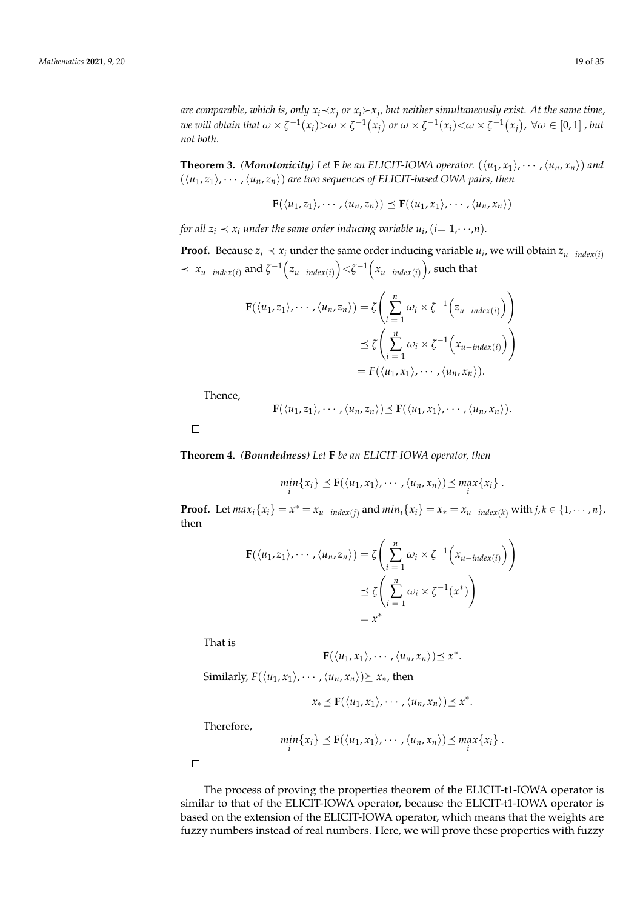*are comparable, which is, only xi*≺*x<sup>j</sup> or x<sup>i</sup>x<sup>j</sup> , but neither simultaneously exist. At the same time,* we will obtain that  $\omega\times\zeta^{-1}(x_i){>}\omega\times\zeta^{-1}(x_j)$  or  $\omega\times\zeta^{-1}(x_i){<}\omega\times\zeta^{-1}(x_j)$ ,  $\forall\omega\in[0,1]$  , but *not both.*

**Theorem 3.** *(Monotonicity)* Let **F** be an ELICIT-IOWA operator.  $(\langle u_1, x_1 \rangle, \cdots, \langle u_n, x_n \rangle)$  and  $(\langle u_1, z_1 \rangle, \cdots, \langle u_n, z_n \rangle)$  are two sequences of ELICIT-based OWA pairs, then

$$
\mathbf{F}(\langle u_1,z_1\rangle,\cdots,\langle u_n,z_n\rangle)\preceq\mathbf{F}(\langle u_1,x_1\rangle,\cdots,\langle u_n,x_n\rangle)
$$

*for all*  $z_i \prec x_i$  *under the same order inducing variable*  $u_i$ *,*  $(i= 1, \dots, n)$ *.* 

**Proof.** Because  $z_i \prec x_i$  under the same order inducing variable  $u_i$ , we will obtain  $z_{u-intex(i)}$  $\prec x_{u-index(i)}$  and  $\zeta^{-1}(z_{u-index(i)})$  <  $\zeta^{-1}(x_{u-index(i)})$ , such that

$$
\mathbf{F}(\langle u_1, z_1 \rangle, \cdots, \langle u_n, z_n \rangle) = \zeta \left( \sum_{i=1}^n \omega_i \times \zeta^{-1} \left( z_{u-index(i)} \right) \right)
$$
  

$$
\preceq \zeta \left( \sum_{i=1}^n \omega_i \times \zeta^{-1} \left( x_{u-index(i)} \right) \right)
$$
  

$$
= F(\langle u_1, x_1 \rangle, \cdots, \langle u_n, x_n \rangle).
$$

Thence,

$$
\mathbf{F}(\langle u_1,z_1\rangle,\cdots,\langle u_n,z_n\rangle)\preceq\mathbf{F}(\langle u_1,x_1\rangle,\cdots,\langle u_n,x_n\rangle).
$$

 $\Box$ 

**Theorem 4.** *(Boundedness) Let* **F** *be an ELICIT-IOWA operator, then*

$$
\min_i \{x_i\} \preceq \mathbf{F}(\langle u_1,x_1\rangle,\cdots,\langle u_n,x_n\rangle) \preceq \max_i \{x_i\}.
$$

**Proof.** Let  $max_i \{x_i\} = x^* = x_{u-index(j)}$  and  $min_i \{x_i\} = x_* = x_{u-index(k)}$  with  $j, k \in \{1, \dots, n\}$ , then

$$
\mathbf{F}(\langle u_1, z_1 \rangle, \cdots, \langle u_n, z_n \rangle) = \zeta \left( \sum_{i=1}^n \omega_i \times \zeta^{-1} \left( x_{u-index(i)} \right) \right)
$$
  

$$
\leq \zeta \left( \sum_{i=1}^n \omega_i \times \zeta^{-1} (x^*) \right)
$$
  

$$
= x^*
$$

That is

$$
\mathbf{F}(\langle u_1,x_1\rangle,\cdots,\langle u_n,x_n\rangle)\preceq x^*.
$$

Similarly,  $F(\langle u_1, x_1 \rangle, \cdots, \langle u_n, x_n \rangle) \succeq x_*$ , then

$$
x_* \preceq \mathbf{F}(\langle u_1,x_1 \rangle,\cdots,\langle u_n,x_n \rangle) \preceq x^*.
$$

Therefore,

$$
\min_i \{x_i\} \preceq \mathbf{F}(\langle u_1, x_1 \rangle, \cdots, \langle u_n, x_n \rangle) \preceq \max_i \{x_i\}.
$$

 $\Box$ 

The process of proving the properties theorem of the ELICIT-t1-IOWA operator is similar to that of the ELICIT-IOWA operator, because the ELICIT-t1-IOWA operator is based on the extension of the ELICIT-IOWA operator, which means that the weights are fuzzy numbers instead of real numbers. Here, we will prove these properties with fuzzy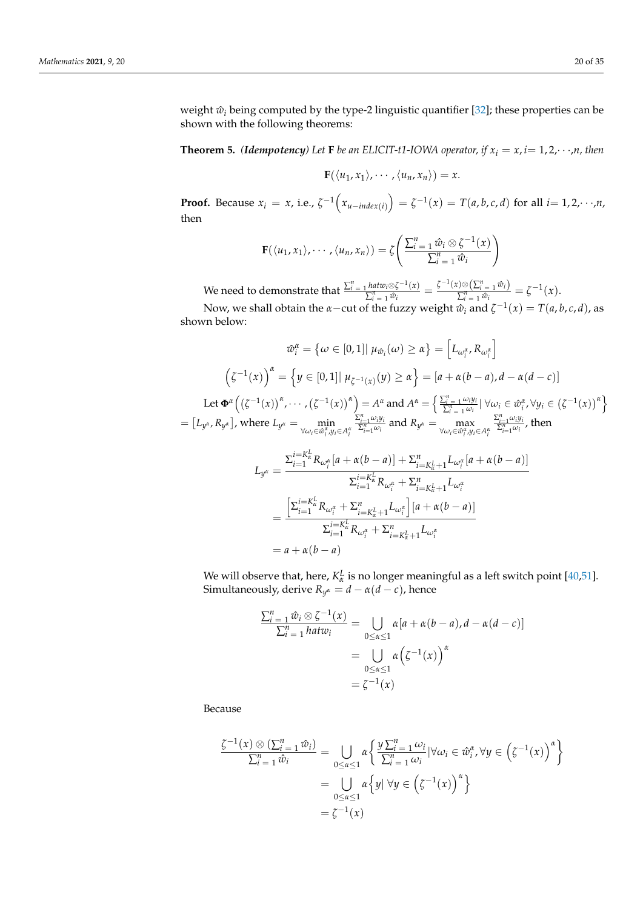weight  $\hat{w}_i$  being computed by the type-2 linguistic quantifier [\[32\]](#page-33-25); these properties can be shown with the following theorems:

**Theorem 5.** *(Idempotency)* Let **F** *be an ELICIT-t1-IOWA operator, if*  $x_i = x$ ,  $i = 1, 2, \dots, n$ , then

$$
\mathbf{F}(\langle u_1,x_1\rangle,\cdots,\langle u_n,x_n\rangle)=x.
$$

**Proof.** Because  $x_i = x$ , i.e.,  $\zeta^{-1}(x_{u-index(i)}) = \zeta^{-1}(x) = T(a, b, c, d)$  for all  $i = 1, 2, \dots, n$ , then

$$
\mathbf{F}(\langle u_1,x_1\rangle,\cdots,\langle u_n,x_n\rangle)=\zeta\left(\frac{\sum_{i=1}^n\hat{w}_i\otimes\zeta^{-1}(x)}{\sum_{i=1}^n\hat{w}_i}\right)
$$

We need to demonstrate that  $\frac{\sum_{i=1}^{n} h a t w_i \otimes \zeta^{-1}(x)}{\sum_{i=1}^{n} \hat{w}_i}$  $\frac{\int_{\Omega} h \, dt \, w_i \otimes \zeta^{-1}(x)}{\sum_{i=1}^{n} \hat{w}_i} = \frac{\zeta^{-1}(x) \otimes \left(\sum_{i=1}^{n} \hat{w}_i\right)}{\sum_{i=1}^{n} \hat{w}_i}$  $\frac{\sum_{i=1}^{n} w_i}{\sum_{i=1}^{n} \hat{w}_i} = \zeta^{-1}(x).$ 

Now, we shall obtain the *α*−cut of the fuzzy weight  $\hat{w}_i$  and  $\zeta^{-1}(x) = T(a, b, c, d)$ , as shown below:

$$
\hat{w}_{i}^{\alpha} = \{ \omega \in [0,1] | \mu_{\hat{w}_{i}}(\omega) \geq \alpha \} = \left[ L_{\omega_{i}^{\alpha}}, R_{\omega_{i}^{\alpha}} \right]
$$

$$
\left( \zeta^{-1}(x) \right)^{\alpha} = \left\{ y \in [0,1] | \mu_{\zeta^{-1}(x)}(y) \geq \alpha \right\} = [a + \alpha(b-a), d - \alpha(d-c)]
$$

$$
\text{Let } \Phi^{\alpha} \left( \left( \zeta^{-1}(x) \right)^{\alpha}, \cdots, \left( \zeta^{-1}(x) \right)^{\alpha} \right) = A^{\alpha} \text{ and } A^{\alpha} = \left\{ \frac{\sum_{i=1}^{n} \omega_{i} y_{i}}{\sum_{i=1}^{n} \omega_{i}} | \forall \omega_{i} \in \hat{w}_{i}^{\alpha}, \forall y_{i} \in \left( \zeta^{-1}(x) \right)^{\alpha} \right\}
$$

$$
= \left[ L_{y^{\alpha}}, R_{y^{\alpha}} \right], \text{ where } L_{y^{\alpha}} = \min_{\forall \omega_{i} \in \hat{w}_{i}^{\alpha}, y_{j} \in A_{i}^{\alpha}} \frac{\sum_{i=1}^{n} \omega_{i} y_{i}}{\sum_{i=1}^{n} \omega_{i}} \text{ and } R_{y^{\alpha}} = \max_{\forall \omega_{i} \in \hat{w}_{i}^{\alpha}, y_{j} \in A_{i}^{\alpha}} \frac{\sum_{i=1}^{n} \omega_{i} y_{i}}{\sum_{i=1}^{n} \omega_{i}}, \text{ then}
$$

$$
L_{y^{\alpha}} = \frac{\sum_{i=1}^{i=K_{\alpha}^{L}} R_{\omega_{i}^{\alpha}} [a + \alpha(b-a)] + \sum_{i=K_{\alpha}^{L}+1}^{n} L_{\omega_{i}^{\alpha}} [a + \alpha(b-a)]}{\sum_{i=1}^{i=K_{\alpha}^{L}} R_{\omega_{i}^{\alpha}} + \sum_{i=K_{\alpha}^{L}+1}^{n} L_{\omega_{i}^{\alpha}}}
$$
  
= 
$$
\frac{\left[\sum_{i=1}^{i=K_{\alpha}^{L}} R_{\omega_{i}^{\alpha}} + \sum_{i=K_{\alpha}^{L}+1}^{n} L_{\omega_{i}^{\alpha}}\right] [a + \alpha(b-a)]}{\sum_{i=1}^{i=K_{\alpha}^{L}} R_{\omega_{i}^{\alpha}} + \sum_{i=K_{\alpha}^{L}+1}^{n} L_{\omega_{i}^{\alpha}}}
$$
  
= 
$$
a + \alpha(b-a)
$$

We will observe that, here,  $K_{\alpha}^{L}$  is no longer meaningful as a left switch point [\[40,](#page-34-4)[51\]](#page-34-15). Simultaneously, derive  $R_{y^{\alpha}} = d - \alpha(d - c)$ , hence

$$
\frac{\sum_{i=1}^{n} \hat{w}_i \otimes \zeta^{-1}(x)}{\sum_{i=1}^{n} hatur_i} = \bigcup_{0 \le \alpha \le 1} \alpha[a + \alpha(b - a), d - \alpha(d - c)]
$$

$$
= \bigcup_{0 \le \alpha \le 1} \alpha(\zeta^{-1}(x))^{a}
$$

$$
= \zeta^{-1}(x)
$$

Because

$$
\frac{\zeta^{-1}(x) \otimes (\sum_{i=1}^{n} \hat{w}_i)}{\sum_{i=1}^{n} \hat{w}_i} = \bigcup_{0 \leq \alpha \leq 1} \alpha \left\{ \frac{y \sum_{i=1}^{n} \omega_i}{\sum_{i=1}^{n} \omega_i} |\forall \omega_i \in \hat{w}_i^{\alpha}, \forall y \in (\zeta^{-1}(x))^{\alpha} \right\}
$$

$$
= \bigcup_{0 \leq \alpha \leq 1} \alpha \left\{ y | \forall y \in (\zeta^{-1}(x))^{\alpha} \right\}
$$

$$
= \zeta^{-1}(x)
$$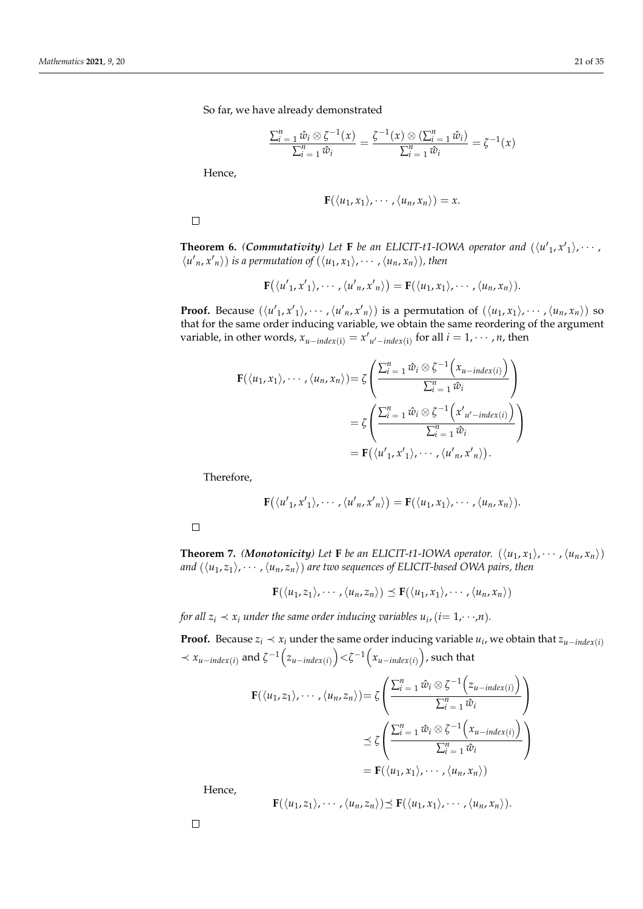So far, we have already demonstrated

$$
\frac{\sum_{i=1}^{n} \hat{w}_i \otimes \zeta^{-1}(x)}{\sum_{i=1}^{n} \hat{w}_i} = \frac{\zeta^{-1}(x) \otimes (\sum_{i=1}^{n} \hat{w}_i)}{\sum_{i=1}^{n} \hat{w}_i} = \zeta^{-1}(x)
$$

Hence,

$$
\mathbf{F}(\langle u_1,x_1\rangle,\cdots,\langle u_n,x_n\rangle)=x.
$$

 $\Box$ 

**Theorem 6.** *(Commutativity)* Let **F** be an ELICIT-t1-IOWA operator and  $(\langle u'_1, x'_1 \rangle, \cdots,$  $\langle u'_n, x'_n \rangle$  *is a permutation of*  $(\langle u_1, x_1 \rangle, \cdots, \langle u_n, x_n \rangle)$ *, then* 

$$
\mathbf{F}(\langle u'_1,x'_1\rangle,\cdots,\langle u'_n,x'_n\rangle)=\mathbf{F}(\langle u_1,x_1\rangle,\cdots,\langle u_n,x_n\rangle).
$$

**Proof.** Because  $(\langle u'_1, x'_1 \rangle, \cdots, \langle u'_n, x'_n \rangle)$  is a permutation of  $(\langle u_1, x_1 \rangle, \cdots, \langle u_n, x_n \rangle)$  so that for the same order inducing variable, we obtain the same reordering of the argument variable, in other words,  $x_{u-index(i)} = x'_{u'-index(i)}$  for all  $i = 1, \dots, n$ , then

$$
\mathbf{F}(\langle u_1, x_1 \rangle, \cdots, \langle u_n, x_n \rangle) = \zeta \left( \frac{\sum_{i=1}^n \hat{w}_i \otimes \zeta^{-1} (x_{u-index(i)})}{\sum_{i=1}^n \hat{w}_i} \right)
$$
  
=  $\zeta \left( \frac{\sum_{i=1}^n \hat{w}_i \otimes \zeta^{-1} (x'_{u'-index(i)})}{\sum_{i=1}^n \hat{w}_i} \right)$   
=  $\mathbf{F}(\langle u'_1, x'_1 \rangle, \cdots, \langle u'_n, x'_n \rangle).$ 

Therefore,

$$
\mathbf{F}(\langle u'_{1}, x'_{1}\rangle, \cdots, \langle u'_{n}, x'_{n}\rangle) = \mathbf{F}(\langle u_{1}, x_{1}\rangle, \cdots, \langle u_{n}, x_{n}\rangle).
$$

 $\Box$ 

**Theorem 7.** *(Monotonicity)* Let **F** be an ELICIT-t1-IOWA operator.  $(\langle u_1, x_1 \rangle, \dots, \langle u_n, x_n \rangle)$ *and*  $(\langle u_1, z_1 \rangle, \cdots, \langle u_n, z_n \rangle)$  are two sequences of ELICIT-based OWA pairs, then

$$
\mathbf{F}(\langle u_1,z_1\rangle,\cdots,\langle u_n,z_n\rangle)\preceq\mathbf{F}(\langle u_1,x_1\rangle,\cdots,\langle u_n,x_n\rangle)
$$

*for all*  $z_i \prec x_i$  *under the same order inducing variables*  $u_i$ *,*  $(i=1,\cdot\cdot\cdot,n)$ *.* 

**Proof.** Because  $z_i \prec x_i$  under the same order inducing variable  $u_i$ , we obtain that  $z_{u-intex(i)}$  $\prec x_{u-intex(i)}$  and  $\zeta^{-1}\left(z_{u-intex(i)}\right) < \zeta^{-1}\left(x_{u-intex(i)}\right)$ , such that

$$
\mathbf{F}(\langle u_1, z_1 \rangle, \cdots, \langle u_n, z_n \rangle) = \zeta \left( \frac{\sum_{i=1}^n \hat{w}_i \otimes \zeta^{-1} (z_{u-index(i)})}{\sum_{i=1}^n \hat{w}_i} \right)
$$
  

$$
\leq \zeta \left( \frac{\sum_{i=1}^n \hat{w}_i \otimes \zeta^{-1} (x_{u-index(i)})}{\sum_{i=1}^n \hat{w}_i} \right)
$$
  

$$
= \mathbf{F}(\langle u_1, x_1 \rangle, \cdots, \langle u_n, x_n \rangle)
$$

Hence,

$$
\mathbf{F}(\langle u_1,z_1\rangle,\cdots,\langle u_n,z_n\rangle)\preceq\mathbf{F}(\langle u_1,x_1\rangle,\cdots,\langle u_n,x_n\rangle).
$$

 $\Box$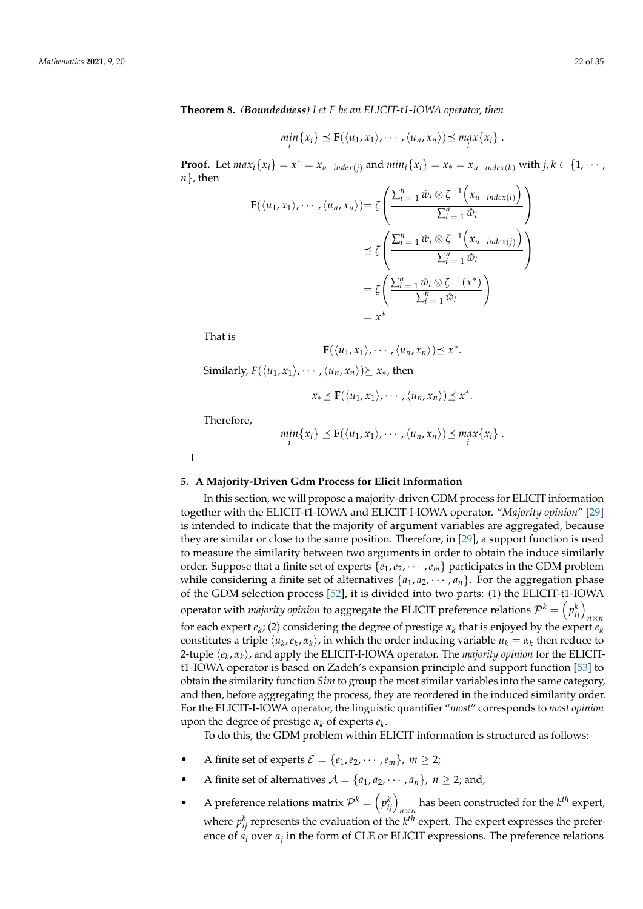**Theorem 8.** *(Boundedness) Let F be an ELICIT-t1-IOWA operator, then*

$$
\min_i \{x_i\} \preceq \mathbf{F}(\langle u_1, x_1 \rangle, \cdots, \langle u_n, x_n \rangle) \preceq \max_i \{x_i\}.
$$

**Proof.** Let  $max_i \{x_i\} = x^* = x_{u-index(j)}$  and  $min_i \{x_i\} = x_* = x_{u-index(k)}$  with  $j, k \in \{1, \dots, n\}$ *n*}, then

$$
\mathbf{F}(\langle u_1, x_1 \rangle, \cdots, \langle u_n, x_n \rangle) = \zeta \left( \frac{\sum_{i=1}^n \hat{w}_i \otimes \zeta^{-1} (x_{u-index(i)})}{\sum_{i=1}^n \hat{w}_i} \right)
$$
  

$$
\preceq \zeta \left( \frac{\sum_{i=1}^n \hat{w}_i \otimes \zeta^{-1} (x_{u-index(j)})}{\sum_{i=1}^n \hat{w}_i} \right)
$$
  

$$
= \zeta \left( \frac{\sum_{i=1}^n \hat{w}_i \otimes \zeta^{-1} (x^*)}{\sum_{i=1}^n \hat{w}_i} \right)
$$
  

$$
= x^*
$$

That is

$$
\mathbf{F}(\langle u_1,x_1\rangle,\cdots,\langle u_n,x_n\rangle)\preceq x^*.
$$

Similarly,  $F(\langle u_1, x_1 \rangle, \cdots, \langle u_n, x_n \rangle) \succeq x_*$ , then

$$
x_* \preceq \mathbf{F}(\langle u_1,x_1\rangle,\cdots,\langle u_n,x_n\rangle) \preceq x^*.
$$

Therefore,

$$
\min_i \{x_i\} \preceq \mathbf{F}(\langle u_1,x_1\rangle,\cdots,\langle u_n,x_n\rangle) \preceq \max_i \{x_i\}.
$$

 $\Box$ 

### <span id="page-21-0"></span>**5. A Majority-Driven Gdm Process for Elicit Information**

In this section, we will propose a majority-driven GDM process for ELICIT information together with the ELICIT-t1-IOWA and ELICIT-I-IOWA operator. "*Majority opinion*" [\[29\]](#page-33-22) is intended to indicate that the majority of argument variables are aggregated, because they are similar or close to the same position. Therefore, in [\[29\]](#page-33-22), a support function is used to measure the similarity between two arguments in order to obtain the induce similarly order. Suppose that a finite set of experts {*e*1,*e*2, · · · ,*em*} participates in the GDM problem while considering a finite set of alternatives  $\{a_1, a_2, \dots, a_n\}$ . For the aggregation phase of the GDM selection process [\[52\]](#page-34-16), it is divided into two parts: (1) the ELICIT-t1-IOWA operator with *majority opinion* to aggregate the ELICIT preference relations  $\mathcal{P}^k = \left( p_{ij}^k \right)_{n \times n}$ for each expert  $e_k$ ; (2) considering the degree of prestige  $\alpha_k$  that is enjoyed by the expert  $e_k$ constitutes a triple  $\langle u_k, e_k, \alpha_k \rangle$ , in which the order inducing variable  $u_k = \alpha_k$  then reduce to 2-tuple h*e<sup>k</sup>* , *α<sup>k</sup>* i, and apply the ELICIT-I-IOWA operator. The *majority opinion* for the ELICITt1-IOWA operator is based on Zadeh's expansion principle and support function [\[53\]](#page-34-17) to obtain the similarity function *Sim* to group the most similar variables into the same category, and then, before aggregating the process, they are reordered in the induced similarity order. For the ELICIT-I-IOWA operator, the linguistic quantifier "*most*" corresponds to *most opinion* upon the degree of prestige  $\alpha_k$  of experts  $e_k$ .

To do this, the GDM problem within ELICIT information is structured as follows:

- A finite set of experts  $\mathcal{E} = \{e_1, e_2, \cdots, e_m\}, m \ge 2;$
- A finite set of alternatives  $A = \{a_1, a_2, \dots, a_n\}$ ,  $n \geq 2$ ; and,
- A preference relations matrix  $\mathcal{P}^k = \left( p_{ij}^k \right)_{n \times n}$  has been constructed for the  $k^{th}$  expert, where  $p_{ij}^k$  represents the evaluation of the  $k^{th}$  expert. The expert expresses the preference of *a<sup>i</sup>* over *a<sup>j</sup>* in the form of CLE or ELICIT expressions. The preference relations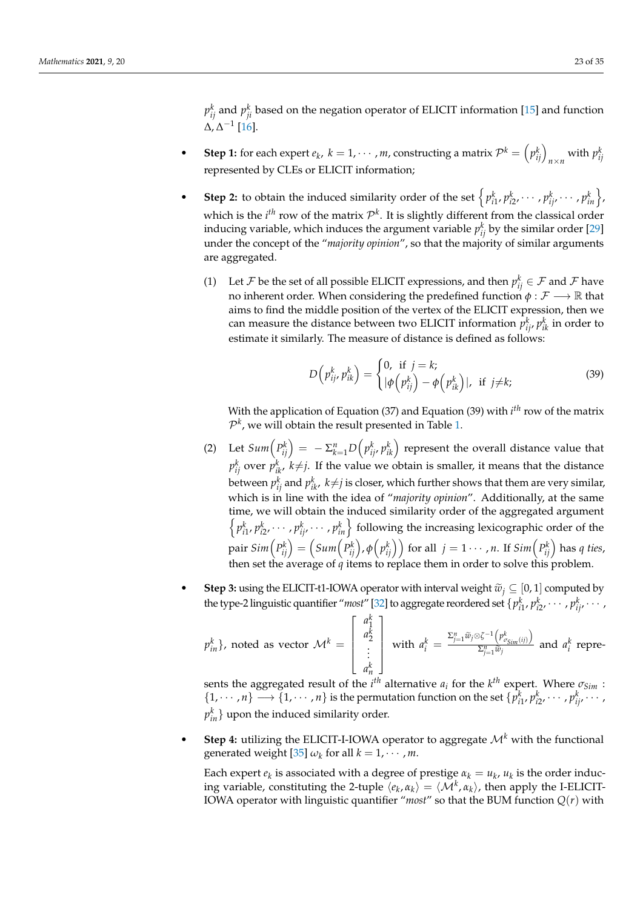$p_{ij}^k$  and  $p_{ji}^k$  based on the negation operator of ELICIT information [\[15\]](#page-33-8) and function  $\Delta$ ,  $\Delta^{-1}$  [\[16\]](#page-33-10).

- **Step 1:** for each expert  $e_k$ ,  $k = 1, \dots, m$ , constructing a matrix  $\mathcal{P}^k = (p_{ij}^k)_{n \times n}$  with  $p_{ij}^k$ represented by CLEs or ELICIT information;
- Step 2: to obtain the induced similarity order of the set  $\left\{ p_{i1}^k, p_{i2}^k, \dots, p_{ij}^k, \dots, p_{in}^k \right\}$ which is the  $i^{th}$  row of the matrix  $\mathcal{P}^k$ . It is slightly different from the classical order inducing variable, which induces the argument variable  $p_{ij}^k$  by the similar order [\[29\]](#page-33-22) under the concept of the "*majority opinion*", so that the majority of similar arguments are aggregated.
	- (1) Let  $\mathcal F$  be the set of all possible ELICIT expressions, and then  $p_{ij}^k \in \mathcal F$  and  $\mathcal F$  have no inherent order. When considering the predefined function  $\phi : \mathcal{F} \longrightarrow \mathbb{R}$  that aims to find the middle position of the vertex of the ELICIT expression, then we can measure the distance between two ELICIT information  $p_{ij}^k$ ,  $p_{ik}^k$  in order to estimate it similarly. The measure of distance is defined as follows:

$$
D\left(p_{ij}^k, p_{ik}^k\right) = \begin{cases} 0, & \text{if } j = k; \\ |\phi\left(p_{ij}^k\right) - \phi\left(p_{ik}^k\right)|, & \text{if } j \neq k; \end{cases}
$$
 (39)

With the application of Equation (37) and Equation (39) with *i th* row of the matrix  $\mathcal{P}^k$ , we will obtain the result presented in Table [1.](#page-23-1)

- (2) Let  $Sum(P_{ij}^k) = -\sum_{k=1}^n D\left(p_{ij}^k, p_{ik}^k\right)$  represent the overall distance value that  $p_{ij}^k$  over  $p_{ik}^k$ ,  $k{\neq}j$ . If the value we obtain is smaller, it means that the distance between  $p_{ij}^k$  and  $p_{ik}^k$ ,  $k{\neq}j$  is closer, which further shows that them are very similar, which is in line with the idea of "*majority opinion*". Additionally, at the same time, we will obtain the induced similarity order of the aggregated argument  $\left\{p_{i1}^k, p_{i2}^k, \cdots, p_{ij}^k, \cdots, p_{in}^k\right\}$  following the increasing lexicographic order of the pair  $Sim\left(P_{ij}^k\right)=\left(Sum\left(P_{ij}^k\right),\phi\left(p_{ij}^k\right)\right)$  for all  $\,j=1\cdots$  ,  $n.$  If  $Sim\left(P_{ij}^k\right)$  has  $q$  ties, then set the average of *q* items to replace them in order to solve this problem.
- **Step 3:** using the ELICIT-t1-IOWA operator with interval weight  $\tilde{w}_i \subseteq [0, 1]$  computed by the type-2 linguistic quantifier "*most*" [\[32\]](#page-33-25) to aggregate reordered set  $\{p_{i1}^k, p_{i2}^k, \cdots, p_{ij}^k, \cdots, p_{ij}^k, \cdots, p_{ij}^k, \cdots, p_{ij}^k, \cdots, p_{ij}^k, \cdots, p_{ij}^k, \cdots, p_{ij}^k, \cdots, p_{ij}^k, \cdots, p_{ij}^k, \cdots, p_{ij}^k, \cdots, p_{ij}^k, \cdots, p_{ij$

$$
p_{in}^k
$$
, noted as vector  $\mathcal{M}^k = \begin{bmatrix} a_1^k \\ a_2^k \\ \vdots \\ a_n^k \end{bmatrix}$  with  $a_i^k = \frac{\sum_{j=1}^n \widetilde{w}_j \otimes \zeta^{-1} \left( p_{\sigma_{Sim}(ij)}^k \right)}{\sum_{j=1}^n \widetilde{w}_j}$  and  $a_i^k$  represent

sents the aggregated result of the *i*<sup>th</sup> alternative  $a_i$  for the  $k^{th}$  expert. Where  $\sigma_{Sim}$  :  $\{1, \dots, n\} \longrightarrow \{1, \dots, n\}$  is the permutation function on the set  $\{p_{i1}^k, p_{i2}^k, \dots, p_{ij}^k, \dots, n\}$  $p_{in}^k\}$  upon the induced similarity order.

**Step 4:** utilizing the ELICIT-I-IOWA operator to aggregate  $\mathcal{M}^k$  with the functional generated weight [\[35\]](#page-33-28)  $\omega_k$  for all  $k = 1, \cdots, m$ .

Each expert  $e_k$  is associated with a degree of prestige  $a_k = u_k$ ,  $u_k$  is the order inducing variable, constituting the 2-tuple  $\langle e_k, \alpha_k \rangle = \langle \mathcal{M}^k, \alpha_k \rangle$ , then apply the I-ELICIT-IOWA operator with linguistic quantifier "*most*" so that the BUM function *Q*(*r*) with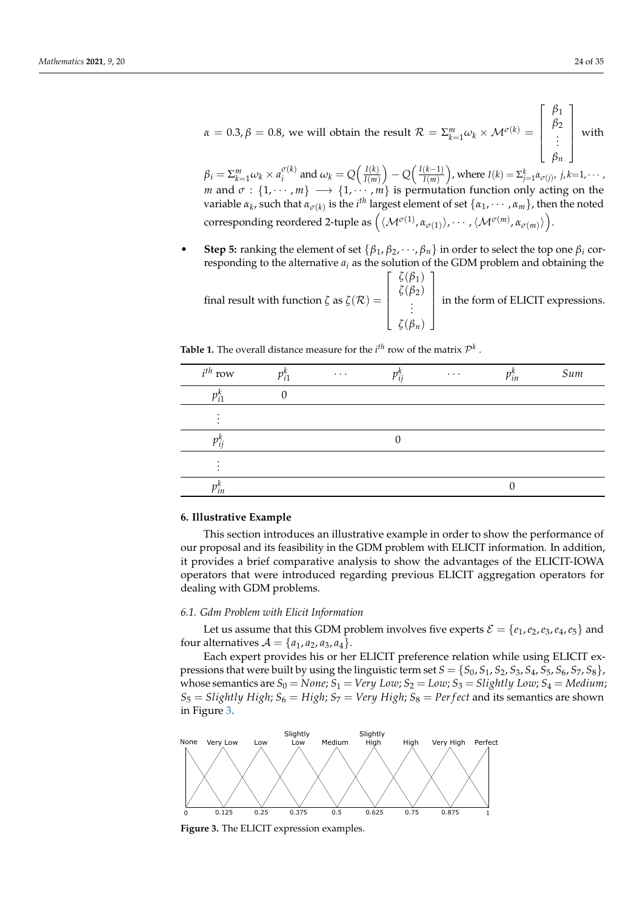$\beta_i = \sum_{k=1}^m \omega_k \times a_i^{\sigma(k)}$  $\frac{\sigma(k)}{i}$  and  $\omega_k = Q\Big(\frac{I(k)}{I(m)}\Big)$  $\frac{I(k)}{I(m)}$  – *Q*  $\left(\frac{I(k-1)}{I(m)}\right)$  $\left(\frac{(k-1)}{I(m)}\right)$ , where  $I(k) = \sum_{j=1}^{k} \alpha_{\sigma(j)}, \ j,k{=}1,\cdots$  , *m* and  $\sigma : \{1, \cdots, m\} \longrightarrow \{1, \cdots, m\}$  is permutation function only acting on the variable  $\alpha_k$ , such that  $\alpha_{\sigma(k)}$  is the *i*<sup>th</sup> largest element of set  $\{\alpha_1, \cdots, \alpha_m\}$ , then the noted  $\text{corresponding reordered 2-tuple as } \Big(\langle \mathcal{M}^{\sigma(1)},\alpha_{\sigma(1)}\rangle,\cdots,\langle \mathcal{M}^{\sigma(m)},\alpha_{\sigma(m)}\rangle\Big).$ 

• **Step 5:** ranking the element of set  $\{\beta_1, \beta_2, \dots, \beta_n\}$  in order to select the top one  $\beta_i$  corresponding to the alternative  $a_i$  as the solution of the GDM problem and obtaining the

final result with function  $\zeta$  as  $\zeta(\mathcal{R}) =$  $\sqrt{ }$  *ζ*(*β*1) *ζ*(*β*2) . . . *ζ*(*βn*) 1 in the form of ELICIT expressions.

| $i^{th}$ row      | $p_{i1}^{\prime}$ | $\ldots$ | $p_{ii}^{\kappa}$ | $\ldots$ | $p_{in}^{\kappa}$ | Sum |
|-------------------|-------------------|----------|-------------------|----------|-------------------|-----|
|                   |                   |          |                   |          |                   |     |
|                   |                   |          |                   |          |                   |     |
| $p_{ii}^{\prime}$ |                   |          |                   |          |                   |     |
|                   |                   |          |                   |          |                   |     |
| ʻın               |                   |          |                   |          |                   |     |

<span id="page-23-1"></span>**Table 1.** The overall distance measure for the  $i^{th}$  row of the matrix  $\mathcal{P}^k$ .

# <span id="page-23-0"></span>**6. Illustrative Example**

This section introduces an illustrative example in order to show the performance of our proposal and its feasibility in the GDM problem with ELICIT information. In addition, it provides a brief comparative analysis to show the advantages of the ELICIT-IOWA operators that were introduced regarding previous ELICIT aggregation operators for dealing with GDM problems.

# <span id="page-23-3"></span>*6.1. Gdm Problem with Elicit Information*

Let us assume that this GDM problem involves five experts  $\mathcal{E} = \{e_1, e_2, e_3, e_4, e_5\}$  and four alternatives  $A = \{a_1, a_2, a_3, a_4\}.$ 

Each expert provides his or her ELICIT preference relation while using ELICIT expressions that were built by using the linguistic term set  $S = \{S_0, S_1, S_2, S_3, S_4, S_5, S_6, S_7, S_8\}$ , whose semantics are  $S_0 = None$ ;  $S_1 = Very Low$ ;  $S_2 = Low$ ;  $S_3 = Slightly Low$ ;  $S_4 = Medium$ ;  $S_5 = S$ *lightly High*;  $S_6 = High$ ;  $S_7 = Very High$ ;  $S_8 = Perfect$  and its semantics are shown in Figure [3.](#page-23-2)

<span id="page-23-2"></span>

**Figure 3.** The ELICIT expression examples.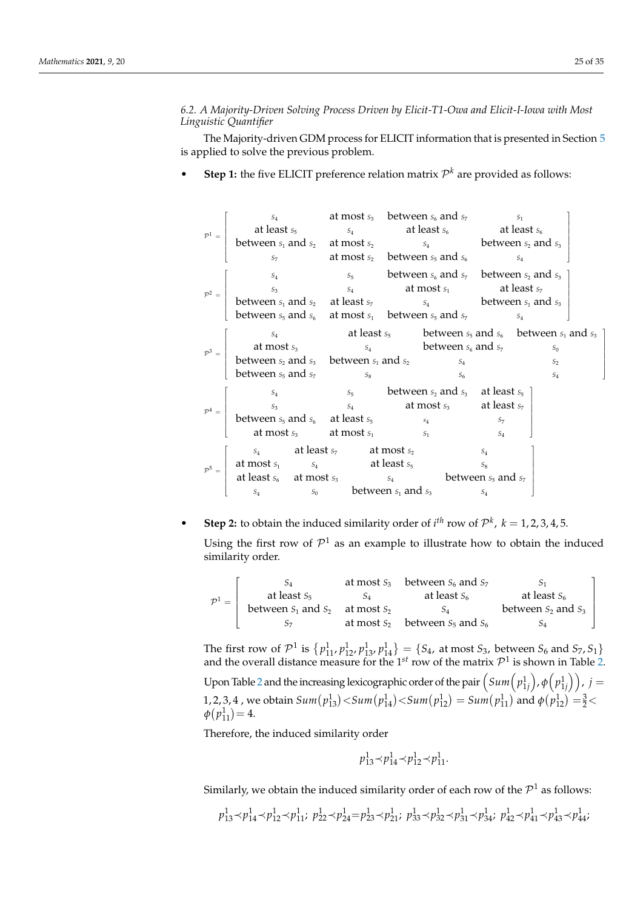*6.2. A Majority-Driven Solving Process Driven by Elicit-T1-Owa and Elicit-I-Iowa with Most Linguistic Quantifier*

The Majority-driven GDM process for ELICIT information that is presented in Section [5](#page-21-0) is applied to solve the previous problem.

• **Step 1:** the five ELICIT preference relation matrix  $\mathcal{P}^k$  are provided as follows:

|  | $S_4$                                                                                                                                                                                                                                                                                                                                                                             |  | at most $s_3$ between $s_6$ and $s_7$                                  |       | $S_1$ |                |  |
|--|-----------------------------------------------------------------------------------------------------------------------------------------------------------------------------------------------------------------------------------------------------------------------------------------------------------------------------------------------------------------------------------|--|------------------------------------------------------------------------|-------|-------|----------------|--|
|  |                                                                                                                                                                                                                                                                                                                                                                                   |  |                                                                        |       |       |                |  |
|  |                                                                                                                                                                                                                                                                                                                                                                                   |  |                                                                        |       |       |                |  |
|  | $\mathcal{P}^1$ = $\begin{bmatrix} \text{at least } s_5 \\ \text{between } s_1 \text{ and } s_2 \\ s_7 \end{bmatrix}$ at least $s_6$ at least $s_6$ at least $s_6$ at least $s_6$ between $s_1$ and $s_2$ at most $s_2$ between $s_5$ and $s_6$ between $s_5$ and $s_6$                                                                                                           |  |                                                                        |       |       |                |  |
|  |                                                                                                                                                                                                                                                                                                                                                                                   |  | $s_4$ $s_5$ between $s_6$ and $s_7$ between $s_2$ and $s_3$            |       |       |                |  |
|  |                                                                                                                                                                                                                                                                                                                                                                                   |  |                                                                        |       |       |                |  |
|  |                                                                                                                                                                                                                                                                                                                                                                                   |  |                                                                        |       |       |                |  |
|  | $\mathcal{P}^2 = \begin{bmatrix} s_3 & s_4 & \text{at most } s_1 \\ \text{between } s_1 \text{ and } s_2 & \text{at least } s_7 \\ \text{between } s_5 \text{ and } s_6 & \text{at most } s_1 \end{bmatrix}$ between $s_1$ and $s_2$ between $s_1$ and $s_3$                                                                                                                      |  |                                                                        |       |       |                |  |
|  |                                                                                                                                                                                                                                                                                                                                                                                   |  | $s_4$ at least $s_5$ between $s_5$ and $s_6$ between $s_1$ and $s_3$ ] |       |       |                |  |
|  |                                                                                                                                                                                                                                                                                                                                                                                   |  |                                                                        |       |       | $S_0$          |  |
|  |                                                                                                                                                                                                                                                                                                                                                                                   |  |                                                                        |       |       | S <sub>2</sub> |  |
|  | $\mathcal{P}^3$ = $\begin{bmatrix} \text{at most } s_3 \\ \text{between } s_2 \text{ and } s_3 \\ \text{between } s_5 \text{ and } s_7 \end{bmatrix}$ = $\begin{matrix} s_4 \\ s_5 \end{matrix}$ between $s_6$ and $s_7$ = $\begin{matrix} s_4 \\ s_5 \end{matrix}$ between $s_5$ and $s_7$ = $\begin{matrix} s_6 \\ s_8 \end{matrix}$ = $\begin{matrix} s_6 \\ s_7 \end{matrix}$ |  |                                                                        |       |       | $S_4$          |  |
|  | $\mathcal{P}^4$ = $\begin{vmatrix} s_3 & s_5 \ s_3 & s_4 \end{vmatrix}$ between $s_2$ and $s_3$ at least $s_5$ at least $s_7$ at least $s_7$ at least $s_8$ at least $s_7$                                                                                                                                                                                                        |  | $s_5$ between $s_2$ and $s_3$ at least $s_5$                           |       |       |                |  |
|  |                                                                                                                                                                                                                                                                                                                                                                                   |  |                                                                        |       |       |                |  |
|  |                                                                                                                                                                                                                                                                                                                                                                                   |  |                                                                        |       |       |                |  |
|  | at most $s_3$ at most $s_1$                                                                                                                                                                                                                                                                                                                                                       |  | S <sub>1</sub>                                                         | $S_4$ |       |                |  |
|  | $s_4$ at least $s_7$ at most $s_2$                                                                                                                                                                                                                                                                                                                                                |  |                                                                        | $S_4$ |       |                |  |
|  |                                                                                                                                                                                                                                                                                                                                                                                   |  |                                                                        |       |       |                |  |
|  |                                                                                                                                                                                                                                                                                                                                                                                   |  |                                                                        |       |       |                |  |
|  | $\mathcal{P}^5 = \begin{bmatrix} \text{at most } s_1 & s_4 & \text{at least } s_5 & s_8 \\ \text{at least } s_6 & \text{at most } s_3 & s_4 & \text{between } s_1 \text{ and } s_7 \\ s_4 & s_0 & \text{between } s_1 \text{ and } s_3 & s_4 \end{bmatrix}$                                                                                                                       |  |                                                                        |       |       |                |  |

• **Step 2:** to obtain the induced similarity order of  $i^{th}$  row of  $\mathcal{P}^k$ ,  $k = 1, 2, 3, 4, 5$ . Using the first row of  $\mathcal{P}^1$  as an example to illustrate how to obtain the induced similarity order.

|                                       | at most $S_3$ | between $S_6$ and $S_7$               |                         |
|---------------------------------------|---------------|---------------------------------------|-------------------------|
| at least $S_5$                        |               | at least $S_6$                        | at least $S_6$          |
| between $S_1$ and $S_2$ at most $S_2$ |               |                                       | between $S_2$ and $S_3$ |
| $S_{\overline{z}}$                    |               | at most $S_2$ between $S_5$ and $S_6$ |                         |

The first row of  $\mathcal{P}^1$  is  $\{p_{11}^1, p_{12}^1, p_{13}^1, p_{14}^1\} = \{S_4$ , at most  $S_3$ , between  $S_6$  and  $S_7, S_1\}$ and the overall distance measure for the  $1^{st}$  row of the matrix  $\mathcal{P}^1$  is shown in Table [2.](#page-27-0)

Upon Table [2](#page-27-0) and the increasing lexicographic order of the pair  $\Big(Sum\Big(p_{1j}^{1}\Big),\phi\Big(p_{1j}^{1}\Big)\Big)$  ,  $j=1$  $1, 2, 3, 4$  , we obtain  $Sum(p_{13}^1) < Sum(p_{14}^1) < Sum(p_{12}^1) = Sum(p_{11}^1)$  and  $\phi(p_{12}^1) = \frac{3}{2} <$  $\phi(p_{11}^1) = 4.$ 

Therefore, the induced similarity order

$$
p_{13}^1 \prec p_{14}^1 \prec p_{12}^1 \prec p_{11}^1.
$$

Similarly, we obtain the induced similarity order of each row of the  $\mathcal{P}^1$  as follows:

$$
p_{13}^1 \hspace{-0.1cm} \prec \hspace{-0.1cm} p_{14}^1 \hspace{-0.1cm} \prec \hspace{-0.1cm} p_{11}^1 \hspace{-0.1cm} \prec \hspace{-0.1cm} p_{11}^1; \ p_{22}^1 \hspace{-0.1cm} \prec \hspace{-0.1cm} p_{24}^1 \hspace{-0.1cm} = \hspace{-0.1cm} p_{23}^1 \hspace{-0.1cm} \prec \hspace{-0.1cm} p_{21}^1; \ p_{33}^1 \hspace{-0.1cm} \prec \hspace{-0.1cm} p_{31}^1 \hspace{-0.1cm} \prec \hspace{-0.1cm} p_{34}^1; \ p_{42}^1 \hspace{-0.1cm} \prec \hspace{-0.1cm} p_{41}^1 \hspace{-0.1cm} \prec \hspace{-0.1cm} p_{43}^1 \hspace{-0.1cm} \prec \hspace{-0.1cm} p_{41}^1 \hspace{-0.1cm} \prec \hspace{-0.1cm} p_{43}^1 \hspace{-0.1cm} \prec \hspace{-0.1cm} p_{41}^1 \hspace{-0.1cm} \prec \hspace{-0.1cm} p_{43}^1 \hspace{-0.1cm} \prec \hspace{-0.1cm} p_{41}^1 \hspace{-0.1cm} \prec \hspace{-0.1cm} p_{43}^1 \hspace{-0.1cm} \prec \hspace{-0.1cm} p_{41}^1 \hspace{-0.1cm} \prec \hspace{-0.1cm} p_{41}^1 \hspace{-0.1cm} \prec \hspace{-0.1cm} p_{41}^1 \hspace{-0.1cm} \prec \hspace{-0.1cm} p_{41}^1 \hspace{-0.1cm} \prec \hspace{-0.1cm} p_{41}^1 \hspace{-0.1cm} \prec \hspace{-0.1cm} p_{41}^1 \hspace{-0.1cm} \prec \hspace{-0.1cm} p_{41}^1 \hspace{-0.1cm} \prec \hspace{-0.1cm} p_{41}^1 \hspace{-0.1cm} \prec \hspace{-0.1cm} p_{41}^1 \hspace{-0.1cm} \prec \hspace{-0.1cm} p_{41}^1 \hspace{-0.1cm} \prec \hspace{-0.1cm} p_{41
$$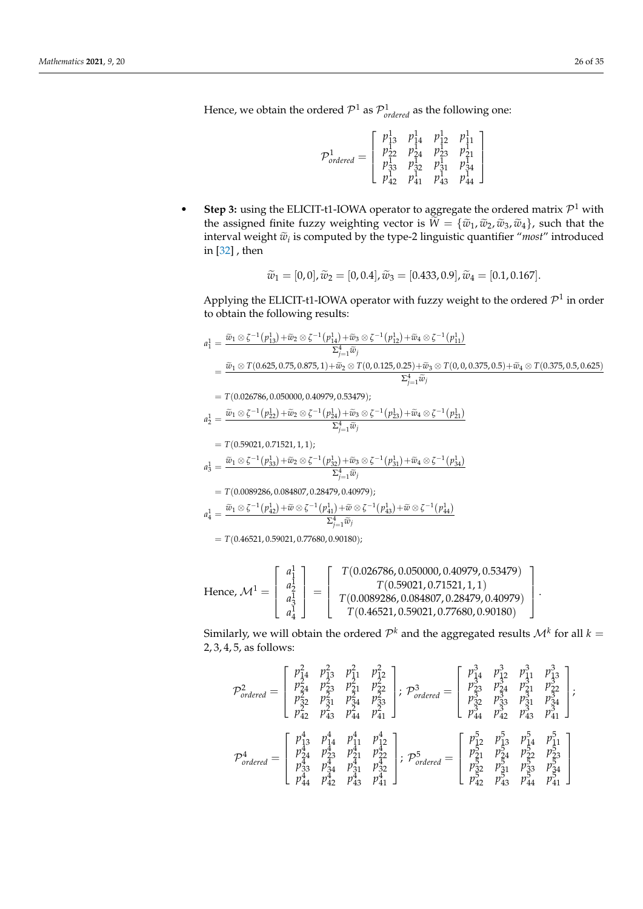$$
\mathcal{P}^1_{ordered} = \left[\begin{array}{cccc} p^1_{13} & p^1_{14} & p^1_{12} & p^1_{11} \\ p^1_{22} & p^1_{24} & p^1_{23} & p^1_{21} \\ p^1_{33} & p^1_{32} & p^1_{31} & p^1_{34} \\ p^1_{42} & p^1_{41} & p^1_{43} & p^1_{44} \end{array}\right]
$$

• Step 3: using the ELICIT-t1-IOWA operator to aggregate the ordered matrix  $\mathcal{P}^1$  with the assigned finite fuzzy weighting vector is  $\widetilde{W} = {\{\widetilde{w}_1,\widetilde{w}_2,\widetilde{w}_3,\widetilde{w}_4\}}$ , such that the interval weight  $\widetilde{w}_i$  is computed by the type-2 linguistic quantifier "*most*" introduced<br>in [22] then in [\[32\]](#page-33-25) , then

$$
\widetilde{w}_1 = [0,0], \widetilde{w}_2 = [0,0.4], \widetilde{w}_3 = [0.433,0.9], \widetilde{w}_4 = [0.1,0.167].
$$

Applying the ELICIT-t1-IOWA operator with fuzzy weight to the ordered  $\mathcal{P}^1$  in order to obtain the following results:

$$
a_1^1 = \frac{\tilde{w}_1 \otimes \zeta^{-1}(p_{13}^1) + \tilde{w}_2 \otimes \zeta^{-1}(p_{14}^1) + \tilde{w}_3 \otimes \zeta^{-1}(p_{12}^1) + \tilde{w}_4 \otimes \zeta^{-1}(p_{11}^1)}{\Sigma_{j=1}^4 \tilde{w}_j}
$$
  
= 
$$
\frac{\tilde{w}_1 \otimes T(0.625, 0.75, 0.875, 1) + \tilde{w}_2 \otimes T(0, 0.125, 0.25) + \tilde{w}_3 \otimes T(0, 0, 0.375, 0.5) + \tilde{w}_4 \otimes T(0.375, 0.5, 0.625)}{\Sigma_{j=1}^4 \tilde{w}_j}
$$
  
= 
$$
T(0.026786, 0.050000, 0.40979, 0.53479);
$$

$$
a_2^1 = \frac{\widetilde{w}_1 \otimes \zeta^{-1}(p_{22}^1) + \widetilde{w}_2 \otimes \zeta^{-1}(p_{24}^1) + \widetilde{w}_3 \otimes \zeta^{-1}(p_{23}^1) + \widetilde{w}_4 \otimes \zeta^{-1}(p_{21}^1)}{\Sigma_{j=1}^4 \widetilde{w}_j}
$$

$$
T(0.59021, 0.71521, 1, 1);
$$
  
\n
$$
a_3^1 = \frac{\tilde{w}_1 \otimes \zeta^{-1}(p_{33}^1) + \tilde{w}_2 \otimes \zeta^{-1}(p_{32}^1) + \tilde{w}_3 \otimes \zeta^{-1}(p_{31}^1) + \tilde{w}_4 \otimes \zeta^{-1}(p_{34}^1)}{\Sigma_{j=1}^4 \tilde{w}_j}
$$

 $= T(0.0089286, 0.084807, 0.28479, 0.40979);$ 

$$
a_4^1 = \frac{\widetilde{w}_1 \otimes \zeta^{-1}(p_{42}^1) + \widetilde{w} \otimes \zeta^{-1}(p_{41}^1) + \widetilde{w} \otimes \zeta^{-1}(p_{43}^1) + \widetilde{w} \otimes \zeta^{-1}(p_{44}^1)}{\Sigma_{j=1}^4 \widetilde{w}_j}
$$

 $= T(0.46521, 0.59021, 0.77680, 0.90180);$ 

Hence, 
$$
\mathcal{M}^1 = \begin{bmatrix} a_1^1 \\ a_2^1 \\ a_3^1 \\ a_4^1 \end{bmatrix} = \begin{bmatrix} T(0.026786, 0.050000, 0.40979, 0.53479) \\ T(0.59021, 0.71521, 1, 1) \\ T(0.0089286, 0.084807, 0.28479, 0.40979) \\ T(0.46521, 0.59021, 0.77680, 0.90180) \end{bmatrix}
$$

Similarly, we will obtain the ordered  $\mathcal{P}^k$  and the aggregated results  $\mathcal{M}^k$  for all  $k=$ 2, 3, 4, 5, as follows:

.

$$
\mathcal{P}^2_{ordered} = \begin{bmatrix} p_{14}^2 & p_{13}^2 & p_{11}^2 & p_{12}^2 \\ p_{24}^2 & p_{23}^2 & p_{21}^2 & p_{22}^2 \\ p_{32}^2 & p_{31}^2 & p_{34}^2 & p_{33}^2 \\ p_{42}^2 & p_{43}^2 & p_{44}^2 & p_{41}^2 \end{bmatrix}; \ \mathcal{P}^3_{ordered} = \begin{bmatrix} p_{14}^3 & p_{13}^3 & p_{13}^3 & p_{13}^3 \\ p_{23}^3 & p_{24}^3 & p_{21}^3 & p_{22}^3 \\ p_{32}^3 & p_{33}^3 & p_{31}^3 & p_{34}^3 \\ p_{44}^4 & p_{41}^4 & p_{12}^4 & p_{42}^4 \\ p_{44}^4 & p_{42}^4 & p_{43}^4 & p_{41}^4 \end{bmatrix}; \ \mathcal{P}^5_{ordered} = \begin{bmatrix} p_{12}^5 & p_{13}^5 & p_{14}^5 & p_{11}^5 \\ p_{23}^5 & p_{33}^5 & p_{31}^3 & p_{34}^3 \\ p_{24}^5 & p_{43}^5 & p_{41}^4 & p_{42}^4 \\ p_{33}^4 & p_{31}^4 & p_{32}^4 & p_{41}^4 \end{bmatrix}; \ \mathcal{P}^5_{ordered} = \begin{bmatrix} p_{12}^5 & p_{13}^5 & p_{14}^5 & p_{11}^5 \\ p_{21}^5 & p_{23}^5 & p_{22}^5 & p_{23}^5 \\ p_{32}^5 & p_{31}^5 & p_{33}^5 & p_{34}^5 \\ p_{42}^5 & p_{43}^5 & p_{44}^5 & p_{41}^4 \end{bmatrix}
$$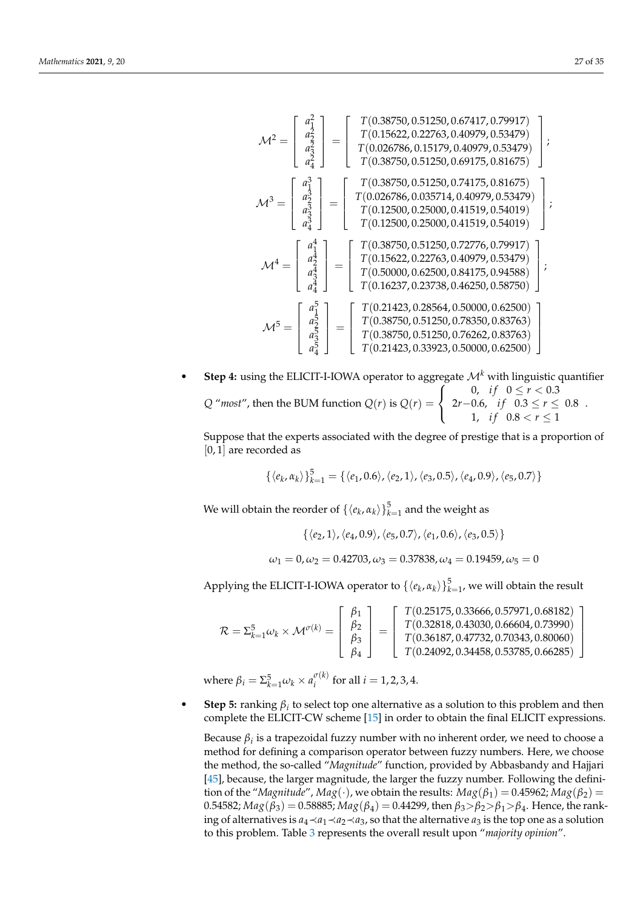$$
\mathcal{M}^{2} = \begin{bmatrix} a_{1}^{2} \\ a_{2}^{2} \\ a_{3}^{2} \\ a_{4}^{3} \end{bmatrix} = \begin{bmatrix} T(0.38750, 0.51250, 0.67417, 0.79917) \\ T(0.026786, 0.15179, 0.40979, 0.53479) \\ T(0.026786, 0.15179, 0.40979, 0.53479) \\ T(0.38750, 0.51250, 0.69175, 0.81675) \end{bmatrix};
$$
  
\n
$$
\mathcal{M}^{3} = \begin{bmatrix} a_{1}^{3} \\ a_{2}^{3} \\ a_{3}^{3} \\ a_{4}^{3} \end{bmatrix} = \begin{bmatrix} T(0.38750, 0.51250, 0.74175, 0.81675) \\ T(0.026786, 0.035714, 0.40979, 0.53479) \\ T(0.12500, 0.25000, 0.41519, 0.54019) \\ T(0.12500, 0.25000, 0.41519, 0.54019) \end{bmatrix};
$$
  
\n
$$
\mathcal{M}^{4} = \begin{bmatrix} a_{1}^{4} \\ a_{2}^{4} \\ a_{3}^{4} \\ a_{4}^{4} \end{bmatrix} = \begin{bmatrix} T(0.38750, 0.51250, 0.72776, 0.79917) \\ T(0.12500, 0.25000, 0.41519, 0.54019) \\ T(0.15622, 0.22763, 0.40979, 0.53479) \\ T(0.16237, 0.23738, 0.40979, 0.53479) \\ T(0.16237, 0.23738, 0.46250, 0.58750) \end{bmatrix};
$$
  
\n
$$
\mathcal{M}^{5} = \begin{bmatrix} a_{1}^{5} \\ a_{2}^{5} \\ a_{
$$

**Step 4:** using the ELICIT-I-IOWA operator to aggregate  $\mathcal{M}^k$  with linguistic quantifier *Q* "*most*", then the BUM function  $Q(r)$  is  $Q(r)$  =  $\sqrt{ }$ J  $\mathcal{L}$ 0, *if*  $0 \le r < 0.3$  $2r-0.6$ , *if*  $0.3 \le r \le 0.8$ 1, *if*  $0.8 < r \le 1$ .

Suppose that the experts associated with the degree of prestige that is a proportion of [0, 1] are recorded as

$$
\{\langle e_k, \alpha_k \rangle\}_{k=1}^5 = \{\langle e_1, 0.6 \rangle, \langle e_2, 1 \rangle, \langle e_3, 0.5 \rangle, \langle e_4, 0.9 \rangle, \langle e_5, 0.7 \rangle\}
$$

We will obtain the reorder of  $\{\langle e_k, \alpha_k \rangle\}_{k=1}^5$  and the weight as

$$
\{\langle e_2,1\rangle,\langle e_4,0.9\rangle,\langle e_5,0.7\rangle,\langle e_1,0.6\rangle,\langle e_3,0.5\rangle\}
$$

$$
\omega_1 = 0, \omega_2 = 0.42703, \omega_3 = 0.37838, \omega_4 = 0.19459, \omega_5 = 0
$$

Applying the ELICIT-I-IOWA operator to  $\{\langle e_k, \alpha_k \rangle\}_{k=1}^5$ , we will obtain the result

$$
\mathcal{R} = \Sigma_{k=1}^5 \omega_k \times \mathcal{M}^{\sigma(k)} = \left[ \begin{array}{c} \beta_1 \\ \beta_2 \\ \beta_3 \\ \beta_4 \end{array} \right] = \left[ \begin{array}{c} T(0.25175, 0.33666, 0.57971, 0.68182) \\ T(0.32818, 0.43030, 0.66604, 0.73990) \\ T(0.36187, 0.47732, 0.70343, 0.80060) \\ T(0.24092, 0.34458, 0.53785, 0.66285) \end{array} \right]
$$

where  $\beta_i = \sum_{k=1}^5 \omega_k \times a_i^{\sigma(k)}$  $i_i^{(k)}$  for all  $i = 1, 2, 3, 4$ .

• **Step 5:** ranking  $\beta_i$  to select top one alternative as a solution to this problem and then complete the ELICIT-CW scheme [\[15\]](#page-33-8) in order to obtain the final ELICIT expressions.

Because *β<sup>i</sup>* is a trapezoidal fuzzy number with no inherent order, we need to choose a method for defining a comparison operator between fuzzy numbers. Here, we choose the method, the so-called "*Magnitude*" function, provided by Abbasbandy and Hajjari [\[45\]](#page-34-9), because, the larger magnitude, the larger the fuzzy number. Following the definition of the "*Magnitude"*, *Mag*(·), we obtain the results:  $Mag(\beta_1) = 0.45962$ ;  $Mag(\beta_2) =$ 0.54582; *Mag*(*β*3) = 0.58885; *Mag*(*β*4) = 0.44299, then *β*3>*β*2>*β*1>*β*4. Hence, the ranking of alternatives is  $a_4$  ≺ $a_1$  ≺ $a_2$  ≺ $a_3$ , so that the alternative  $a_3$  is the top one as a solution to this problem. Table [3](#page-27-1) represents the overall result upon "*majority opinion*".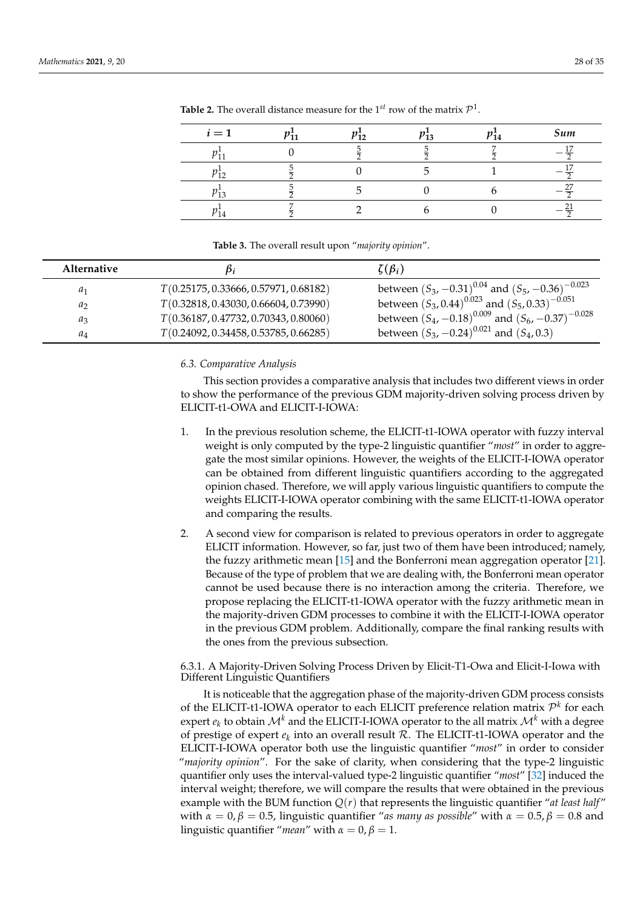| $i=1$ | n-. | pī2 | 13 | 14 | Sum |
|-------|-----|-----|----|----|-----|
|       |     |     |    |    | -   |
|       |     |     |    |    |     |
|       |     |     |    |    |     |
|       |     |     |    |    |     |

<span id="page-27-0"></span>**Table 2.** The overall distance measure for the  $1^{st}$  row of the matrix  $\mathcal{P}^1$ .

**Table 3.** The overall result upon "*majority opinion*".

<span id="page-27-1"></span>

| <b>Alternative</b> |                                       | $\zeta(\beta_i)$                                           |
|--------------------|---------------------------------------|------------------------------------------------------------|
| $a_1$              | T(0.25175, 0.33666, 0.57971, 0.68182) | between $(S_3, -0.31)^{0.04}$ and $(S_5, -0.36)^{-0.023}$  |
| $a_2$              | T(0.32818, 0.43030, 0.66604, 0.73990) | between $(S_3, 0.44)^{0.023}$ and $(S_5, 0.33)^{-0.051}$   |
| $a_3$              | T(0.36187, 0.47732, 0.70343, 0.80060) | between $(S_4, -0.18)^{0.009}$ and $(S_6, -0.37)^{-0.028}$ |
| $a_4$              | T(0.24092, 0.34458, 0.53785, 0.66285) | between $(S_3, -0.24)^{0.021}$ and $(S_4, 0.3)$            |

### *6.3. Comparative Analysis*

This section provides a comparative analysis that includes two different views in order to show the performance of the previous GDM majority-driven solving process driven by ELICIT-t1-OWA and ELICIT-I-IOWA:

- 1. In the previous resolution scheme, the ELICIT-t1-IOWA operator with fuzzy interval weight is only computed by the type-2 linguistic quantifier "*most*" in order to aggregate the most similar opinions. However, the weights of the ELICIT-I-IOWA operator can be obtained from different linguistic quantifiers according to the aggregated opinion chased. Therefore, we will apply various linguistic quantifiers to compute the weights ELICIT-I-IOWA operator combining with the same ELICIT-t1-IOWA operator and comparing the results.
- 2. A second view for comparison is related to previous operators in order to aggregate ELICIT information. However, so far, just two of them have been introduced; namely, the fuzzy arithmetic mean [\[15\]](#page-33-8) and the Bonferroni mean aggregation operator [\[21\]](#page-33-15). Because of the type of problem that we are dealing with, the Bonferroni mean operator cannot be used because there is no interaction among the criteria. Therefore, we propose replacing the ELICIT-t1-IOWA operator with the fuzzy arithmetic mean in the majority-driven GDM processes to combine it with the ELICIT-I-IOWA operator in the previous GDM problem. Additionally, compare the final ranking results with the ones from the previous subsection.

6.3.1. A Majority-Driven Solving Process Driven by Elicit-T1-Owa and Elicit-I-Iowa with Different Linguistic Quantifiers

It is noticeable that the aggregation phase of the majority-driven GDM process consists of the ELICIT-t1-IOWA operator to each ELICIT preference relation matrix P *k* for each expert  $e_k$  to obtain  $\mathcal{M}^k$  and the ELICIT-I-IOWA operator to the all matrix  $\mathcal{M}^k$  with a degree of prestige of expert  $e_k$  into an overall result  $R$ . The ELICIT-t1-IOWA operator and the ELICIT-I-IOWA operator both use the linguistic quantifier "*most*" in order to consider "*majority opinion*". For the sake of clarity, when considering that the type-2 linguistic quantifier only uses the interval-valued type-2 linguistic quantifier "*most*" [\[32\]](#page-33-25) induced the interval weight; therefore, we will compare the results that were obtained in the previous example with the BUM function  $Q(r)$  that represents the linguistic quantifier "*at least half*" with  $\alpha = 0$ ,  $\beta = 0.5$ , linguistic quantifier "*as many as possible*" with  $\alpha = 0.5$ ,  $\beta = 0.8$  and linguistic quantifier "*mean*" with  $\alpha = 0$ ,  $\beta = 1$ .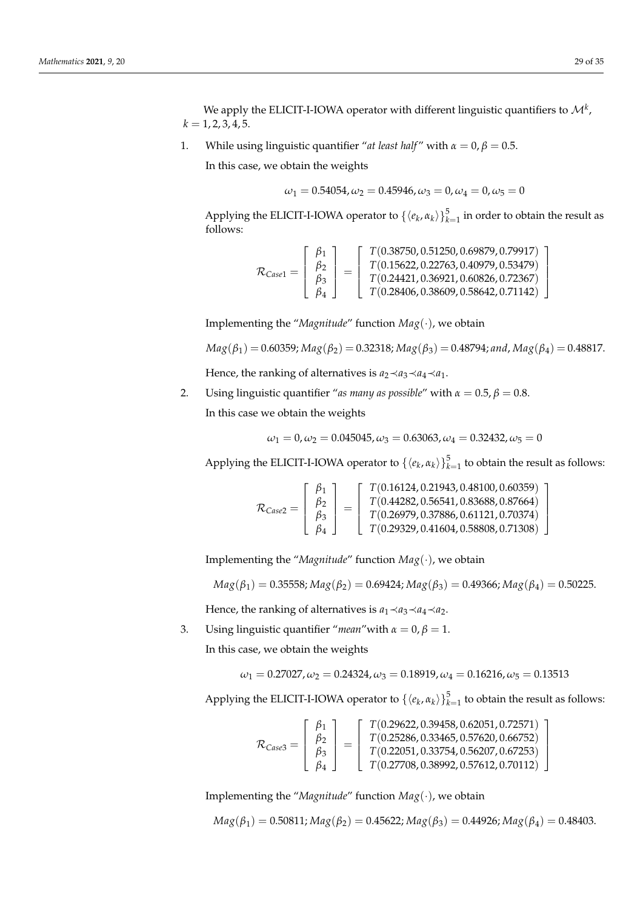1  $\overline{\phantom{a}}$  $\overline{1}$  $\overline{1}$ 

1  $\overline{\phantom{a}}$  $\overline{1}$  $\overline{1}$ 

We apply the ELICIT-I-IOWA operator with different linguistic quantifiers to  $\mathcal{M}^k$  ,  $k = 1, 2, 3, 4, 5.$ 

1. While using linguistic quantifier "*at least half"* with  $\alpha = 0$ ,  $\beta = 0.5$ .

In this case, we obtain the weights

$$
\omega_1 = 0.54054, \omega_2 = 0.45946, \omega_3 = 0, \omega_4 = 0, \omega_5 = 0
$$

Applying the ELICIT-I-IOWA operator to  $\{\langle e_k, \alpha_k \rangle\}_{k=1}^5$  in order to obtain the result as follows:

$$
\mathcal{R}_{\text{Case1}} = \left[\begin{array}{c} \beta_1 \\ \beta_2 \\ \beta_3 \\ \beta_4 \end{array}\right] = \left[\begin{array}{c} T(0.38750, 0.51250, 0.69879, 0.79917) \\ T(0.15622, 0.22763, 0.40979, 0.53479) \\ T(0.24421, 0.36921, 0.60826, 0.72367) \\ T(0.28406, 0.38609, 0.58642, 0.71142) \end{array}\right]
$$

Implementing the "*Magnitude*" function *Mag*(·), we obtain

$$
Mag(\beta_1) = 0.60359; Mag(\beta_2) = 0.32318; Mag(\beta_3) = 0.48794; and, Mag(\beta_4) = 0.48817.
$$

Hence, the ranking of alternatives is  $a_2 \prec a_3 \prec a_4 \prec a_1$ .

2. Using linguistic quantifier "*as many as possible*" with  $\alpha = 0.5$ ,  $\beta = 0.8$ .

In this case we obtain the weights

$$
\omega_1 = 0, \omega_2 = 0.045045, \omega_3 = 0.63063, \omega_4 = 0.32432, \omega_5 = 0
$$

Applying the ELICIT-I-IOWA operator to  $\{\langle e_k, \alpha_k \rangle\}_{k=1}^5$  to obtain the result as follows:

$$
\mathcal{R}_{Case2} = \left[\begin{array}{c} \beta_1 \\ \beta_2 \\ \beta_3 \\ \beta_4 \end{array}\right] = \left[\begin{array}{c} T(0.16124, 0.21943, 0.48100, 0.60359) \\ T(0.44282, 0.56541, 0.83688, 0.87664) \\ T(0.26979, 0.37886, 0.61121, 0.70374) \\ T(0.29329, 0.41604, 0.58808, 0.71308) \end{array}\right]
$$

Implementing the "*Magnitude*" function *Mag*(·), we obtain

 $Mag(\beta_1) = 0.35558; Mag(\beta_2) = 0.69424; Mag(\beta_3) = 0.49366; Mag(\beta_4) = 0.50225.$ 

Hence, the ranking of alternatives is  $a_1 \prec a_3 \prec a_4 \prec a_2$ .

3. Using linguistic quantifier "*mean*" with  $\alpha = 0$ ,  $\beta = 1$ . In this case, we obtain the weights

$$
\omega_1=0.27027, \omega_2=0.24324, \omega_3=0.18919, \omega_4=0.16216, \omega_5=0.13513
$$

Applying the ELICIT-I-IOWA operator to  $\{\langle e_k, \alpha_k \rangle\}_{k=1}^5$  to obtain the result as follows:

$$
\mathcal{R}_{\text{Case3}} = \left[\begin{array}{c} \beta_1 \\ \beta_2 \\ \beta_3 \\ \beta_4 \end{array}\right] = \left[\begin{array}{c} T(0.29622, 0.39458, 0.62051, 0.72571) \\ T(0.25286, 0.33465, 0.57620, 0.66752) \\ T(0.22051, 0.33754, 0.56207, 0.67253) \\ T(0.27708, 0.38992, 0.57612, 0.70112) \end{array}\right]
$$

Implementing the "*Magnitude*" function *Mag*(·), we obtain

$$
Mag(\beta_1) = 0.50811; Mag(\beta_2) = 0.45622; Mag(\beta_3) = 0.44926; Mag(\beta_4) = 0.48403.
$$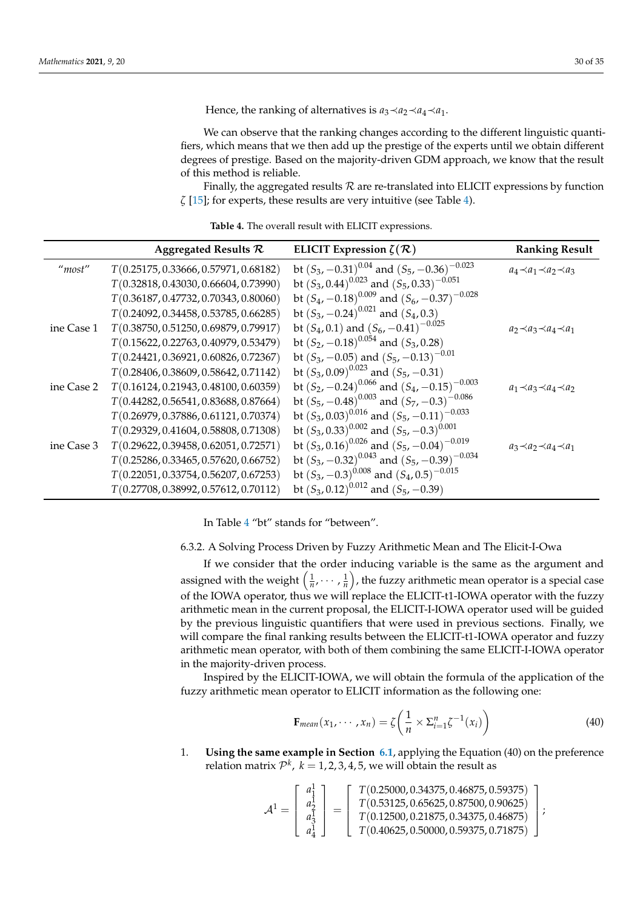Hence, the ranking of alternatives is  $a_3 \prec a_2 \prec a_4 \prec a_1$ .

We can observe that the ranking changes according to the different linguistic quantifiers, which means that we then add up the prestige of the experts until we obtain different degrees of prestige. Based on the majority-driven GDM approach, we know that the result of this method is reliable.

Finally, the aggregated results  $R$  are re-translated into ELICIT expressions by function *ζ* [\[15\]](#page-33-8); for experts, these results are very intuitive (see Table [4\)](#page-29-0).

<span id="page-29-0"></span>

|            | Aggregated Results $\mathcal R$       | ELICIT Expression $\zeta(\mathcal{R})$                | <b>Ranking Result</b>               |
|------------|---------------------------------------|-------------------------------------------------------|-------------------------------------|
| "most"     | T(0.25175, 0.33666, 0.57971, 0.68182) | bt $(S_3, -0.31)^{0.04}$ and $(S_5, -0.36)^{-0.023}$  | $a_4 \prec a_1 \prec a_2 \prec a_3$ |
|            | T(0.32818, 0.43030, 0.66604, 0.73990) | bt $(S_3, 0.44)^{0.023}$ and $(S_5, 0.33)^{-0.051}$   |                                     |
|            | T(0.36187, 0.47732, 0.70343, 0.80060) | bt $(S_4, -0.18)^{0.009}$ and $(S_6, -0.37)^{-0.028}$ |                                     |
|            | T(0.24092, 0.34458, 0.53785, 0.66285) | bt $(S_3, -0.24)^{0.021}$ and $(S_4, 0.3)$            |                                     |
| ine Case 1 | T(0.38750, 0.51250, 0.69879, 0.79917) | bt $(S_4, 0.1)$ and $(S_6, -0.41)^{-0.025}$           | $a_2 \prec a_3 \prec a_4 \prec a_1$ |
|            | T(0.15622, 0.22763, 0.40979, 0.53479) | bt $(S_2, -0.18)^{0.054}$ and $(S_3, 0.28)$           |                                     |
|            | T(0.24421, 0.36921, 0.60826, 0.72367) | bt $(S_3, -0.05)$ and $(S_5, -0.13)^{-0.01}$          |                                     |
|            | T(0.28406, 0.38609, 0.58642, 0.71142) | bt $(S_3, 0.09)^{0.023}$ and $(S_5, -0.31)$           |                                     |
| ine Case 2 | T(0.16124, 0.21943, 0.48100, 0.60359) | bt $(S_2, -0.24)^{0.066}$ and $(S_4, -0.15)^{-0.003}$ | $a_1 \prec a_3 \prec a_4 \prec a_2$ |
|            | T(0.44282, 0.56541, 0.83688, 0.87664) | bt $(S_5, -0.48)^{0.003}$ and $(S_7, -0.3)^{-0.086}$  |                                     |
|            | T(0.26979, 0.37886, 0.61121, 0.70374) | bt $(S_3, 0.03)^{0.016}$ and $(S_5, -0.11)^{-0.033}$  |                                     |
|            | T(0.29329, 0.41604, 0.58808, 0.71308) | bt $(S_3, 0.33)^{0.002}$ and $(S_5, -0.3)^{0.001}$    |                                     |
| ine Case 3 | T(0.29622, 0.39458, 0.62051, 0.72571) | bt $(S_3, 0.16)^{0.026}$ and $(S_5, -0.04)^{-0.019}$  | $a_3 \prec a_2 \prec a_4 \prec a_1$ |
|            | T(0.25286, 0.33465, 0.57620, 0.66752) | bt $(S_3, -0.32)^{0.043}$ and $(S_5, -0.39)^{-0.034}$ |                                     |
|            | T(0.22051, 0.33754, 0.56207, 0.67253) | bt $(S_3, -0.3)^{0.008}$ and $(S_4, 0.5)^{-0.015}$    |                                     |
|            | T(0.27708, 0.38992, 0.57612, 0.70112) | bt $(S_3, 0.12)^{0.012}$ and $(S_5, -0.39)$           |                                     |

**Table 4.** The overall result with ELICIT expressions.

In Table [4](#page-29-0) "bt" stands for "between".

6.3.2. A Solving Process Driven by Fuzzy Arithmetic Mean and The Elicit-I-Owa

If we consider that the order inducing variable is the same as the argument and assigned with the weight  $(\frac{1}{n}, \dots, \frac{1}{n})$ , the fuzzy arithmetic mean operator is a special case of the IOWA operator, thus we will replace the ELICIT-t1-IOWA operator with the fuzzy arithmetic mean in the current proposal, the ELICIT-I-IOWA operator used will be guided by the previous linguistic quantifiers that were used in previous sections. Finally, we will compare the final ranking results between the ELICIT-t1-IOWA operator and fuzzy arithmetic mean operator, with both of them combining the same ELICIT-I-IOWA operator in the majority-driven process.

Inspired by the ELICIT-IOWA, we will obtain the formula of the application of the fuzzy arithmetic mean operator to ELICIT information as the following one:

$$
\mathbf{F}_{mean}(x_1, \cdots, x_n) = \zeta \left( \frac{1}{n} \times \Sigma_{i=1}^n \zeta^{-1}(x_i) \right) \tag{40}
$$

1. **Using the same example in Section [6.1](#page-23-3)**, applying the Equation (40) on the preference relation matrix  $\mathcal{P}^k$ ,  $k=1,2,3,4,5$ , we will obtain the result as

$$
\mathcal{A}^1 = \left[\begin{array}{c} a_1^1 \\ a_2^1 \\ a_3^1 \\ a_4^1 \end{array}\right] = \left[\begin{array}{c} T(0.25000, 0.34375, 0.46875, 0.59375) \\ T(0.53125, 0.65625, 0.87500, 0.90625) \\ T(0.12500, 0.21875, 0.34375, 0.46875) \\ T(0.40625, 0.50000, 0.59375, 0.71875) \end{array}\right];
$$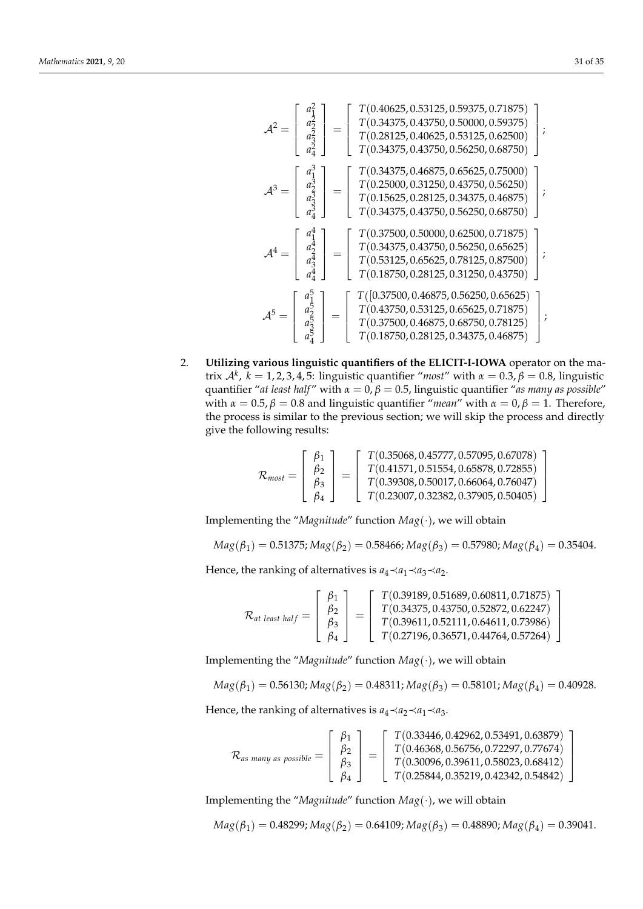$$
\mathcal{A}^{2} = \begin{bmatrix} a_{1}^{2} \\ a_{2}^{2} \\ a_{3}^{2} \\ a_{4}^{3} \end{bmatrix} = \begin{bmatrix} T(0.40625, 0.53125, 0.59375, 0.71875) \\ T(0.28125, 0.40625, 0.53125, 0.62500) \\ T(0.28125, 0.40625, 0.53125, 0.62500) \\ T(0.34375, 0.43750, 0.56250, 0.68750) \end{bmatrix};
$$
\n
$$
\mathcal{A}^{3} = \begin{bmatrix} a_{1}^{3} \\ a_{2}^{3} \\ a_{3}^{3} \\ a_{4}^{3} \end{bmatrix} = \begin{bmatrix} T(0.34375, 0.46875, 0.65625, 0.75000) \\ T(0.25000, 0.31250, 0.43750, 0.56250, 0.68750) \\ T(0.15625, 0.28125, 0.34375, 0.46875) \\ T(0.34375, 0.43750, 0.56250, 0.68750) \end{bmatrix};
$$
\n
$$
\mathcal{A}^{4} = \begin{bmatrix} a_{1}^{4} \\ a_{2}^{4} \\ a_{3}^{4} \\ a_{4}^{4} \end{bmatrix} = \begin{bmatrix} T(0.37500, 0.50000, 0.62500, 0.671875) \\ T(0.34375, 0.43750, 0.56250, 0.65625) \\ T(0.18750, 0.28125, 0.31250, 0.43750) \end{bmatrix};
$$
\n
$$
\mathcal{A}^{5} = \begin{bmatrix} a_{1}^{5} \\ a_{2}^{5} \\ a_{3}^{5} \\ a_{4}^{5} \end{bmatrix} = \begin{bmatrix} T(0.37500, 0.46875, 0.56250, 0.65625) \\ T(0.43750, 0
$$

2. **Utilizing various linguistic quantifiers of the ELICIT-I-IOWA** operator on the matrix A*<sup>k</sup>* , *k* = 1, 2, 3, 4, 5: linguistic quantifier "*most*" with *α* = 0.3, *β* = 0.8, linguistic quantifier "*at least half"* with  $\alpha = 0$ ,  $\beta = 0.5$ , linguistic quantifier "*as many as possible"* with  $\alpha = 0.5$ ,  $\beta = 0.8$  and linguistic quantifier "*mean*" with  $\alpha = 0$ ,  $\beta = 1$ . Therefore, the process is similar to the previous section; we will skip the process and directly give the following results:

$$
\mathcal{R}_{most} = \left[\begin{array}{c} \beta_1 \\ \beta_2 \\ \beta_3 \\ \beta_4 \end{array}\right] = \left[\begin{array}{c} T(0.35068, 0.45777, 0.57095, 0.67078) \\ T(0.41571, 0.51554, 0.65878, 0.72855) \\ T(0.39308, 0.50017, 0.66064, 0.76047) \\ T(0.23007, 0.32382, 0.37905, 0.50405) \end{array}\right]
$$

Implementing the "*Magnitude*" function *Mag*(·), we will obtain

$$
Mag(\beta_1) = 0.51375; Mag(\beta_2) = 0.58466; Mag(\beta_3) = 0.57980; Mag(\beta_4) = 0.35404.
$$

Hence, the ranking of alternatives is  $a_4 \prec a_1 \prec a_3 \prec a_2$ .

$$
\mathcal{R}_{at \text{ least half}} = \begin{bmatrix} \beta_1 \\ \beta_2 \\ \beta_3 \\ \beta_4 \end{bmatrix} = \begin{bmatrix} T(0.39189, 0.51689, 0.60811, 0.71875) \\ T(0.34375, 0.43750, 0.52872, 0.62247) \\ T(0.39611, 0.52111, 0.64611, 0.73986) \\ T(0.27196, 0.36571, 0.44764, 0.57264) \end{bmatrix}
$$

Implementing the "*Magnitude*" function *Mag*(·), we will obtain

$$
Mag(\beta_1) = 0.56130; Mag(\beta_2) = 0.48311; Mag(\beta_3) = 0.58101; Mag(\beta_4) = 0.40928.
$$

Hence, the ranking of alternatives is  $a_4 \prec a_2 \prec a_1 \prec a_3$ .

$$
\mathcal{R}_{as \; many \; as \; possible} = \left[\begin{array}{c} \beta_1 \\ \beta_2 \\ \beta_3 \\ \beta_4 \end{array}\right] = \left[\begin{array}{c} T(0.33446, 0.42962, 0.53491, 0.63879) \\ T(0.46368, 0.56756, 0.72297, 0.77674) \\ T(0.30096, 0.39611, 0.58023, 0.68412) \\ T(0.25844, 0.35219, 0.42342, 0.54842) \end{array}\right]
$$

Implementing the "*Magnitude*" function *Mag*(·), we will obtain

$$
Mag(\beta_1) = 0.48299; Mag(\beta_2) = 0.64109; Mag(\beta_3) = 0.48890; Mag(\beta_4) = 0.39041.
$$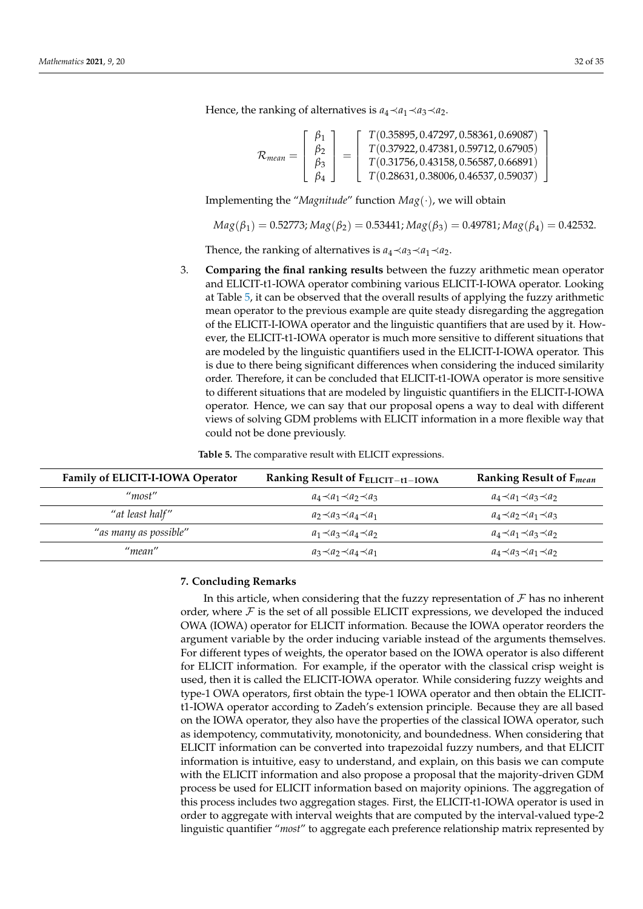Hence, the ranking of alternatives is  $a_4 \prec a_1 \prec a_3 \prec a_2$ .

$$
\mathcal{R}_{mean} = \begin{bmatrix} \beta_1 \\ \beta_2 \\ \beta_3 \\ \beta_4 \end{bmatrix} = \begin{bmatrix} T(0.35895, 0.47297, 0.58361, 0.69087) \\ T(0.37922, 0.47381, 0.59712, 0.67905) \\ T(0.31756, 0.43158, 0.56587, 0.66891) \\ T(0.28631, 0.38006, 0.46537, 0.59037) \end{bmatrix}
$$

Implementing the "*Magnitude*" function *Mag*(·), we will obtain

 $Mag(\beta_1) = 0.52773; Mag(\beta_2) = 0.53441; Mag(\beta_3) = 0.49781; Mag(\beta_4) = 0.42532.$ 

Thence, the ranking of alternatives is  $a_4 \prec a_3 \prec a_1 \prec a_2$ .

3. **Comparing the final ranking results** between the fuzzy arithmetic mean operator and ELICIT-t1-IOWA operator combining various ELICIT-I-IOWA operator. Looking at Table [5,](#page-31-1) it can be observed that the overall results of applying the fuzzy arithmetic mean operator to the previous example are quite steady disregarding the aggregation of the ELICIT-I-IOWA operator and the linguistic quantifiers that are used by it. However, the ELICIT-t1-IOWA operator is much more sensitive to different situations that are modeled by the linguistic quantifiers used in the ELICIT-I-IOWA operator. This is due to there being significant differences when considering the induced similarity order. Therefore, it can be concluded that ELICIT-t1-IOWA operator is more sensitive to different situations that are modeled by linguistic quantifiers in the ELICIT-I-IOWA operator. Hence, we can say that our proposal opens a way to deal with different views of solving GDM problems with ELICIT information in a more flexible way that could not be done previously.

**Table 5.** The comparative result with ELICIT expressions.

<span id="page-31-1"></span>

| Family of ELICIT-I-IOWA Operator | Ranking Result of $F_{ELICIT-t1-IOWA}$ | Ranking Result of $F_{mean}$        |
|----------------------------------|----------------------------------------|-------------------------------------|
| $\mu$ <sub>most</sub> "          | $a_4 \prec a_1 \prec a_2 \prec a_3$    | $a_4 \prec a_1 \prec a_3 \prec a_2$ |
| "at least half"                  | $a_2 \prec a_3 \prec a_4 \prec a_1$    | $a_4 \prec a_2 \prec a_1 \prec a_3$ |
| "as many as possible"            | $a_1 \prec a_3 \prec a_4 \prec a_2$    | $a_4 \prec a_1 \prec a_3 \prec a_2$ |
| "mean"                           | $a_3 \prec a_2 \prec a_4 \prec a_1$    | $a_4 \prec a_3 \prec a_1 \prec a_2$ |

### <span id="page-31-0"></span>**7. Concluding Remarks**

In this article, when considering that the fuzzy representation of  $\mathcal F$  has no inherent order, where  $\mathcal F$  is the set of all possible ELICIT expressions, we developed the induced OWA (IOWA) operator for ELICIT information. Because the IOWA operator reorders the argument variable by the order inducing variable instead of the arguments themselves. For different types of weights, the operator based on the IOWA operator is also different for ELICIT information. For example, if the operator with the classical crisp weight is used, then it is called the ELICIT-IOWA operator. While considering fuzzy weights and type-1 OWA operators, first obtain the type-1 IOWA operator and then obtain the ELICITt1-IOWA operator according to Zadeh's extension principle. Because they are all based on the IOWA operator, they also have the properties of the classical IOWA operator, such as idempotency, commutativity, monotonicity, and boundedness. When considering that ELICIT information can be converted into trapezoidal fuzzy numbers, and that ELICIT information is intuitive, easy to understand, and explain, on this basis we can compute with the ELICIT information and also propose a proposal that the majority-driven GDM process be used for ELICIT information based on majority opinions. The aggregation of this process includes two aggregation stages. First, the ELICIT-t1-IOWA operator is used in order to aggregate with interval weights that are computed by the interval-valued type-2 linguistic quantifier "*most*" to aggregate each preference relationship matrix represented by

1  $\overline{1}$  $\overline{1}$  $\overline{1}$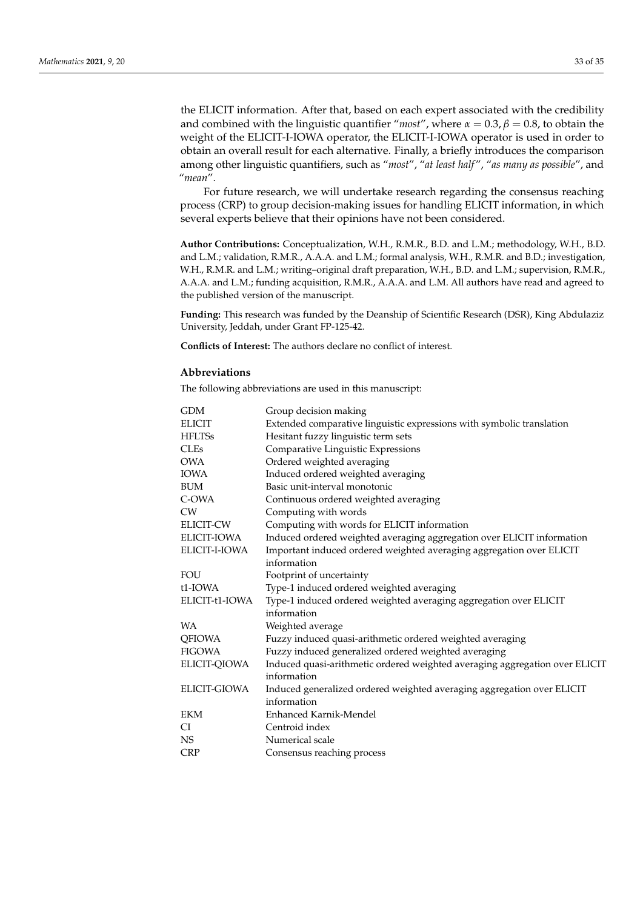the ELICIT information. After that, based on each expert associated with the credibility and combined with the linguistic quantifier "*most"*, where  $\alpha = 0.3$ ,  $\beta = 0.8$ , to obtain the weight of the ELICIT-I-IOWA operator, the ELICIT-I-IOWA operator is used in order to obtain an overall result for each alternative. Finally, a briefly introduces the comparison among other linguistic quantifiers, such as "*most*", "*at least half* ", "*as many as possible*", and "*mean*".

For future research, we will undertake research regarding the consensus reaching process (CRP) to group decision-making issues for handling ELICIT information, in which several experts believe that their opinions have not been considered.

**Author Contributions:** Conceptualization, W.H., R.M.R., B.D. and L.M.; methodology, W.H., B.D. and L.M.; validation, R.M.R., A.A.A. and L.M.; formal analysis, W.H., R.M.R. and B.D.; investigation, W.H., R.M.R. and L.M.; writing–original draft preparation, W.H., B.D. and L.M.; supervision, R.M.R., A.A.A. and L.M.; funding acquisition, R.M.R., A.A.A. and L.M. All authors have read and agreed to the published version of the manuscript.

**Funding:** This research was funded by the Deanship of Scientific Research (DSR), King Abdulaziz University, Jeddah, under Grant FP-125-42.

**Conflicts of Interest:** The authors declare no conflict of interest.

#### **Abbreviations**

The following abbreviations are used in this manuscript:

| GDM                 | Group decision making                                                       |
|---------------------|-----------------------------------------------------------------------------|
| <b>ELICIT</b>       | Extended comparative linguistic expressions with symbolic translation       |
| <b>HFLTSs</b>       | Hesitant fuzzy linguistic term sets                                         |
| <b>CLEs</b>         | Comparative Linguistic Expressions                                          |
| <b>OWA</b>          | Ordered weighted averaging                                                  |
| <b>IOWA</b>         | Induced ordered weighted averaging                                          |
| <b>BUM</b>          | Basic unit-interval monotonic                                               |
| C-OWA               | Continuous ordered weighted averaging                                       |
| <b>CW</b>           | Computing with words                                                        |
| <b>ELICIT-CW</b>    | Computing with words for ELICIT information                                 |
| <b>ELICIT-IOWA</b>  | Induced ordered weighted averaging aggregation over ELICIT information      |
| ELICIT-I-IOWA       | Important induced ordered weighted averaging aggregation over ELICIT        |
|                     | information                                                                 |
| <b>FOU</b>          | Footprint of uncertainty                                                    |
| t1-IOWA             | Type-1 induced ordered weighted averaging                                   |
| ELICIT-t1-IOWA      | Type-1 induced ordered weighted averaging aggregation over ELICIT           |
|                     | information                                                                 |
| <b>WA</b>           | Weighted average                                                            |
| <b>QFIOWA</b>       | Fuzzy induced quasi-arithmetic ordered weighted averaging                   |
| <b>FIGOWA</b>       | Fuzzy induced generalized ordered weighted averaging                        |
| ELICIT-QIOWA        | Induced quasi-arithmetic ordered weighted averaging aggregation over ELICIT |
|                     | information                                                                 |
| <b>ELICIT-GIOWA</b> | Induced generalized ordered weighted averaging aggregation over ELICIT      |
|                     | information                                                                 |
| <b>EKM</b>          | Enhanced Karnik-Mendel                                                      |
| CI                  | Centroid index                                                              |
| <b>NS</b>           | Numerical scale                                                             |
| <b>CRP</b>          | Consensus reaching process                                                  |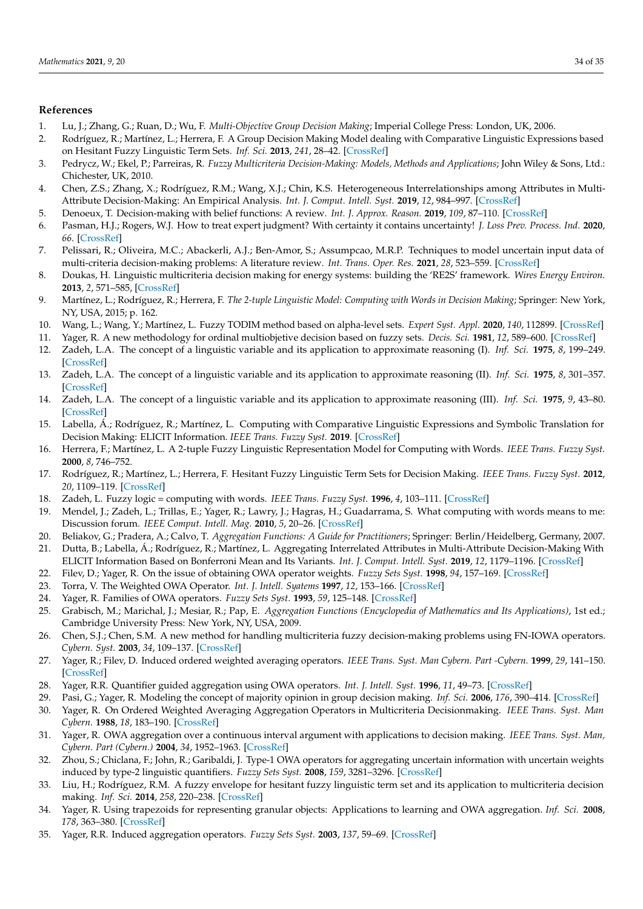# **References**

- <span id="page-33-0"></span>1. Lu, J.; Zhang, G.; Ruan, D.; Wu, F. *Multi-Objective Group Decision Making*; Imperial College Press: London, UK, 2006.
- <span id="page-33-1"></span>2. Rodríguez, R.; Martínez, L.; Herrera, F. A Group Decision Making Model dealing with Comparative Linguistic Expressions based on Hesitant Fuzzy Linguistic Term Sets. *Inf. Sci.* **2013**, *241*, 28–42. [\[CrossRef\]](http://dx.doi.org/10.1016/j.ins.2013.04.006)
- <span id="page-33-2"></span>3. Pedrycz, W.; Ekel, P.; Parreiras, R. *Fuzzy Multicriteria Decision-Making: Models, Methods and Applications*; John Wiley & Sons, Ltd.: Chichester, UK, 2010.
- 4. Chen, Z.S.; Zhang, X.; Rodríguez, R.M.; Wang, X.J.; Chin, K.S. Heterogeneous Interrelationships among Attributes in Multi-Attribute Decision-Making: An Empirical Analysis. *Int. J. Comput. Intell. Syst.* **2019**, *12*, 984–997. [\[CrossRef\]](http://dx.doi.org/10.2991/ijcis.d.190827.001)
- 5. Denoeux, T. Decision-making with belief functions: A review. *Int. J. Approx. Reason.* **2019**, *109*, 87–110. [\[CrossRef\]](http://dx.doi.org/10.1016/j.ijar.2019.03.009)
- 6. Pasman, H.J.; Rogers, W.J. How to treat expert judgment? With certainty it contains uncertainty! *J. Loss Prev. Process. Ind.* **2020**, *66*. [\[CrossRef\]](http://dx.doi.org/10.1016/j.jlp.2020.104200)
- <span id="page-33-3"></span>7. Pelissari, R.; Oliveira, M.C.; Abackerli, A.J.; Ben-Amor, S.; Assumpcao, M.R.P. Techniques to model uncertain input data of multi-criteria decision-making problems: A literature review. *Int. Trans. Oper. Res.* **2021**, *28*, 523–559. [\[CrossRef\]](http://dx.doi.org/10.1111/itor.12598)
- <span id="page-33-4"></span>8. Doukas, H. Linguistic multicriteria decision making for energy systems: building the 'RE2S' framework. *Wires Energy Environ.* **2013**, *2*, 571–585, [\[CrossRef\]](http://dx.doi.org/10.1002/wene.65)
- <span id="page-33-9"></span>9. Martínez, L.; Rodríguez, R.; Herrera, F. *The 2-tuple Linguistic Model: Computing with Words in Decision Making*; Springer: New York, NY, USA, 2015; p. 162.
- <span id="page-33-5"></span>10. Wang, L.; Wang, Y.; Martínez, L. Fuzzy TODIM method based on alpha-level sets. *Expert Syst. Appl.* **2020**, *140*, 112899. [\[CrossRef\]](http://dx.doi.org/10.1016/j.eswa.2019.112899)
- <span id="page-33-6"></span>11. Yager, R. A new methodology for ordinal multiobjetive decision based on fuzzy sets. *Decis. Sci.* **1981**, *12*, 589–600. [\[CrossRef\]](http://dx.doi.org/10.1111/j.1540-5915.1981.tb00111.x)
- <span id="page-33-29"></span>12. Zadeh, L.A. The concept of a linguistic variable and its application to approximate reasoning (I). *Inf. Sci.* **1975**, *8*, 199–249. [\[CrossRef\]](http://dx.doi.org/10.1016/0020-0255(75)90036-5)
- 13. Zadeh, L.A. The concept of a linguistic variable and its application to approximate reasoning (II). *Inf. Sci.* **1975**, *8*, 301–357. [\[CrossRef\]](http://dx.doi.org/10.1016/0020-0255(75)90046-8)
- <span id="page-33-7"></span>14. Zadeh, L.A. The concept of a linguistic variable and its application to approximate reasoning (III). *Inf. Sci.* **1975**, *9*, 43–80. [\[CrossRef\]](http://dx.doi.org/10.1016/0020-0255(75)90017-1)
- <span id="page-33-8"></span>15. Labella, Á.; Rodríguez, R.; Martínez, L. Computing with Comparative Linguistic Expressions and Symbolic Translation for Decision Making: ELICIT Information. *IEEE Trans. Fuzzy Syst.* **2019**. [\[CrossRef\]](http://dx.doi.org/10.1109/TFUZZ.2019.2940424)
- <span id="page-33-10"></span>16. Herrera, F.; Martínez, L. A 2-tuple Fuzzy Linguistic Representation Model for Computing with Words. *IEEE Trans. Fuzzy Syst.* **2000**, *8*, 746–752.
- <span id="page-33-11"></span>17. Rodríguez, R.; Martínez, L.; Herrera, F. Hesitant Fuzzy Linguistic Term Sets for Decision Making. *IEEE Trans. Fuzzy Syst.* **2012**, *20*, 1109–119. [\[CrossRef\]](http://dx.doi.org/10.1109/TFUZZ.2011.2170076)
- <span id="page-33-12"></span>18. Zadeh, L. Fuzzy logic = computing with words. *IEEE Trans. Fuzzy Syst.* **1996**, *4*, 103–111. [\[CrossRef\]](http://dx.doi.org/10.1109/91.493904)
- <span id="page-33-13"></span>19. Mendel, J.; Zadeh, L.; Trillas, E.; Yager, R.; Lawry, J.; Hagras, H.; Guadarrama, S. What computing with words means to me: Discussion forum. *IEEE Comput. Intell. Mag.* **2010**, *5*, 20–26. [\[CrossRef\]](http://dx.doi.org/10.1109/MCI.2009.934561)
- <span id="page-33-15"></span><span id="page-33-14"></span>20. Beliakov, G.; Pradera, A.; Calvo, T. *Aggregation Functions: A Guide for Practitioners*; Springer: Berlin/Heidelberg, Germany, 2007. 21. Dutta, B.; Labella, Á.; Rodríguez, R.; Martínez, L. Aggregating Interrelated Attributes in Multi-Attribute Decision-Making With
- ELICIT Information Based on Bonferroni Mean and Its Variants. *Int. J. Comput. Intell. Syst.* **2019**, *12*, 1179–1196. [\[CrossRef\]](http://dx.doi.org/10.2991/ijcis.d.190930.002)
- <span id="page-33-16"></span>22. Filev, D.; Yager, R. On the issue of obtaining OWA operator weights. *Fuzzy Sets Syst.* **1998**, *94*, 157–169. [\[CrossRef\]](http://dx.doi.org/10.1016/S0165-0114(96)00254-0)
- 23. Torra, V. The Weighted OWA Operator. *Int. J. Intell. Syatems* **1997**, *12*, 153–166. [\[CrossRef\]](http://dx.doi.org/10.1002/(SICI)1098-111X(199702)12:2<153::AID-INT3>3.0.CO;2-P)
- <span id="page-33-17"></span>24. Yager, R. Families of OWA operators. *Fuzzy Sets Syst.* **1993**, *59*, 125–148. [\[CrossRef\]](http://dx.doi.org/10.1016/0165-0114(93)90194-M)
- <span id="page-33-18"></span>25. Grabisch, M.; Marichal, J.; Mesiar, R.; Pap, E. *Aggregation Functions (Encyclopedia of Mathematics and Its Applications)*, 1st ed.; Cambridge University Press: New York, NY, USA, 2009.
- <span id="page-33-19"></span>26. Chen, S.J.; Chen, S.M. A new method for handling multicriteria fuzzy decision-making problems using FN-IOWA operators. *Cybern. Syst.* **2003**, *34*, 109–137. [\[CrossRef\]](http://dx.doi.org/10.1080/01969720302866)
- <span id="page-33-20"></span>27. Yager, R.; Filev, D. Induced ordered weighted averaging operators. *IEEE Trans. Syst. Man Cybern. Part -Cybern.* **1999**, *29*, 141–150. [\[CrossRef\]](http://dx.doi.org/10.1109/3477.752789)
- <span id="page-33-21"></span>28. Yager, R.R. Quantifier guided aggregation using OWA operators. *Int. J. Intell. Syst.* **1996**, *11*, 49–73. [\[CrossRef\]](http://dx.doi.org/10.1002/(SICI)1098-111X(199601)11:1<49::AID-INT3>3.0.CO;2-Z)
- <span id="page-33-22"></span>29. Pasi, G.; Yager, R. Modeling the concept of majority opinion in group decision making. *Inf. Sci.* **2006**, *176*, 390–414. [\[CrossRef\]](http://dx.doi.org/10.1016/j.ins.2005.07.006)
- <span id="page-33-23"></span>30. Yager, R. On Ordered Weighted Averaging Aggregation Operators in Multicriteria Decisionmaking. *IEEE Trans. Syst. Man Cybern.* **1988**, *18*, 183–190. [\[CrossRef\]](http://dx.doi.org/10.1109/21.87068)
- <span id="page-33-24"></span>31. Yager, R. OWA aggregation over a continuous interval argument with applications to decision making. *IEEE Trans. Syst. Man, Cybern. Part (Cybern.)* **2004**, *34*, 1952–1963. [\[CrossRef\]](http://dx.doi.org/10.1109/TSMCB.2004.831154)
- <span id="page-33-25"></span>32. Zhou, S.; Chiclana, F.; John, R.; Garibaldi, J. Type-1 OWA operators for aggregating uncertain information with uncertain weights induced by type-2 linguistic quantifiers. *Fuzzy Sets Syst.* **2008**, *159*, 3281–3296. [\[CrossRef\]](http://dx.doi.org/10.1016/j.fss.2008.06.018)
- <span id="page-33-26"></span>33. Liu, H.; Rodríguez, R.M. A fuzzy envelope for hesitant fuzzy linguistic term set and its application to multicriteria decision making. *Inf. Sci.* **2014**, *258*, 220–238. [\[CrossRef\]](http://dx.doi.org/10.1016/j.ins.2013.07.027)
- <span id="page-33-27"></span>34. Yager, R. Using trapezoids for representing granular objects: Applications to learning and OWA aggregation. *Inf. Sci.* **2008**, *178*, 363–380. [\[CrossRef\]](http://dx.doi.org/10.1016/j.ins.2007.08.015)
- <span id="page-33-28"></span>35. Yager, R.R. Induced aggregation operators. *Fuzzy Sets Syst.* **2003**, *137*, 59–69. [\[CrossRef\]](http://dx.doi.org/10.1016/S0165-0114(02)00432-3)